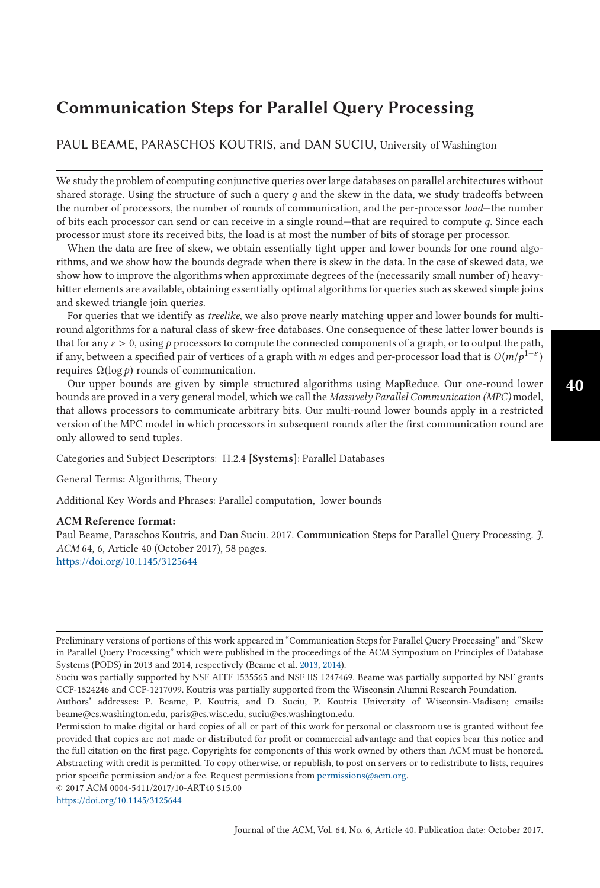PAUL BEAME, PARASCHOS KOUTRIS, and DAN SUCIU, University of Washington

We study the problem of computing conjunctive queries over large databases on parallel architectures without shared storage. Using the structure of such a query *q* and the skew in the data, we study tradeoffs between the number of processors, the number of rounds of communication, and the per-processor *load*—the number of bits each processor can send or can receive in a single round—that are required to compute *q*. Since each processor must store its received bits, the load is at most the number of bits of storage per processor.

When the data are free of skew, we obtain essentially tight upper and lower bounds for one round algorithms, and we show how the bounds degrade when there is skew in the data. In the case of skewed data, we show how to improve the algorithms when approximate degrees of the (necessarily small number of) heavyhitter elements are available, obtaining essentially optimal algorithms for queries such as skewed simple joins and skewed triangle join queries.

For queries that we identify as *treelike*, we also prove nearly matching upper and lower bounds for multiround algorithms for a natural class of skew-free databases. One consequence of these latter lower bounds is that for any  $\varepsilon > 0$ , using p processors to compute the connected components of a graph, or to output the path, if any, between a specified pair of vertices of a graph with *m* edges and per-processor load that is  $O(m/p^{1-\epsilon})$ requires Ω(log*p*) rounds of communication.

Our upper bounds are given by simple structured algorithms using MapReduce. Our one-round lower bounds are proved in a very general model, which we call the *Massively Parallel Communication (MPC)* model, that allows processors to communicate arbitrary bits. Our multi-round lower bounds apply in a restricted version of the MPC model in which processors in subsequent rounds after the first communication round are only allowed to send tuples.

Categories and Subject Descriptors: H.2.4 [**Systems**]: Parallel Databases

General Terms: Algorithms, Theory

Additional Key Words and Phrases: Parallel computation, lower bounds

## **ACM Reference format:**

Paul Beame, Paraschos Koutris, and Dan Suciu. 2017. Communication Steps for Parallel Query Processing. *J. ACM* 64, 6, Article 40 (October 2017), 58 pages. <https://doi.org/10.1145/3125644>

© 2017 ACM 0004-5411/2017/10-ART40 \$15.00

<https://doi.org/10.1145/3125644>

Preliminary versions of portions of this work appeared in "Communication Steps for Parallel Query Processing" and "Skew in Parallel Query Processing" which were published in the proceedings of the ACM Symposium on Principles of Database Systems (PODS) in 2013 and 2014, respectively (Beame et al. [2013,](#page-56-0) [2014\)](#page-56-0).

Suciu was partially supported by NSF AITF 1535565 and NSF IIS 1247469. Beame was partially supported by NSF grants CCF-1524246 and CCF-1217099. Koutris was partially supported from the Wisconsin Alumni Research Foundation.

Authors' addresses: P. Beame, P. Koutris, and D. Suciu, P. Koutris University of Wisconsin-Madison; emails: beame@cs.washington.edu, paris@cs.wisc.edu, suciu@cs.washington.edu.

Permission to make digital or hard copies of all or part of this work for personal or classroom use is granted without fee provided that copies are not made or distributed for profit or commercial advantage and that copies bear this notice and the full citation on the first page. Copyrights for components of this work owned by others than ACM must be honored. Abstracting with credit is permitted. To copy otherwise, or republish, to post on servers or to redistribute to lists, requires prior specific permission and/or a fee. Request permissions from [permissions@acm.org.](mailto:permissions@acm.org)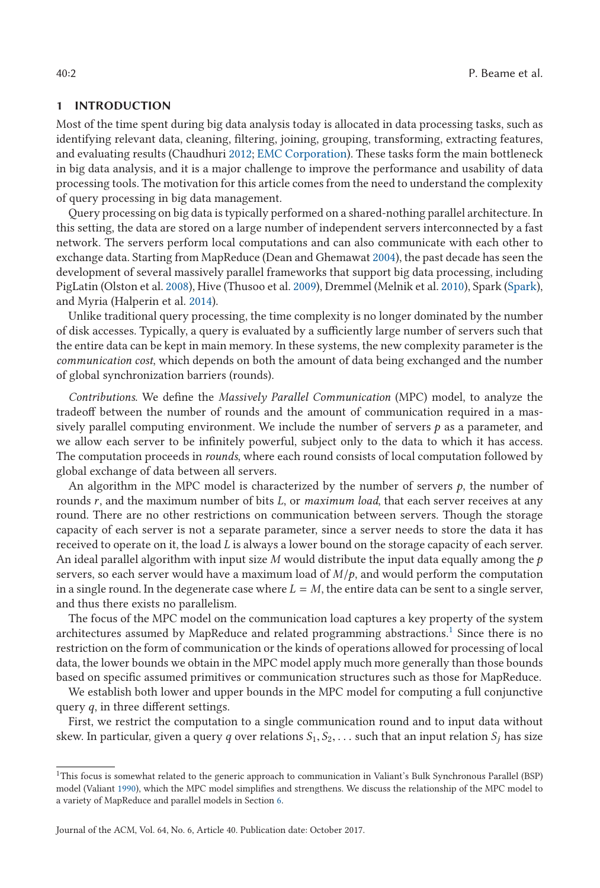## **1 INTRODUCTION**

Most of the time spent during big data analysis today is allocated in data processing tasks, such as identifying relevant data, cleaning, filtering, joining, grouping, transforming, extracting features, and evaluating results (Chaudhuri [2012;](#page-56-0) [EMC Corporation\)](#page-56-0). These tasks form the main bottleneck in big data analysis, and it is a major challenge to improve the performance and usability of data processing tools. The motivation for this article comes from the need to understand the complexity of query processing in big data management.

Query processing on big data is typically performed on a shared-nothing parallel architecture. In this setting, the data are stored on a large number of independent servers interconnected by a fast network. The servers perform local computations and can also communicate with each other to exchange data. Starting from MapReduce (Dean and Ghemawat [2004\)](#page-56-0), the past decade has seen the development of several massively parallel frameworks that support big data processing, including PigLatin (Olston et al. [2008\)](#page-57-0), Hive (Thusoo et al. [2009\)](#page-57-0), Dremmel (Melnik et al. [2010\)](#page-57-0), Spark [\(Spark\)](#page-57-0), and Myria (Halperin et al. [2014\)](#page-57-0).

Unlike traditional query processing, the time complexity is no longer dominated by the number of disk accesses. Typically, a query is evaluated by a sufficiently large number of servers such that the entire data can be kept in main memory. In these systems, the new complexity parameter is the *communication cost*, which depends on both the amount of data being exchanged and the number of global synchronization barriers (rounds).

*Contributions*. We define the *Massively Parallel Communication* (MPC) model, to analyze the tradeoff between the number of rounds and the amount of communication required in a massively parallel computing environment. We include the number of servers *p* as a parameter, and we allow each server to be infinitely powerful, subject only to the data to which it has access. The computation proceeds in *rounds*, where each round consists of local computation followed by global exchange of data between all servers.

An algorithm in the MPC model is characterized by the number of servers  $p$ , the number of rounds *r*, and the maximum number of bits *L*, or *maximum load*, that each server receives at any round. There are no other restrictions on communication between servers. Though the storage capacity of each server is not a separate parameter, since a server needs to store the data it has received to operate on it, the load *L* is always a lower bound on the storage capacity of each server. An ideal parallel algorithm with input size *M* would distribute the input data equally among the *p* servers, so each server would have a maximum load of *<sup>M</sup>*/*p*, and would perform the computation in a single round. In the degenerate case where  $L = M$ , the entire data can be sent to a single server, and thus there exists no parallelism.

The focus of the MPC model on the communication load captures a key property of the system architectures assumed by MapReduce and related programming abstractions.<sup>1</sup> Since there is no restriction on the form of communication or the kinds of operations allowed for processing of local data, the lower bounds we obtain in the MPC model apply much more generally than those bounds based on specific assumed primitives or communication structures such as those for MapReduce.

We establish both lower and upper bounds in the MPC model for computing a full conjunctive query *q*, in three different settings.

First, we restrict the computation to a single communication round and to input data without skew. In particular, given a query *q* over relations  $S_1, S_2, \ldots$  such that an input relation  $S_i$  has size

<sup>1</sup>This focus is somewhat related to the generic approach to communication in Valiant's Bulk Synchronous Parallel (BSP) model (Valiant [1990\)](#page-57-0), which the MPC model simplifies and strengthens. We discuss the relationship of the MPC model to a variety of MapReduce and parallel models in Section [6.](#page-53-0)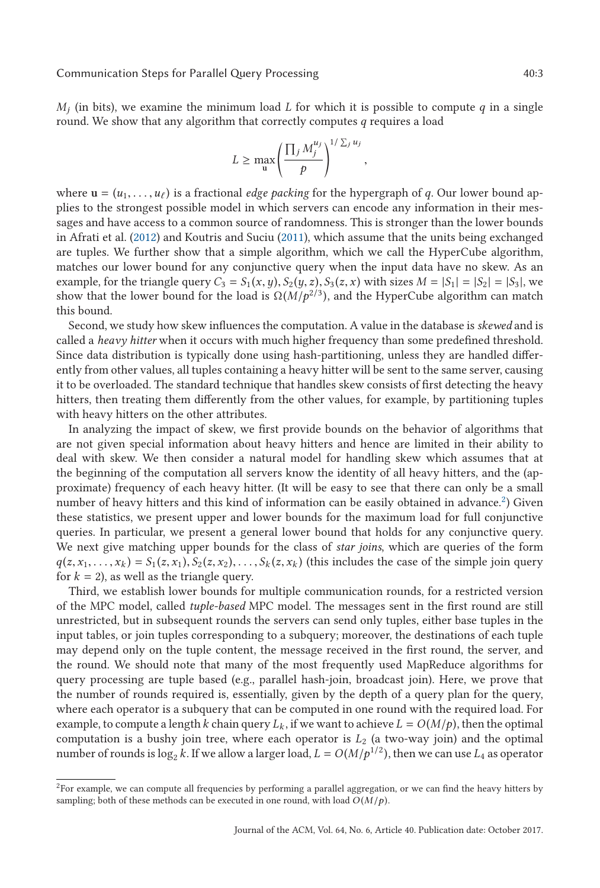$M_i$  (in bits), we examine the minimum load *L* for which it is possible to compute *q* in a single round. We show that any algorithm that correctly computes *q* requires a load

$$
L \geq \max_{\mathbf{u}} \left( \frac{\prod_j M_j^{u_j}}{p} \right)^{1/\sum_j u_j},
$$

where  $\mathbf{u} = (u_1, \ldots, u_\ell)$  is a fractional *edge packing* for the hypergraph of *q*. Our lower bound ap-<br>plies to the strongest possible model in which servers can encode any information in their mesplies to the strongest possible model in which servers can encode any information in their messages and have access to a common source of randomness. This is stronger than the lower bounds in Afrati et al. [\(2012\)](#page-56-0) and Koutris and Suciu [\(2011\)](#page-57-0), which assume that the units being exchanged are tuples. We further show that a simple algorithm, which we call the HyperCube algorithm, matches our lower bound for any conjunctive query when the input data have no skew. As an example, for the triangle query  $C_3 = S_1(x, y)$ ,  $S_2(y, z)$ ,  $S_3(z, x)$  with sizes  $M = |S_1| = |S_2| = |S_3|$ , we show that the lower bound for the load is  $\Omega(M/p^{2/3})$ , and the HyperCube algorithm can match this bound.

Second, we study how skew influences the computation. A value in the database is *skewed* and is called a *heavy hitter* when it occurs with much higher frequency than some predefined threshold. Since data distribution is typically done using hash-partitioning, unless they are handled differently from other values, all tuples containing a heavy hitter will be sent to the same server, causing it to be overloaded. The standard technique that handles skew consists of first detecting the heavy hitters, then treating them differently from the other values, for example, by partitioning tuples with heavy hitters on the other attributes.

In analyzing the impact of skew, we first provide bounds on the behavior of algorithms that are not given special information about heavy hitters and hence are limited in their ability to deal with skew. We then consider a natural model for handling skew which assumes that at the beginning of the computation all servers know the identity of all heavy hitters, and the (approximate) frequency of each heavy hitter. (It will be easy to see that there can only be a small number of heavy hitters and this kind of information can be easily obtained in advance.<sup>2</sup>) Given these statistics, we present upper and lower bounds for the maximum load for full conjunctive queries. In particular, we present a general lower bound that holds for any conjunctive query. We next give matching upper bounds for the class of *star joins*, which are queries of the form  $q(z, x_1, \ldots, x_k) = S_1(z, x_1), S_2(z, x_2), \ldots, S_k(z, x_k)$  (this includes the case of the simple join query for  $k = 2$ ), as well as the triangle query.

Third, we establish lower bounds for multiple communication rounds, for a restricted version of the MPC model, called *tuple-based* MPC model. The messages sent in the first round are still unrestricted, but in subsequent rounds the servers can send only tuples, either base tuples in the input tables, or join tuples corresponding to a subquery; moreover, the destinations of each tuple may depend only on the tuple content, the message received in the first round, the server, and the round. We should note that many of the most frequently used MapReduce algorithms for query processing are tuple based (e.g., parallel hash-join, broadcast join). Here, we prove that the number of rounds required is, essentially, given by the depth of a query plan for the query, where each operator is a subquery that can be computed in one round with the required load. For example, to compute a length *k* chain query  $L_k$ , if we want to achieve  $L = O(M/p)$ , then the optimal computation is a bushy join tree, where each operator is  $L_2$  (a two-way join) and the optimal number of rounds is  $\log_2 k$ . If we allow a larger load,  $L = O(M/p^{1/2})$ , then we can use  $L_4$  as operator

<sup>&</sup>lt;sup>2</sup>For example, we can compute all frequencies by performing a parallel aggregation, or we can find the heavy hitters by sampling; both of these methods can be executed in one round, with load  $O(M/p)$ .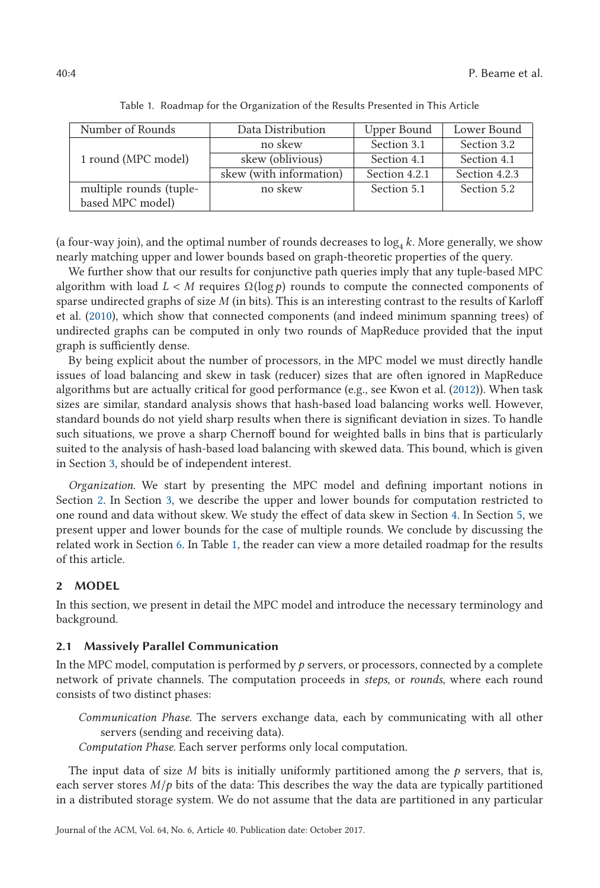| Number of Rounds        | Data Distribution       | Upper Bound   | Lower Bound   |
|-------------------------|-------------------------|---------------|---------------|
|                         | no skew                 | Section 3.1   | Section 3.2   |
| 1 round (MPC model)     | skew (oblivious)        | Section 4.1   | Section 4.1   |
|                         | skew (with information) | Section 4.2.1 | Section 4.2.3 |
| multiple rounds (tuple- | no skew                 | Section 5.1   | Section 5.2   |
| based MPC model)        |                         |               |               |

Table 1. Roadmap for the Organization of the Results Presented in This Article

(a four-way join), and the optimal number of rounds decreases to  $log<sub>4</sub> k$ . More generally, we show nearly matching upper and lower bounds based on graph-theoretic properties of the query.

We further show that our results for conjunctive path queries imply that any tuple-based MPC algorithm with load  $L < M$  requires  $\Omega(\log p)$  rounds to compute the connected components of sparse undirected graphs of size *M* (in bits). This is an interesting contrast to the results of Karloff et al. [\(2010\)](#page-57-0), which show that connected components (and indeed minimum spanning trees) of undirected graphs can be computed in only two rounds of MapReduce provided that the input graph is sufficiently dense.

By being explicit about the number of processors, in the MPC model we must directly handle issues of load balancing and skew in task (reducer) sizes that are often ignored in MapReduce algorithms but are actually critical for good performance (e.g., see Kwon et al. [\(2012\)](#page-57-0)). When task sizes are similar, standard analysis shows that hash-based load balancing works well. However, standard bounds do not yield sharp results when there is significant deviation in sizes. To handle such situations, we prove a sharp Chernoff bound for weighted balls in bins that is particularly suited to the analysis of hash-based load balancing with skewed data. This bound, which is given in Section [3,](#page-8-0) should be of independent interest.

*Organization*. We start by presenting the MPC model and defining important notions in Section 2. In Section [3,](#page-8-0) we describe the upper and lower bounds for computation restricted to one round and data without skew. We study the effect of data skew in Section [4.](#page-32-0) In Section [5,](#page-40-0) we present upper and lower bounds for the case of multiple rounds. We conclude by discussing the related work in Section [6.](#page-53-0) In Table 1, the reader can view a more detailed roadmap for the results of this article.

# **2 MODEL**

In this section, we present in detail the MPC model and introduce the necessary terminology and background.

# **2.1 Massively Parallel Communication**

In the MPC model, computation is performed by *p* servers, or processors, connected by a complete network of private channels. The computation proceeds in *steps*, or *rounds*, where each round consists of two distinct phases:

*Communication Phase*. The servers exchange data, each by communicating with all other servers (sending and receiving data).

*Computation Phase*. Each server performs only local computation.

The input data of size  $M$  bits is initially uniformly partitioned among the  $p$  servers, that is, each server stores  $M/p$  bits of the data: This describes the way the data are typically partitioned in a distributed storage system. We do not assume that the data are partitioned in any particular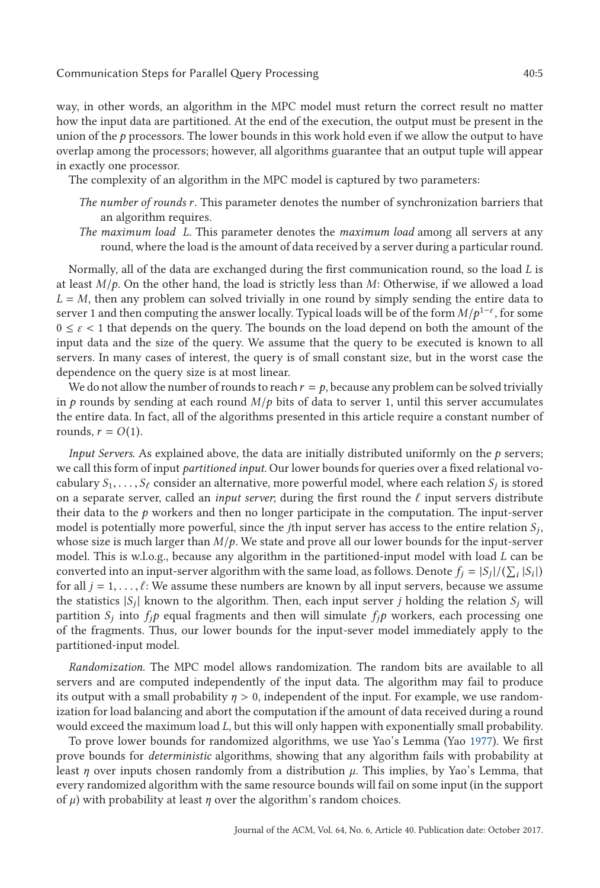way, in other words, an algorithm in the MPC model must return the correct result no matter how the input data are partitioned. At the end of the execution, the output must be present in the union of the *p* processors. The lower bounds in this work hold even if we allow the output to have overlap among the processors; however, all algorithms guarantee that an output tuple will appear in exactly one processor.

The complexity of an algorithm in the MPC model is captured by two parameters:

- *The number of rounds r*. This parameter denotes the number of synchronization barriers that an algorithm requires.
- *The maximum load L*. This parameter denotes the *maximum load* among all servers at any round, where the load is the amount of data received by a server during a particular round.

Normally, all of the data are exchanged during the first communication round, so the load *L* is at least *<sup>M</sup>*/*p*. On the other hand, the load is strictly less than *<sup>M</sup>*: Otherwise, if we allowed a load  $L = M$ , then any problem can solved trivially in one round by simply sending the entire data to server 1 and then computing the answer locally. Typical loads will be of the form  $M/p^{1-\epsilon}$ , for some  $0 \leq \varepsilon < 1$  that depends on the query. The bounds on the load depend on both the amount of the input data and the size of the query. We assume that the query to be executed is known to all servers. In many cases of interest, the query is of small constant size, but in the worst case the dependence on the query size is at most linear.

We do not allow the number of rounds to reach  $r = p$ , because any problem can be solved trivially in  $p$  rounds by sending at each round  $M/p$  bits of data to server 1, until this server accumulates the entire data. In fact, all of the algorithms presented in this article require a constant number of rounds,  $r = O(1)$ .

*Input Servers*. As explained above, the data are initially distributed uniformly on the *p* servers; we call this form of input *partitioned input*. Our lower bounds for queries over a fixed relational vocabulary  $S_1, \ldots, S_\ell$  consider an alternative, more powerful model, where each relation  $S_j$  is stored<br>on a separate server, called an *input server*, during the first round the  $\ell$  input servers distribute on a separate server, called an *input server*; during the first round the  $\ell$  input servers distribute<br>their data to the n workers and then no longer participate in the computation. The input-server their data to the *p* workers and then no longer participate in the computation. The input-server model is potentially more powerful, since the *j*th input server has access to the entire relation  $S_i$ , whose size is much larger than *<sup>M</sup>*/*p*. We state and prove all our lower bounds for the input-server model. This is w.l.o.g., because any algorithm in the partitioned-input model with load *L* can be converted into an input-server algorithm with the same load, as follows. Denote  $f_j = |S_j|/(\sum_i |S_i|)$  for all  $i = 1$   $\ell$ . We assume these numbers are known by all input servers because we assume for all  $j = 1, \ldots, \ell$ : We assume these numbers are known by all input servers, because we assume the statistics  $|S_i|$  known to the algorithm. Then each input server *i* holding the relation  $S_i$  will the statistics  $|S_i|$  known to the algorithm. Then, each input server *j* holding the relation  $S_i$  will partition  $S_j$  into  $f_j$ *p* equal fragments and then will simulate  $f_j$ *p* workers, each processing one of the fragments. Thus, our lower bounds for the input-sever model immediately apply to the partitioned-input model.

*Randomization*. The MPC model allows randomization. The random bits are available to all servers and are computed independently of the input data. The algorithm may fail to produce its output with a small probability  $\eta > 0$ , independent of the input. For example, we use randomization for load balancing and abort the computation if the amount of data received during a round would exceed the maximum load *L*, but this will only happen with exponentially small probability.

To prove lower bounds for randomized algorithms, we use Yao's Lemma (Yao [1977\)](#page-57-0). We first prove bounds for *deterministic* algorithms, showing that any algorithm fails with probability at least *η* over inputs chosen randomly from a distribution *μ*. This implies, by Yao's Lemma, that every randomized algorithm with the same resource bounds will fail on some input (in the support of *μ*) with probability at least *η* over the algorithm's random choices.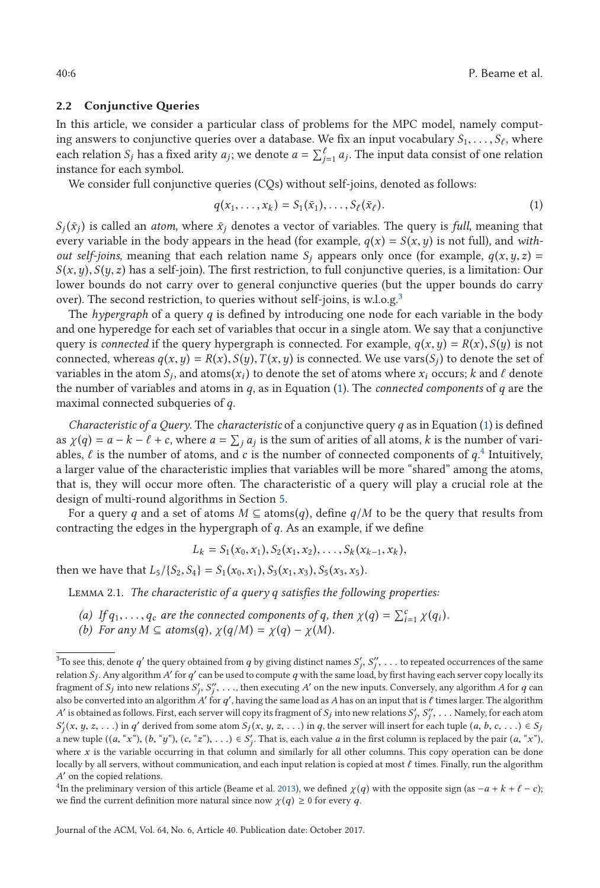#### <span id="page-5-0"></span>**2.2 Conjunctive Queries**

In this article, we consider a particular class of problems for the MPC model, namely computing answers to conjunctive queries over a database. We fix an input vocabulary  $S_1, \ldots, S_\ell$ , where each relation  $S_j$  has a fixed arity  $a_j$ ; we denote  $a = \sum_{j=1}^{\ell} a_j.$  The input data consist of one relation instance for each symbol.

We consider full conjunctive queries (CQs) without self-joins, denoted as follows:

$$
q(x_1,\ldots,x_k)=S_1(\bar{x}_1),\ldots,S_\ell(\bar{x}_\ell).
$$
 (1)

 $S_i(\bar{x}_i)$  is called an *atom*, where  $\bar{x}_i$  denotes a vector of variables. The query is *full*, meaning that every variable in the body appears in the head (for example,  $q(x) = S(x, y)$  is not full), and *without self-joins*, meaning that each relation name  $S_i$  appears only once (for example,  $q(x, y, z) =$  $S(x, y)$ ,  $S(y, z)$  has a self-join). The first restriction, to full conjunctive queries, is a limitation: Our lower bounds do not carry over to general conjunctive queries (but the upper bounds do carry over). The second restriction, to queries without self-joins, is w.l.o.g.<sup>3</sup>

The *hypergraph* of a query *q* is defined by introducing one node for each variable in the body and one hyperedge for each set of variables that occur in a single atom. We say that a conjunctive query is *connected* if the query hypergraph is connected. For example,  $q(x, y) = R(x), S(y)$  is not connected, whereas  $q(x, y) = R(x), S(y), T(x, y)$  is connected. We use vars( $S_i$ ) to denote the set of variables in the atom  $S_j$ , and atoms( $x_i$ ) to denote the set of atoms where  $x_i$  occurs; *k* and *l* denote the number of *g* are the number of *g* are the the number of variables and atoms in *q*, as in Equation (1). The *connected components* of *q* are the maximal connected subqueries of *q*.

*Characteristic of a Query*. The *characteristic* of a conjunctive query *q* as in Equation (1) is defined as  $\chi(q) = a - k - \ell + c$ , where  $a = \sum_j a_j$  is the sum of arities of all atoms, *k* is the number of vari-<br>ables *f* is the number of atoms, and *c* is the number of connected components of  $a^4$  Intuitively ables,  $\ell$  is the number of atoms, and *c* is the number of connected components of  $q$ .<sup>4</sup> Intuitively, a larger value of the characteristic implies that variables will be more "shared" among the atoms, that is, they will occur more often. The characteristic of a query will play a crucial role at the design of multi-round algorithms in Section [5.](#page-40-0)

For a query *q* and a set of atoms  $M \subseteq \text{atoms}(q)$ , define  $q/M$  to be the query that results from contracting the edges in the hypergraph of *q*. As an example, if we define

$$
L_k = S_1(x_0, x_1), S_2(x_1, x_2), \ldots, S_k(x_{k-1}, x_k),
$$

then we have that  $L_5/(S_2, S_4) = S_1(x_0, x_1), S_3(x_1, x_3), S_5(x_3, x_5)$ .

Lemma 2.1. *The characteristic of a query q satisfies the following properties:*

- (a) If  $q_1, \ldots, q_c$  are the connected components of *q*, then  $\chi(q) = \sum_{i=1}^c \chi(q_i)$ .<br>(b) For any  $M \subset \text{atom}(q)$ ,  $\chi(q/M) = \chi(q) \chi(M)$
- *(b)* For any  $M \subseteq \text{atoms}(q)$ ,  $\chi(q/M) = \chi(q) \chi(M)$ .

<sup>&</sup>lt;sup>3</sup>To see this, denote *q'* the query obtained from *q* by giving distinct names *S'<sub>j</sub>*, *S''*, ... to repeated occurrences of the same relation  $S_j$ . Any algorithm  $A'$  for  $q'$  can be used to compute  $q$  with the same load, by first having each server copy locally its fragment of *S<sub>j</sub>* into new relations *S'<sub>j</sub>*, *S''*,..., then executing *A'* on the new inputs. Conversely, any algorithm *A* for *q* can<br>also be assumed into an algorithm *A'* for *s'* begins the same lood as *A* has an also be converted into an algorithm *A'* for *q'*, having the same load as *A* has on an input that is  $\ell$  times larger. The algorithm  $\ell'$  is obtained as follows. First, each server will convite fragment of S, into now *A*' is obtained as follows. First, each server will copy its fragment of *S<sub>j</sub>* into new relations *S'<sub>j</sub>*, *S''<sub>j</sub>*, ... Namely, for each atom  $S'_j(x, y, z, ...)$  in q' derived from some atom  $S_j(x, y, z, ...)$  in q, the server will insert for each tuple  $(a, b, c, ...) \in S_j$ a new tuple  $((a, {}^{\alpha}x^{\upsilon}), (b, {}^{\alpha}y^{\upsilon}), (c, {}^{\alpha}z^{\upsilon}), \ldots) \in S'_j$ . That is, each value *a* in the first column is replaced by the pair  $(a, {}^{\alpha}x^{\upsilon})$ ,<br>where *x* is the variable occurring in that column and similarly for where *x* is the variable occurring in that column and similarly for all other columns. This copy operation can be done locally by all servers, without communication, and each input relation is copied at most  $\ell$  times. Finally, run the algorithm  $\ell'$  on the copied relations *A*<sup> $\prime$ </sup> on the copied relations.

<sup>&</sup>lt;sup>4</sup>In the preliminary version of this article (Beame et al. [2013\)](#page-56-0), we defined  $\chi(q)$  with the opposite sign (as  $-a + k + \ell - c$ );<br>we find the ourrent definition more natural since now  $\chi(a) > 0$  for overy  $a$ . we find the current definition more natural since now  $\chi(q) \geq 0$  for every *q*.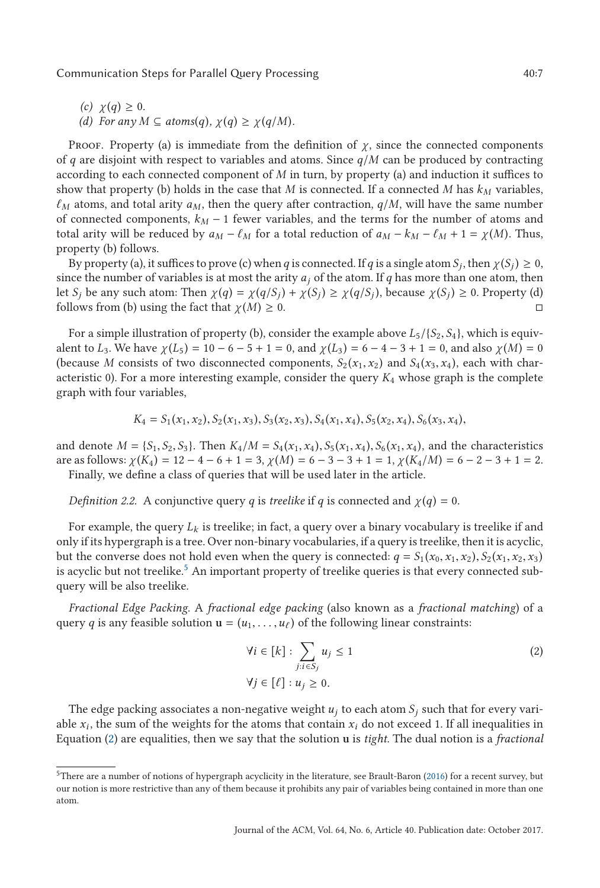<span id="page-6-0"></span>*(c)*  $\chi(q) \geq 0$ . *(d)* For any  $M \subseteq \text{atoms}(q)$ ,  $\chi(q) \geq \chi(q/M)$ .

Proof. Property (a) is immediate from the definition of  $\chi$ , since the connected components of *<sup>q</sup>* are disjoint with respect to variables and atoms. Since *<sup>q</sup>*/*<sup>M</sup>* can be produced by contracting according to each connected component of *M* in turn, by property (a) and induction it suffices to show that property (b) holds in the case that *M* is connected. If a connected *M* has *k<sup>M</sup>* variables, of connected components,  $k_M - 1$  fewer variables, and the terms for the number of atoms and  $\ell_M$  atoms, and total arity  $a_M$ , then the query after contraction,  $q/M$ , will have the same number total arity will be reduced by  $a_M - \ell_M$  for a total reduction of  $a_M - k_M - \ell_M + 1 = \chi(M)$ . Thus, property (b) follows property (b) follows.

By property (a), it suffices to prove (c) when *q* is connected. If *q* is a single atom  $S_j$ , then  $\chi(S_j) \geq 0$ , since the number of variables is at most the arity  $a_j$  of the atom. If  $q$  has more than one atom, then let S<sub>j</sub> be any such atom: Then  $\chi(q) = \chi(q/S_j) + \chi(S_j) \ge \chi(q/S_j)$ , because  $\chi(S_j) \ge 0$ . Property (d) follows from (b) using the fact that  $\chi(M) > 0$ follows from (b) using the fact that  $\chi(M) \geq 0$ .

For a simple illustration of property (b), consider the example above *<sup>L</sup>*5/{*S*2, *<sup>S</sup>*4}, which is equivalent to *L*<sub>3</sub>. We have  $\chi$ (*L*<sub>5</sub>) = 10 – 6 – 5 + 1 = 0, and  $\chi$ (*L*<sub>3</sub>) = 6 – 4 – 3 + 1 = 0, and also  $\chi$ (*M*) = 0 (because *M* consists of two disconnected components,  $S_2(x_1, x_2)$  and  $S_4(x_3, x_4)$ , each with characteristic 0). For a more interesting example, consider the query  $K_4$  whose graph is the complete graph with four variables,

$$
K_4 = S_1(x_1, x_2), S_2(x_1, x_3), S_3(x_2, x_3), S_4(x_1, x_4), S_5(x_2, x_4), S_6(x_3, x_4),
$$

and denote  $M = \{S_1, S_2, S_3\}$ . Then  $K_4/M = S_4(x_1, x_4), S_5(x_1, x_4), S_6(x_1, x_4)$ , and the characteristics are as follows:  $\chi(K_4) = 12 - 4 - 6 + 1 = 3$ ,  $\chi(M) = 6 - 3 - 3 + 1 = 1$ ,  $\chi(K_4/M) = 6 - 2 - 3 + 1 = 2$ . Finally, we define a class of queries that will be used later in the article.

*Definition 2.2.* A conjunctive query *q* is *treelike* if *q* is connected and  $\chi(q) = 0$ .

For example, the query  $L_k$  is treelike; in fact, a query over a binary vocabulary is treelike if and only if its hypergraph is a tree. Over non-binary vocabularies, if a query is treelike, then it is acyclic, but the converse does not hold even when the query is connected:  $q = S_1(x_0, x_1, x_2), S_2(x_1, x_2, x_3)$ is acyclic but not treelike.<sup>5</sup> An important property of treelike queries is that every connected subquery will be also treelike.

*Fractional Edge Packing*. A *fractional edge packing* (also known as a *fractional matching*) of a query *q* is any feasible solution  $\mathbf{u} = (u_1, \dots, u_\ell)$  of the following linear constraints:

$$
\forall i \in [k]: \sum_{j:i \in S_j} u_j \le 1
$$
  

$$
\forall j \in [\ell]: u_j \ge 0.
$$
 (2)

The edge packing associates a non-negative weight  $u_i$  to each atom  $S_i$  such that for every variable  $x_i$ , the sum of the weights for the atoms that contain  $x_i$  do not exceed 1. If all inequalities in Equation (2) are equalities, then we say that the solution **u** is *tight*. The dual notion is a *fractional*

<sup>5</sup>There are a number of notions of hypergraph acyclicity in the literature, see Brault-Baron [\(2016\)](#page-56-0) for a recent survey, but our notion is more restrictive than any of them because it prohibits any pair of variables being contained in more than one atom.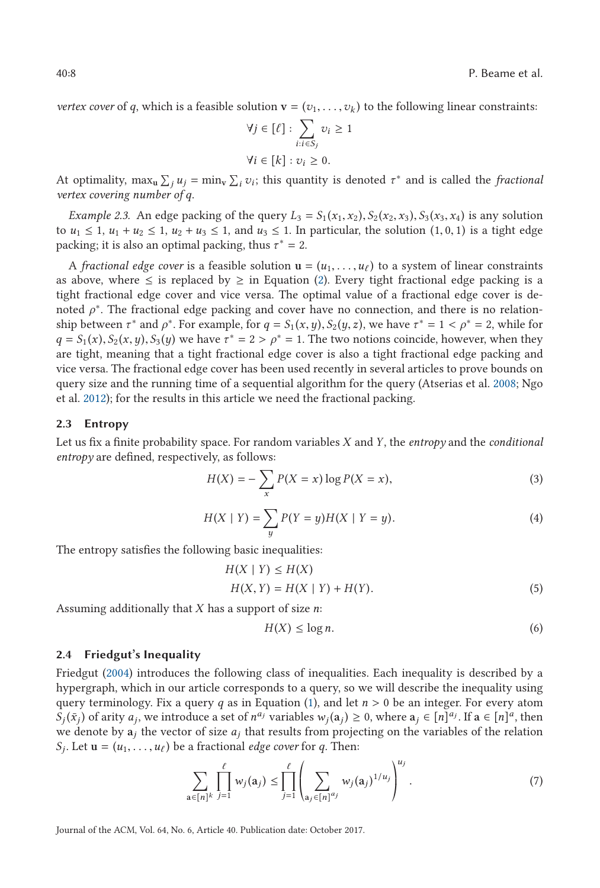*vertex cover* of *q*, which is a feasible solution  $\mathbf{v} = (v_1, \dots, v_k)$  to the following linear constraints:

$$
\forall j \in [\ell] : \sum_{i:i \in S_j} v_i \ge 1
$$
  

$$
\forall i \in [k] : v_i \ge 0.
$$

At optimality,  $\max_{u} \sum_{j} u_j = \min_{v} \sum_{i} v_i$ ; this quantity is denoted  $\tau^*$  and is called the *fractional vertex covering number of q*.

*Example 2.3.* An edge packing of the query  $L_3 = S_1(x_1, x_2), S_2(x_2, x_3), S_3(x_3, x_4)$  is any solution to  $u_1 \leq 1$ ,  $u_1 + u_2 \leq 1$ ,  $u_2 + u_3 \leq 1$ , and  $u_3 \leq 1$ . In particular, the solution  $(1, 0, 1)$  is a tight edge packing; it is also an optimal packing, thus  $\tau^* = 2$ .

A *fractional edge cover* is a feasible solution  $\mathbf{u} = (u_1, \dots, u_\ell)$  to a system of linear constraints above, where  $\leq$  is replaced by  $\geq$  in Equation (2). Every tight fractional edge packing is a as above, where  $\leq$  is replaced by  $\geq$  in Equation [\(2\)](#page-6-0). Every tight fractional edge packing is a tight fractional edge cover and vice versa. The optimal value of a fractional edge cover is denoted *ρ*∗. The fractional edge packing and cover have no connection, and there is no relationship between  $\tau^*$  and  $\rho^*$ . For example, for  $q = S_1(x, y), S_2(y, z)$ , we have  $\tau^* = 1 < \rho^* = 2$ , while for  $q = S_1(x), S_2(x, y), S_3(y)$  we have  $\tau^* = 2 > \rho^* = 1$ . The two notions coincide, however, when they are tight, meaning that a tight fractional edge cover is also a tight fractional edge packing and vice versa. The fractional edge cover has been used recently in several articles to prove bounds on query size and the running time of a sequential algorithm for the query (Atserias et al. [2008;](#page-56-0) Ngo et al. [2012\)](#page-57-0); for the results in this article we need the fractional packing.

## **2.3 Entropy**

Let us fix a finite probability space. For random variables *X* and *Y*, the *entropy* and the *conditional entropy* are defined, respectively, as follows:

$$
H(X) = -\sum_{x} P(X = x) \log P(X = x),
$$
\n(3)

$$
H(X | Y) = \sum_{y} P(Y = y)H(X | Y = y).
$$
\n(4)

The entropy satisfies the following basic inequalities:

$$
H(X | Y) \le H(X)
$$
  
 
$$
H(X, Y) = H(X | Y) + H(Y).
$$
 (5)

Assuming additionally that *X* has a support of size *n*:

$$
H(X) \le \log n. \tag{6}
$$

# **2.4 Friedgut's Inequality**

Friedgut [\(2004\)](#page-56-0) introduces the following class of inequalities. Each inequality is described by a hypergraph, which in our article corresponds to a query, so we will describe the inequality using query terminology. Fix a query *q* as in Equation [\(1\)](#page-5-0), and let  $n > 0$  be an integer. For every atom  $S_j(\bar{x}_j)$  of arity  $a_j$ , we introduce a set of  $n^{a_j}$  variables  $w_j(a_j) \ge 0$ , where  $a_j \in [n]^{a_j}$ . If  $a \in [n]^a$ , then we denote by  $\mathbf{a}_i$  the vector of size  $a_i$  that results from projecting on the variables of the relation  $S_j$ . Let  $\mathbf{u} = (u_1, \dots, u_\ell)$  be a fractional *edge cover* for *q*. Then:

$$
\sum_{\mathbf{a}\in[n]^{k}}\prod_{j=1}^{\ell}w_{j}(\mathbf{a}_{j})\leq \prod_{j=1}^{\ell}\left(\sum_{\mathbf{a}_{j}\in[n]^{a_{j}}}w_{j}(\mathbf{a}_{j})^{1/u_{j}}\right)^{u_{j}}.
$$
\n(7)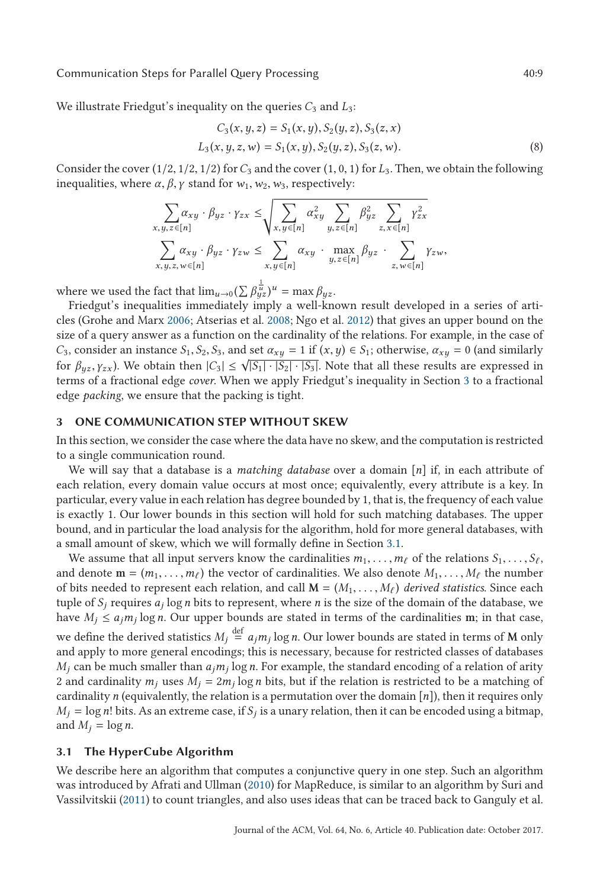<span id="page-8-0"></span>We illustrate Friedgut's inequality on the queries  $C_3$  and  $L_3$ :

$$
C_3(x, y, z) = S_1(x, y), S_2(y, z), S_3(z, x)
$$
  

$$
L_3(x, y, z, w) = S_1(x, y), S_2(y, z), S_3(z, w).
$$
 (8)

Consider the cover (1/2, <sup>1</sup>/2, <sup>1</sup>/2) for*C*<sup>3</sup> and the cover (1, <sup>0</sup>, <sup>1</sup>) for *<sup>L</sup>*3. Then, we obtain the following inequalities, where  $\alpha$ ,  $\beta$ ,  $\gamma$  stand for  $w_1$ ,  $w_2$ ,  $w_3$ , respectively:

$$
\sum_{x,y,z\in[n]} \alpha_{xy} \cdot \beta_{yz} \cdot \gamma_{zx} \le \sqrt{\sum_{x,y\in[n]} \alpha_{xy}^2 \sum_{y,z\in[n]} \beta_{yz}^2 \sum_{z,x\in[n]} \gamma_{zx}^2}
$$

$$
\sum_{x,y,z,w\in[n]} \alpha_{xy} \cdot \beta_{yz} \cdot \gamma_{zw} \le \sum_{x,y\in[n]} \alpha_{xy} \cdot \max_{y,z\in[n]} \beta_{yz} \cdot \sum_{z,w\in[n]} \gamma_{zw},
$$

where we used the fact that  $\lim_{u\to 0} (\sum \beta_{yz}^{\frac{1}{u}})^u = \max \beta_{yz}$ .

Friedgut's inequalities immediately imply a well-known result developed in a series of articles (Grohe and Marx [2006;](#page-57-0) Atserias et al. [2008;](#page-56-0) Ngo et al. [2012\)](#page-57-0) that gives an upper bound on the size of a query answer as a function on the cardinality of the relations. For example, in the case of *C*<sub>3</sub>, consider an instance  $S_1$ ,  $S_2$ ,  $S_3$ , and set  $\alpha_{xy} = 1$  if  $(x, y) \in S_1$ ; otherwise,  $\alpha_{xy} = 0$  (and similarly *C*<sub>3</sub>, consider all instance *5*<sub>1</sub>, *5*<sub>2</sub>, *5*<sub>3</sub>, and set  $a_{xy} = 1$  if  $(x, y) \in 3$ <sub>1</sub>, otherwise,  $a_{xy} = 0$  (and similarly for  $β_{yz}$ ,  $γ_{zx}$ ). We obtain then  $|C_3| \le \sqrt{|S_1| \cdot |S_2| \cdot |S_3|}$ . Note that all these resul terms of a fractional edge *cover*. When we apply Friedgut's inequality in Section 3 to a fractional edge *packing*, we ensure that the packing is tight.

# **3 ONE COMMUNICATION STEP WITHOUT SKEW**

In this section, we consider the case where the data have no skew, and the computation is restricted to a single communication round.

We will say that a database is a *matching database* over a domain [*n*] if, in each attribute of each relation, every domain value occurs at most once; equivalently, every attribute is a key. In particular, every value in each relation has degree bounded by 1, that is, the frequency of each value is exactly 1. Our lower bounds in this section will hold for such matching databases. The upper bound, and in particular the load analysis for the algorithm, hold for more general databases, with a small amount of skew, which we will formally define in Section 3.1.

We assume that all input servers know the cardinalities  $m_1, \ldots, m_\ell$  of the relations  $S_1, \ldots, S_\ell$ ,<br>d denote  $\mathbf{m} = (m_1, \ldots, m_\ell)$  the vector of cardinalities. We also denote  $M_1, \ldots, M_\ell$  the number and denote  $\mathbf{m} = (m_1, \ldots, m_\ell)$  the vector of cardinalities. We also denote  $M_1, \ldots, M_\ell$  the number<br>of hits needed to represent each relation, and call  $\mathbf{M} = (M_1, \ldots, M_\ell)$  derived statistics. Since each of bits needed to represent each relation, and call  $M = (M_1, \ldots, M_\ell)$  *derived statistics*. Since each type of S, requires a log *n* bits to represent where *n* is the size of the domain of the database we tuple of  $S_j$  requires  $a_j$  log *n* bits to represent, where *n* is the size of the domain of the database, we have  $M_i \le a_j m_j \log n$ . Our upper bounds are stated in terms of the cardinalities **m**; in that case, we define the derived statistics  $M_j \stackrel{\text{def}}{=} a_j m_j \log n$ . Our lower bounds are stated in terms of **M** only and apply to more general encodings; this is necessary, because for restricted classes of databases  $M_j$  can be much smaller than  $a_j m_j \log n$ . For example, the standard encoding of a relation of arity 2 and cardinality  $m_j$  uses  $M_j = 2m_j \log n$  bits, but if the relation is restricted to be a matching of cardinality *n* (equivalently, the relation is a permutation over the domain [*n*]), then it requires only  $M_j = \log n!$  bits. As an extreme case, if  $S_j$  is a unary relation, then it can be encoded using a bitmap, and  $M_i = \log n$ .

## **3.1 The HyperCube Algorithm**

We describe here an algorithm that computes a conjunctive query in one step. Such an algorithm was introduced by Afrati and Ullman [\(2010\)](#page-56-0) for MapReduce, is similar to an algorithm by Suri and Vassilvitskii [\(2011\)](#page-57-0) to count triangles, and also uses ideas that can be traced back to Ganguly et al.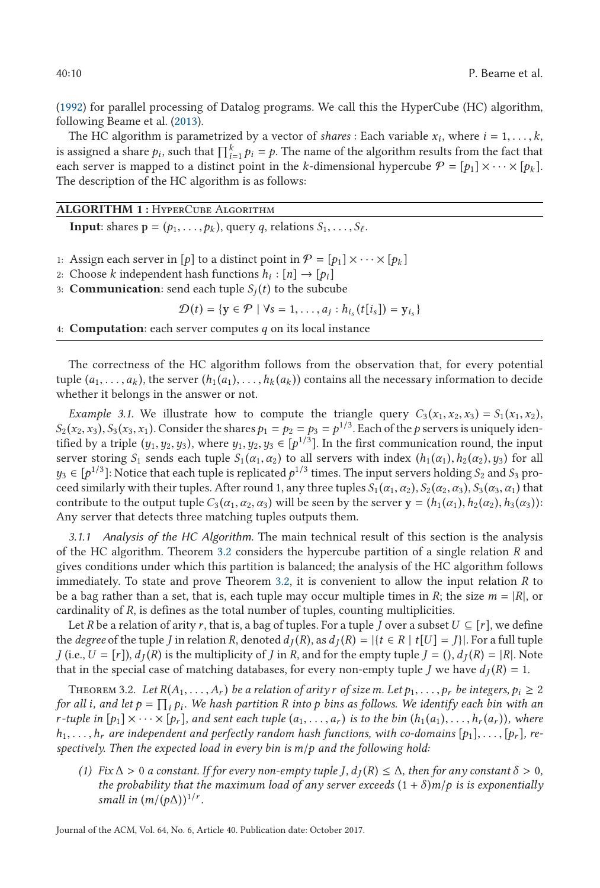[\(1992\)](#page-57-0) for parallel processing of Datalog programs. We call this the HyperCube (HC) algorithm, following Beame et al. [\(2013\)](#page-56-0).

The HC algorithm is parametrized by a vector of *shares* : Each variable  $x_i$ , where  $i = 1, \ldots, k$ , is assigned a share  $p_i$ , such that  $\prod_{i=1}^{k} p_i = p$ . The name of the algorithm results from the fact that each server is mapped to a distinct point in the *k*-dimensional hypercube  $\mathcal{P} = [p_1] \times \cdots \times [p_k]$ . The description of the HC algorithm is as follows:

| <b>ALGORITHM 1: HYPERCUBE ALGORITHM</b>                                                              |  |  |  |
|------------------------------------------------------------------------------------------------------|--|--|--|
| <b>Input:</b> shares $\mathbf{p} = (p_1, \ldots, p_k)$ , query q, relations $S_1, \ldots, S_\ell$ .  |  |  |  |
| 1: Assign each server in [p] to a distinct point in $\mathcal{P} = [p_1] \times \cdots \times [p_k]$ |  |  |  |
| 2: Choose k independent hash functions $h_i : [n] \rightarrow [p_i]$                                 |  |  |  |
| 3: <b>Communication:</b> send each tuple $S_i(t)$ to the subcube                                     |  |  |  |

 $\mathcal{D}(t) = \{ y \in \mathcal{P} \mid \forall s = 1, \ldots, a_j : h_{i_s}(t[i_s]) = y_{i_s} \}$ 

4: **Computation**: each server computes *q* on its local instance

The correctness of the HC algorithm follows from the observation that, for every potential tuple  $(a_1, \ldots, a_k)$ , the server  $(h_1(a_1), \ldots, h_k(a_k))$  contains all the necessary information to decide whether it belongs in the answer or not.

*Example 3.1.* We illustrate how to compute the triangle query  $C_3(x_1, x_2, x_3) = S_1(x_1, x_2)$ ,  $S_2(x_2, x_3)$ ,  $S_3(x_3, x_1)$ . Consider the shares  $p_1 = p_2 = p_3 = p^{1/3}$ . Each of the *p* servers is uniquely identified by a triple  $(y_1, y_2, y_3)$ , where  $y_1, y_2, y_3 \in [p^{1/3}]$ . In the first communication round, the input server storing  $S_1$  sends each tuple  $S_1(\alpha_1, \alpha_2)$  to all servers with index  $(h_1(\alpha_1), h_2(\alpha_2), y_3)$  for all  $y_3 \in [p^{1/3}]$ : Notice that each tuple is replicated  $p^{1/3}$  times. The input servers holding  $S_2$  and  $S_3$  proceed similarly with their tuples. After round 1, any three tuples  $S_1(\alpha_1, \alpha_2)$ ,  $S_2(\alpha_2, \alpha_3)$ ,  $S_3(\alpha_3, \alpha_1)$  that contribute to the output tuple  $C_3(\alpha_1, \alpha_2, \alpha_3)$  will be seen by the server  $\mathbf{y} = (h_1(\alpha_1), h_2(\alpha_2), h_3(\alpha_3))$ : Any server that detects three matching tuples outputs them.

*3.1.1 Analysis of the HC Algorithm.* The main technical result of this section is the analysis of the HC algorithm. Theorem 3.2 considers the hypercube partition of a single relation *R* and gives conditions under which this partition is balanced; the analysis of the HC algorithm follows immediately. To state and prove Theorem 3.2, it is convenient to allow the input relation *R* to be a bag rather than a set, that is, each tuple may occur multiple times in *R*; the size  $m = |R|$ , or cardinality of *R*, is defines as the total number of tuples, counting multiplicities.

Let *R* be a relation of arity *r*, that is, a bag of tuples. For a tuple *J* over a subset  $U \subseteq [r]$ , we define the *degree* of the tuple *J* in relation *R*, denoted  $d_I(R)$ , as  $d_I(R) = |\{t \in R \mid t[U] = J\}|$ . For a full tuple *J* (i.e.,  $U = [r]$ ),  $d_I(R)$  is the multiplicity of *J* in *R*, and for the empty tuple  $J = (l)$ ,  $d_I(R) = |R|$ . Note that in the special case of matching databases, for every non-empty tuple *J* we have  $d_I(R) = 1$ .

THEOREM 3.2. Let  $R(A_1, \ldots, A_r)$  be a relation of arity r of size m. Let  $p_1, \ldots, p_r$  be integers,  $p_i \geq 2$ for all i, and let  $p = \prod_i p_i$ . We hash partition R into  $p$  bins as follows. We identify each bin with an r-tuple in  $[p_1] \times \cdots \times [p_r]$ , and sent each tuple  $(a_1, \ldots, a_r)$  is to the bin  $(h_1(a_1), \ldots, h_r(a_r))$ , where  $h_1,\ldots,h_r$  are independent and perfectly random hash functions, with co-domains  $[p_1],\ldots,[p_r]$ , re*spectively. Then the expected load in every bin is <sup>m</sup>*/*<sup>p</sup> and the following hold:*

*(1) Fix*  $\Delta > 0$  *a* constant. If for every non-empty tuple  $J$ ,  $d_I(R) \leq \Delta$ , then for any constant  $\delta > 0$ , *the probability that the maximum load of any server exceeds*  $(1 + \delta)m/p$  *is is exponentially small in*  $(m/(p\Delta))^{1/r}$ *.*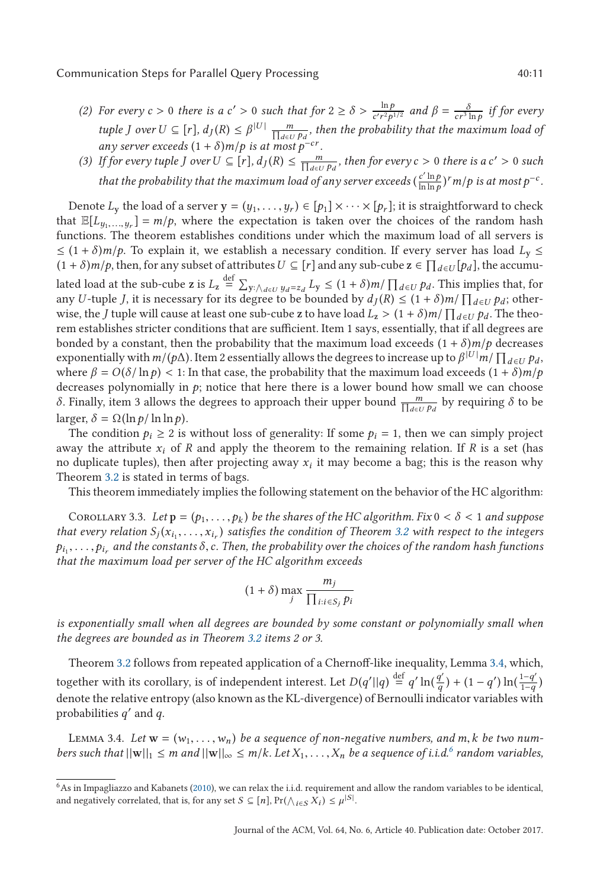- *(2)* For every  $c > 0$  there is a  $c' > 0$  such that for  $2 \ge \delta > \frac{\ln p}{c'r^2p^{1/2}}$  and  $\beta = \frac{\delta}{c r^3 \ln p}$  if for every *tuple J* over  $U \subseteq [r]$ ,  $d_J(R) \leq \beta^{|U|} \frac{m}{\prod_{d \in U} p_d}$ , then the probability that the maximum load of *any server exceeds*  $(1 + \delta)m/p$  *is at most*  $p^{-cr}$ .<br>If for every tuple Lover  $U \subseteq [r]$ ,  $d_2(R) \leq \frac{m}{2}$
- (3) If for every tuple J over  $U \subseteq [r]$ ,  $d_J(R) \le \frac{m}{\prod_{d \in U} p_d}$ , then for every  $c > 0$  there is a  $c' > 0$  such *that the probability that the maximum load of any server exceeds*  $(\frac{c' \ln p}{\ln \ln p})^r m/p$  *is at most*  $p^{-c}$ .

Denote  $L_y$  the load of a server  $y = (y_1, \ldots, y_r) \in [p_1] \times \cdots \times [p_r]$ ; it is straightforward to check that  $\mathbb{E}[L_{y_1,\ldots,y_r}] = m/p$ , where the expectation is taken over the choices of the random hash functions. The theorem establishes conditions under which the maximum load of all servers is  $\leq (1+\delta)m/p$ . To explain it, we establish a necessary condition. If every server has load  $L_v \leq$  $(1 + \delta)m/p$ , then, for any subset of attributes  $U \subseteq [r]$  and any sub-cube  $z \in \prod_{d \in U} [p_d]$ , the accumulated load at the sub-cube z is  $L_z \stackrel{\text{def}}{=} \sum_{y: \bigwedge_{d \in U} y_d = z_d} L_y \leq (1 + \delta)m / \prod_{d \in U} p_d$ . This implies that, for any *U*-tuple *J*, it is necessary for its degree to be bounded by  $d_J(R) \leq (1 + \delta)m/\prod_{d \in U} p_d$ ; other-<br>wise the *L* tuple will cause at least one sub-cube **z** to have load  $I \rightarrow (1 + \delta)m/\prod_{d \in U} p_d$ . The theowise, the *J* tuple will cause at least one sub-cube **z** to have load  $L_z > (1 + \delta)m/\prod_{d \in U} p_d$ . The theo-<br>rem establishes stricter conditions that are sufficient. Item 1 save, essentially, that if all degrees are rem establishes stricter conditions that are sufficient. Item 1 says, essentially, that if all degrees are bonded by a constant, then the probability that the maximum load exceeds  $(1 + \delta)m/p$  decreases exponentially with  $m/(\rho\Delta)$ . Item 2 essentially allows the degrees to increase up to  $\beta^{|U|}m/\prod_{d\in U}p_d$ , where  $\beta = O(\delta/\ln n) < 1$ ; In that case, the probability that the maximum load exceeds  $(1+\delta)m/n$ where  $\beta = O(\delta/\ln p) < 1$ : In that case, the probability that the maximum load exceeds  $(1 + \delta)m/p$ decreases polynomially in  $p$ ; notice that here there is a lower bound how small we can choose *δ*. Finally, item 3 allows the degrees to approach their upper bound  $\frac{m}{\prod_{d\in U} p_d}$  by requiring *δ* to be larger, *<sup>δ</sup>* <sup>=</sup> Ω(ln*p*/ ln ln*p*).

The condition  $p_i \geq 2$  is without loss of generality: If some  $p_i = 1$ , then we can simply project away the attribute  $x_i$  of R and apply the theorem to the remaining relation. If R is a set (has no duplicate tuples), then after projecting away  $x_i$  it may become a bag; this is the reason why Theorem 3.2 is stated in terms of bags.

This theorem immediately implies the following statement on the behavior of the HC algorithm:

COROLLARY 3.3. *Let*  $\mathbf{p} = (p_1, \ldots, p_k)$  *be the shares of the HC algorithm. Fix*  $0 < \delta < 1$  *and suppose that every relation*  $S_i(x_i, \ldots, x_i)$  *satisfies the condition of Theorem 3.2 with respect to the integers*  $p_i, \ldots, p_i$ <sup>*r*</sup> *and the constants*  $\delta$ , *c. Then, the probability over the choices of the random hash functions that the maximum load per server of the HC algorithm exceeds*

$$
(1+\delta)\max_j \frac{m_j}{\prod_{i:i\in S_j} p_i}
$$

*is exponentially small when all degrees are bounded by some constant or polynomially small when the degrees are bounded as in Theorem 3.2 items 2 or 3.*

Theorem 3.2 follows from repeated application of a Chernoff-like inequality, Lemma 3.4, which, together with its corollary, is of independent interest. Let  $D(q'||q) \stackrel{\text{def}}{=} q' \ln(\frac{q'}{q}) + (1 - q') \ln(\frac{1-q'}{1-q})$ denote the relative entropy (also known as the KL-divergence) of Bernoulli indicator variables with probabilities *q* and *q*.

LEMMA 3.4. *Let*  $w = (w_1, \ldots, w_n)$  *be a sequence of non-negative numbers, and m, k be two numbers such that*  $||\mathbf{w}||_1 \leq m$  *and*  $||\mathbf{w}||_{\infty} \leq m/k$ *. Let*  $X_1, \ldots, X_n$  *be a sequence of i.i.d.*<sup>6</sup> *random variables,* 

<sup>6</sup>As in Impagliazzo and Kabanets [\(2010\)](#page-57-0), we can relax the i.i.d. requirement and allow the random variables to be identical, and negatively correlated, that is, for any set  $S \subseteq [n]$ ,  $Pr(\bigwedge_{i \in S} X_i) \leq \mu^{|S|}$ .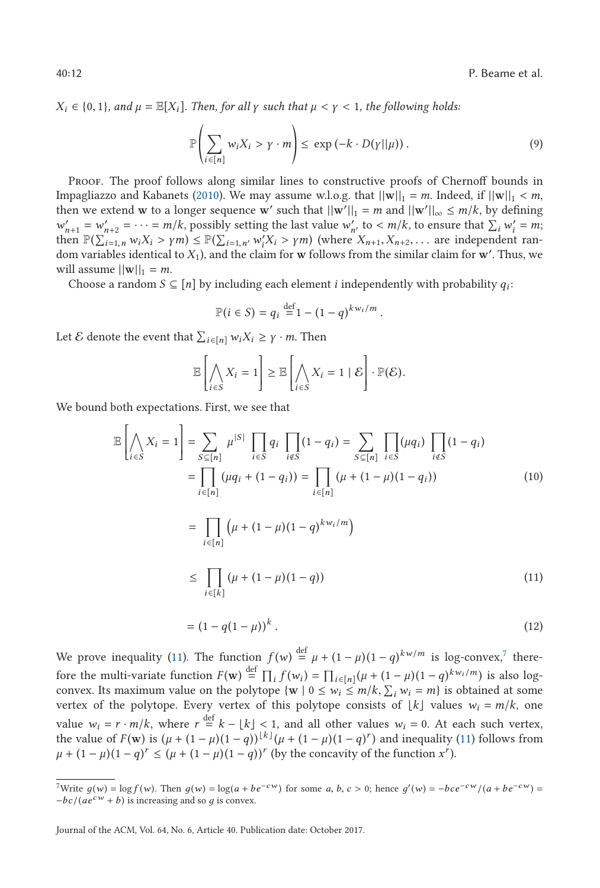$X_i \in \{0, 1\}$ , and  $\mu = \mathbb{E}[X_i]$ . Then, for all *γ* such that  $\mu < \gamma < 1$ , the following holds:

$$
\mathbb{P}\left(\sum_{i\in[n]} w_i X_i > \gamma \cdot m\right) \le \exp\left(-k \cdot D(\gamma||\mu)\right). \tag{9}
$$

PROOF. The proof follows along similar lines to constructive proofs of Chernoff bounds in Impagliazzo and Kabanets [\(2010\)](#page-57-0). We may assume w.l.o.g. that  $||\mathbf{w}||_1 = m$ . Indeed, if  $||\mathbf{w}||_1 < m$ , then we extend **w** to a longer sequence **w**' such that  $||\mathbf{w}'||_1 = m$  and  $||\mathbf{w}'||_{\infty} \le m/k$ , by defining  $w' = w' = w' = m/k$  possibly setting the last value  $w'$  to  $\le m/k$  to ensure that  $\Sigma, w' = m$  $w'_{n+1} = w'_{n+2} = \cdots = m/k$ , possibly setting the last value  $w'_{n'}$ , to < *m*/*k*, to ensure that  $\sum_i w'_i = m$ ;<br>then  $\mathbb{P}(\sum_i w_i \leq w_i) \leq \mathbb{P}(\sum_i w'_i \leq w'_i)$  (where  $X_i \leq X_i$  are independent range then  $\mathbb{P}(\sum_{i=1,n}^{n} w_i X_i > \gamma m) \leq \mathbb{P}(\sum_{i=1,n'}^{n} w_i X_i > \gamma m)$  (where  $X_{n+1}, X_{n+2}, \ldots$  are independent ran-<br>dom variables identical to  $X_i$ ) and the claim for w follows from the similar claim for w'. Thus we dom variables identical to  $X_1$ ), and the claim for **w** follows from the similar claim for **w**'. Thus, we will assume  $||w||_1 = m$ .

Choose a random  $S \subseteq [n]$  by including each element *i* independently with probability  $q_i$ :

$$
\mathbb{P}(i \in S) = q_i \stackrel{\text{def}}{=} 1 - (1 - q)^{kw_i/m}.
$$

Let  $\mathcal{E}$  denote the event that  $\sum_{i \in [n]} w_i X_i \geq \gamma \cdot m$ . Then

$$
\mathbb{E}\left[\bigwedge_{i\in S}X_i=1\right]\geq \mathbb{E}\left[\bigwedge_{i\in S}X_i=1\mid \mathcal{E}\right]\cdot \mathbb{P}(\mathcal{E}).
$$

We bound both expectations. First, we see that  $\overline{a}$ 

$$
\mathbb{E}\left[\bigwedge_{i\in S} X_i = 1\right] = \sum_{S \subseteq [n]} \mu^{|S|} \prod_{i\in S} q_i \prod_{i\notin S} (1 - q_i) = \sum_{S \subseteq [n]} \prod_{i\in S} (\mu q_i) \prod_{i\notin S} (1 - q_i)
$$
  
\n
$$
= \prod_{i\in [n]} (\mu q_i + (1 - q_i)) = \prod_{i\in [n]} (\mu + (1 - \mu)(1 - q_i))
$$
(10)  
\n
$$
= \prod_{i\in [n]} (\mu + (1 - \mu)(1 - q)^{kw_i/m})
$$
  
\n
$$
\leq \prod_{i\in [k]} (\mu + (1 - \mu)(1 - q))
$$
(11)  
\n
$$
= (1 - q(1 - \mu))^k.
$$
(12)

We prove inequality (11). The function  $f(w) \stackrel{\text{def}}{=} \mu + (1 - \mu)(1 - q)^{k w / m}$  is log-convex,<sup>7</sup> therefore the multi-variate function  $F(\mathbf{w}) \stackrel{\text{def}}{=} \prod_i f(w_i) = \prod_{i \in [n]} (\mu + (1 - \mu)(1 - q)^{k w_i/m})$  is also logconvex. Its maximum value on the polytope  $\{w \mid 0 \le w_i \le m/k, \sum_i w_i = m\}$  is obtained at some vertex of the polytope. Every vertex of this polytope consists of  $|k|$  values  $w_i = m/k$  one vertex of the polytope. Every vertex of this polytope consists of  $\lfloor k \rfloor$  values  $w_i = m/k$ , one value  $w_i = r \cdot m/k$ , where  $r = k - \lfloor k \rfloor < 1$ , and all other values  $w_i = 0$ . At each such vertex, the value of  $F(w_i)$  is  $(\mu + (1 - \mu)(1 - \alpha))^{k}$   $(\mu + (1 - \mu)(1 - \alpha)^r)$  and inequality (11) follows from the value of  $F(\mathbf{w})$  is  $(\mu + (1 - \mu)(1 - q))^{k}$   $(\mu + (1 - \mu)(1 - q)^r)$  and inequality (11) follows from  $\mu + (1 - \mu)(1 - q)^r \leq (\mu + (1 - \mu)(1 - q))^r$  (by the concavity of the function *x<sup>r</sup>*).

<span id="page-11-0"></span>

<sup>&</sup>lt;sup>7</sup>Write  $g(w) = \log f(w)$ . Then  $g(w) = \log(a + be^{-cw})$  for some a, b,  $c > 0$ ; hence  $g'(w) = -bce^{-cw}/(a + be^{-cw}) =$ <br> $-be/(ae^{cw} + b)$  is increasing and so a is sony w.  $-bc/(ae^{cw} + b)$  is increasing and so *g* is convex.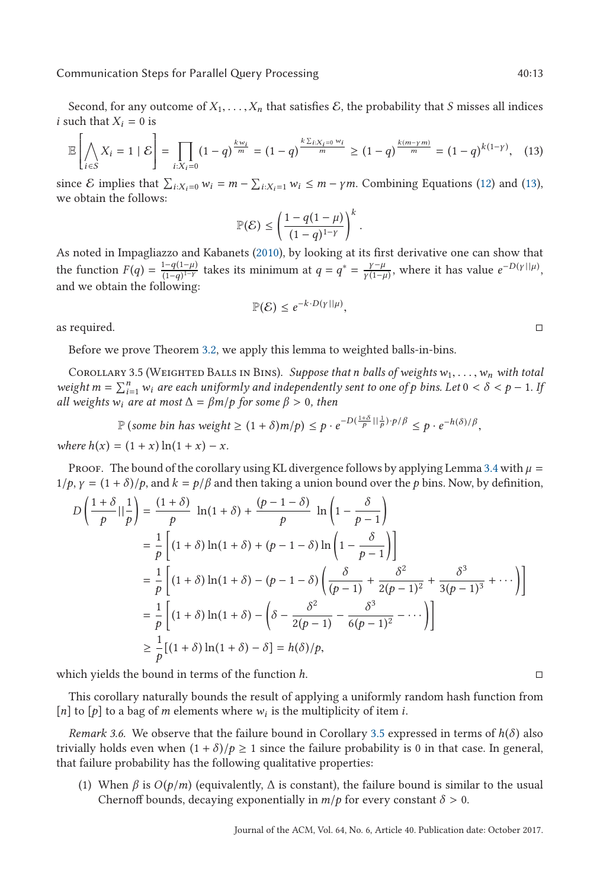Second, for any outcome of  $X_1, \ldots, X_n$  that satisfies  $\mathcal{E}$ , the probability that *S* misses all indices *i* such that  $X_i = 0$  is

$$
\mathbb{E}\left[\bigwedge_{i\in S}X_{i}=1\mid\mathcal{E}\right]=\prod_{i:X_{i}=0}(1-q)^{\frac{kw_{i}}{m}}=(1-q)^{\frac{k\sum_{i:X_{i}=0}w_{i}}{m}}\geq(1-q)^{\frac{k(m-\gamma m)}{m}}=(1-q)^{k(1-\gamma)},\quad(13)
$$

since E implies that  $\sum_{i:X_i=0} w_i = m - \sum_{i:X_i=1} w_i \le m - \gamma m$ . Combining Equations [\(12\)](#page-11-0) and (13), we obtain the follows:

$$
\mathbb{P}(\mathcal{E}) \le \left(\frac{1 - q(1 - \mu)}{(1 - q)^{1 - \gamma}}\right)^k
$$

As noted in Impagliazzo and Kabanets [\(2010\)](#page-57-0), by looking at its first derivative one can show that the function  $F(q) = \frac{1-q(1-\mu)}{(1-q)^{1-\gamma}}$  takes its minimum at  $q = q^* = \frac{\gamma-\mu}{\gamma(1-\mu)}$ , where it has value  $e^{-D(\gamma||\mu)}$ , and we obtain the following:

$$
\mathbb{P}(\mathcal{E}) \leq e^{-k \cdot D(\gamma || \mu)},
$$

as required.

Before we prove Theorem 3.2, we apply this lemma to weighted balls-in-bins.

Corollary 3.5 (Weighted Balls in Bins). *Suppose that <sup>n</sup> balls of weightsw*1,...,*w<sup>n</sup> with total weight*  $m = \sum_{i=1}^{n} w_i$  are each uniformly and independently sent to one of *p bins.* Let  $0 < \delta < p - 1$ . If *all weights*  $w_i$  *are at most*  $\Delta = \beta m/p$  *for some*  $\beta > 0$ *, then* 

$$
\mathbb{P}\left(\text{some bin has weight} \geq (1+\delta)m/p\right) \leq p \cdot e^{-D\left(\frac{1+\delta}{p}\right)|\frac{1}{p}\right)} \cdot p/\beta \leq p \cdot e^{-h(\delta)/\beta},
$$

*where*  $h(x) = (1 + x) \ln(1 + x) - x$ .

Proof. The bound of the corollary using KL divergence follows by applying Lemma 3.4 with  $\mu =$  $1/p$ ,  $\gamma = (1 + \delta)/p$ , and  $k = p/\beta$  and then taking a union bound over the *p* bins. Now, by definition,

$$
D\left(\frac{1+\delta}{p}||\frac{1}{p}\right) = \frac{(1+\delta)}{p} \ln(1+\delta) + \frac{(p-1-\delta)}{p} \ln\left(1-\frac{\delta}{p-1}\right)
$$
  
\n
$$
= \frac{1}{p} \left[ (1+\delta)\ln(1+\delta) + (p-1-\delta)\ln\left(1-\frac{\delta}{p-1}\right) \right]
$$
  
\n
$$
= \frac{1}{p} \left[ (1+\delta)\ln(1+\delta) - (p-1-\delta)\left(\frac{\delta}{(p-1)} + \frac{\delta^2}{2(p-1)^2} + \frac{\delta^3}{3(p-1)^3} + \cdots \right) \right]
$$
  
\n
$$
= \frac{1}{p} \left[ (1+\delta)\ln(1+\delta) - \left(\delta - \frac{\delta^2}{2(p-1)} - \frac{\delta^3}{6(p-1)^2} - \cdots \right) \right]
$$
  
\n
$$
\geq \frac{1}{p} [(1+\delta)\ln(1+\delta) - \delta] = h(\delta)/p,
$$

which yields the bound in terms of the function  $h$ .

This corollary naturally bounds the result of applying a uniformly random hash function from [*n*] to [*p*] to a bag of *m* elements where *w<sup>i</sup>* is the multiplicity of item *i*.

*Remark 3.6.* We observe that the failure bound in Corollary 3.5 expressed in terms of  $h(\delta)$  also trivially holds even when  $(1 + \delta)/p \ge 1$  since the failure probability is 0 in that case. In general, that failure probability has the following qualitative properties:

(1) When  $\beta$  is  $O(p/m)$  (equivalently,  $\Delta$  is constant), the failure bound is similar to the usual Chernoff bounds, decaying exponentially in  $m/p$  for every constant  $\delta > 0$ .

 $\Box$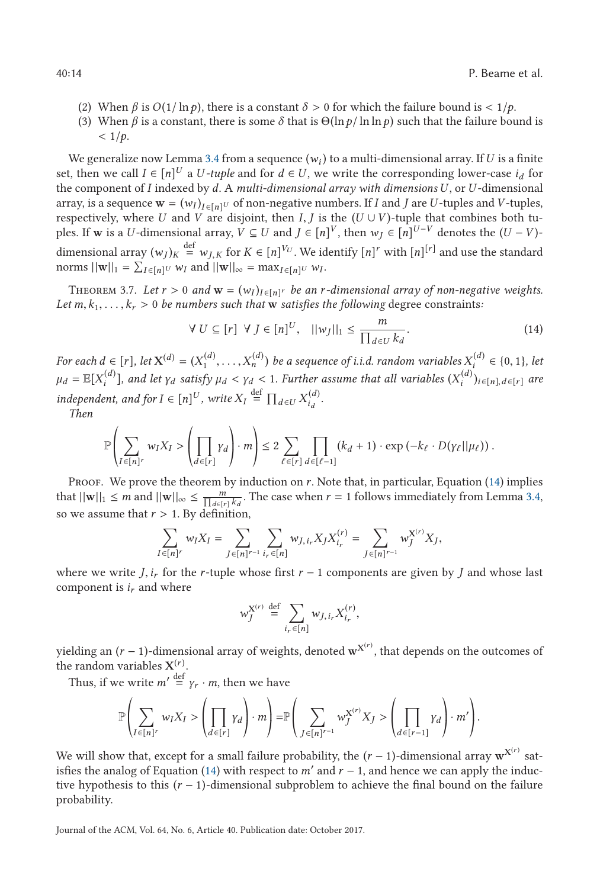- <span id="page-13-0"></span>(2) When  $\beta$  is  $O(1/\ln p)$ , there is a constant  $\delta > 0$  for which the failure bound is <  $1/p$ .
- (3) When  $\beta$  is a constant, there is some  $\delta$  that is  $\Theta(\ln p / \ln \ln p)$  such that the failure bound is  $< 1/p$ .

We generalize now Lemma 3.4 from a sequence  $(w_i)$  to a multi-dimensional array. If  $U$  is a finite set, then we call  $I \in [n]^U$  a *U*-tuple and for  $d \in U$ , we write the corresponding lower-case  $i_d$  for the component of *I* indexed by *d*. A *multi-dimensional array with dimensions U* , or *U* -dimensional array, is a sequence  $\mathbf{w} = (w_I)_{I \in [n]}$  of non-negative numbers. If *I* and *J* are *U*-tuples and *V*-tuples, respectively, where *U* and *V* are disjoint, then *I*, *J* is the  $(U \cup V)$ -tuple that combines both tuples. If **w** is a *U*-dimensional array,  $V \subseteq U$  and  $J \in [n]^V$ , then  $w_J \in [n]^{U-V}$  denotes the  $(U - V)$ dimensional array  $(w_J)_K \stackrel{\text{def}}{=} w_{J,K}$  for  $K \in [n]^V$ *U*. We identify  $[n]^r$  with  $[n]^{[r]}$  and use the standard  $\max_{I \in [n]} |w||_1 = \sum_{I \in [n]} v w_I$  and  $||w||_{\infty} = \max_{I \in [n]} v w_I$ .

THEOREM 3.7. Let  $r > 0$  and  $\mathbf{w} = (w_I)_{I \in [n]^r}$  be an *r*-dimensional array of non-negative weights. *Let*  $m, k_1, \ldots, k_r > 0$  *be numbers such that* **w** *satisfies the following* degree constraints:

$$
\forall U \subseteq [r] \ \forall J \in [n]^U, \ \ ||w_J||_1 \le \frac{m}{\prod_{d \in U} k_d}.
$$
 (14)

For each  $d \in [r]$ , let  $X^{(d)} = (X_1^{(d)}, \ldots, X_n^{(d)})$  be a sequence of i.i.d. random variables  $X_i^{(d)} \in \{0, 1\}$ , let  $\mu_d = \mathbb{E}[X_i^{(d)}]$ , and let  $\gamma_d$  satisfy  $\mu_d < \gamma_d < 1$ . Further assume that all variables  $(X_i^{(d)})_{i \in [n], d \in [r]}$  are *independent, and for*  $I \in [n]^U$ *, write*  $X_I \stackrel{\text{def}}{=} \prod_{d \in U} X_{i_d}^{(d)}$ *.* 

*Then*

$$
\mathbb{P}\left(\sum_{I\in[n]^r}w_IX_I > \left(\prod_{d\in[r]} \gamma_d\right)\cdot m\right) \leq 2\sum_{\ell\in[r]} \prod_{d\in[\ell-1]} (k_d+1)\cdot \exp\left(-k_{\ell}\cdot D(\gamma_{\ell}||\mu_{\ell})\right).
$$

Proof. We prove the theorem by induction on *r*. Note that, in particular, Equation (14) implies that  $||\mathbf{w}||_1 \leq m$  and  $||\mathbf{w}||_{\infty} \leq \frac{m}{\prod_{d \in [r]} k_d}$ . The case when  $r = 1$  follows immediately from Lemma 3.4, so we assume that  $r > 1$ . By definition,

$$
\sum_{I \in [n]^r} w_I X_I = \sum_{J \in [n]^{r-1}} \sum_{i_r \in [n]} w_{J, i_r} X_J X_{i_r}^{(r)} = \sum_{J \in [n]^{r-1}} w_J^{X^{(r)}} X_J,
$$

where we write *J*, *i<sub>r</sub>* for the *r*-tuple whose first  $r - 1$  components are given by *J* and whose last component is *i<sup>r</sup>* and where

$$
w_J^{X^{(r)}} \stackrel{\text{def}}{=} \sum_{i_r \in [n]} w_{J, i_r} X_{i_r}^{(r)},
$$

yielding an (*r* − 1)-dimensional array of weights, denoted  $\mathbf{w}^{\mathbf{X}^{(r)}}$ , that depends on the outcomes of the random variables  $X^{(r)}$ .

Thus, if we write  $m' \stackrel{\text{def}}{=} \gamma_r \cdot m$ , then we have

$$
\mathbb{P}\left(\sum_{I\in[n]^r}w_IX_I > \left(\prod_{d\in[r]} \gamma_d\right)\cdot m\right) = \mathbb{P}\left(\sum_{J\in[n]^{r-1}} w_J^{X^{(r)}}X_J > \left(\prod_{d\in[r-1]} \gamma_d\right)\cdot m'\right).
$$

We will show that, except for a small failure probability, the  $(r - 1)$ -dimensional array  $\mathbf{w}^{X^{(r)}}$  satisfies the analog of Equation (14) with respect to  $m'$  and  $r - 1$ , and hence we can apply the inductive hypothesis to this (*r* − 1)-dimensional subproblem to achieve the final bound on the failure probability.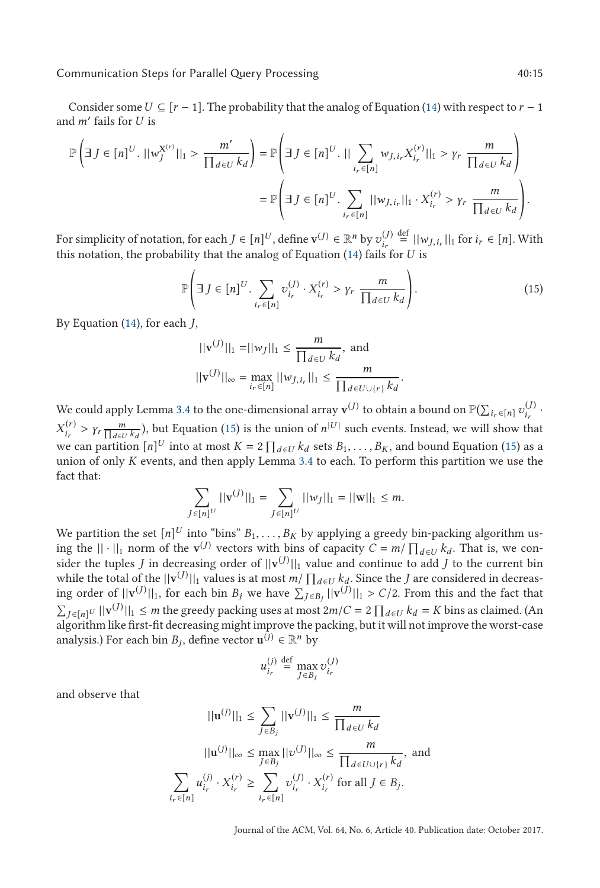<span id="page-14-0"></span>Consider some  $U \subseteq [r-1]$ . The probability that the analog of Equation [\(14\)](#page-13-0) with respect to  $r-1$ and *m'* fails for *U* is

$$
\mathbb{P}\left(\exists J \in [n]^U. \; ||w_J^{X^{(r)}}||_1 > \frac{m'}{\prod_{d \in U} k_d}\right) = \mathbb{P}\left(\exists J \in [n]^U. \; ||\sum_{i_r \in [n]} w_{J,i_r} X_{i_r}^{(r)}||_1 > \gamma_r \; \frac{m}{\prod_{d \in U} k_d}\right)
$$

$$
= \mathbb{P}\left(\exists J \in [n]^U. \sum_{i_r \in [n]} ||w_{J,i_r}||_1 \cdot X_{i_r}^{(r)} > \gamma_r \; \frac{m}{\prod_{d \in U} k_d}\right).
$$

For simplicity of notation, for each  $J \in [n]^U$ , define  $\mathbf{v}^{(J)} \in \mathbb{R}^n$  by  $v_{i_r}^{(J)}$ For simplicity of notation, for each  $J \in [n]^U$ , define  $\mathbf{v}^{(J)} \in \mathbb{R}^n$  by  $v_{i_r}^{(J)} \stackrel{\text{def}}{=} ||w_{J,i_r}||_1$  for  $i_r \in [n]$ . With this notation, the probability that the analog of Equation [\(14\)](#page-13-0) fails for *U* is

$$
\mathbb{P}\left(\exists J \in [n]^U \cdot \sum_{i_r \in [n]} \upsilon_{i_r}^{(J)} \cdot X_{i_r}^{(r)} > \gamma_r \cdot \frac{m}{\prod_{d \in U} k_d}\right).
$$
\n(15)

By Equation [\(14\)](#page-13-0), for each *J*,

$$
||\mathbf{v}^{(J)}||_1 = ||w_J||_1 \le \frac{m}{\prod_{d \in U} k_d}, \text{ and}
$$

$$
||\mathbf{v}^{(J)}||_{\infty} = \max_{i_r \in [n]} ||w_{J,i_r}||_1 \le \frac{m}{\prod_{d \in U \cup \{r\}} k_d}.
$$

We could apply Lemma 3.4 to the one-dimensional array  $\mathbf{v}^{(J)}$  to obtain a bound on  $\mathbb{P}(\sum_{i_r \in [n]} v^{(J)}_{i_r} \cdot \mathbf{v}^{(J)}_{i_r})$  $X_{i_r}^{(r)} > \gamma_r \frac{m}{\prod_{d \in U} k_d}$ , but Equation (15) is the union of  $n^{|U|}$  such events. Instead, we will show that we can partition  $[n]^U$  into at most  $K = 2 \prod_{d \in U} k_d$  sets  $B_1, \ldots, B_K$ , and bound Equation (15) as a union of only K events, and then apply Lemma 3.4 to each. To perform this partition we use the union of only *K* events, and then apply Lemma 3.4 to each. To perform this partition we use the fact that:

$$
\sum_{J \in [n]^U} ||\mathbf{v}^{(J)}||_1 = \sum_{J \in [n]^U} ||w_J||_1 = ||\mathbf{w}||_1 \le m.
$$

We partition the set  $[n]^U$  into "bins"  $B_1, \ldots, B_K$  by applying a greedy bin-packing algorithm us-<br>ing the ll, ll, norm of the  $v^{(j)}$  vectors with bins of canacity  $C = m/\prod_{j \in J} k_j$ . That is we coning the  $|| \cdot ||_1$  norm of the **v**<sup>(*J*)</sup> vectors with bins of capacity  $C = m / \prod_{d \in U} k_d$ . That is, we con-<br>cider the tuples *L* in decreasing order of  $||w^{(j)}||$ , value and continue to add *L* to the current bin sider the tuples *J* in decreasing order of  $||v^{(J)}||_1$  value and continue to add *J* to the current bin while the total of the  $||{\bf v}^{(J)}||_1$  values is at most  $m/\prod_{d\in U}k_d$ . Since the *J* are considered in decreas-<br>ing order of  $||{\bf v}^{(J)}||_1$  for each bin *B*, we have  $\sum_{s}$   $||{\bf v}^{(J)}||_1 \ge C/2$ . From this and the fact tha ing order of  $||\mathbf{v}^{(J)}||_1$ , for each bin  $B_j$  we have  $\sum_{J \in B_j} ||\mathbf{v}^{(J)}||_1 > C/2$ . From this and the fact that  $\sum_{J \in [n]^U} ||v^{(J)}||_1 \le m$  the greedy packing uses at most  $2m/C = 2 \prod_{d \in U} k_d = K$  bins as claimed. (An algorithm like first-fit decreasing might improve the packing but it will not improve the worst-case algorithm like first-fit decreasing might improve the packing, but it will not improve the worst-case analysis.) For each bin  $B_j$ , define vector  $\mathbf{u}^{(j)} \in \mathbb{R}^n$  by

$$
u_{i_r}^{(j)} \stackrel{\text{def}}{=} \max_{J \in B_j} v_{i_r}^{(J)}
$$

and observe that

$$
||\mathbf{u}^{(j)}||_1 \le \sum_{J \in B_j} ||\mathbf{v}^{(J)}||_1 \le \frac{m}{\prod_{d \in U} k_d}
$$
  

$$
||\mathbf{u}^{(j)}||_{\infty} \le \max_{J \in B_j} ||v^{(J)}||_{\infty} \le \frac{m}{\prod_{d \in U \cup \{r\}} k_d}, \text{ and}
$$
  

$$
\sum_{i_r \in [n]} u_{i_r}^{(j)} \cdot X_{i_r}^{(r)} \ge \sum_{i_r \in [n]} v_{i_r}^{(J)} \cdot X_{i_r}^{(r)} \text{ for all } J \in B_j.
$$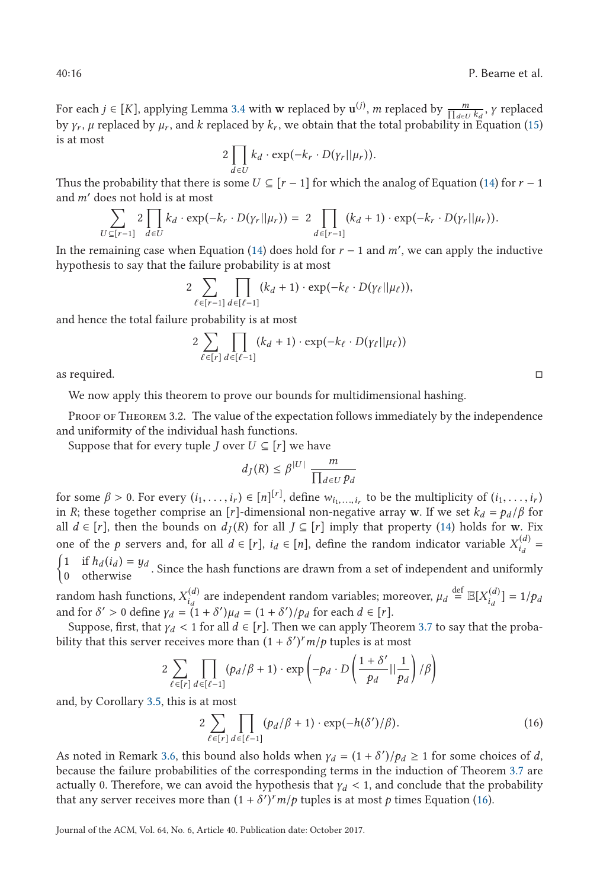For each *j* ∈ [*K*], applying Lemma 3.4 with **w** replaced by **u**<sup>(*j*)</sup>, *m* replaced by  $\frac{m}{\prod_{d \in U} k_d}$ , *γ* replaced by  $\gamma_r$ ,  $\mu$  replaced by  $\mu_r$ , and  $k$  replaced by  $k_r$ , we obtain that the total probability in Equation [\(15\)](#page-14-0) is at most

$$
2\prod_{d\in U}k_d\cdot \exp(-k_r\cdot D(\gamma_r||\mu_r)).
$$

Thus the probability that there is some  $U \subseteq [r-1]$  for which the analog of Equation [\(14\)](#page-13-0) for  $r-1$ and  $m'$  does not hold is at most

$$
\sum_{U \subseteq [r-1]} 2 \prod_{d \in U} k_d \cdot \exp(-k_r \cdot D(\gamma_r || \mu_r)) = 2 \prod_{d \in [r-1]} (k_d + 1) \cdot \exp(-k_r \cdot D(\gamma_r || \mu_r)).
$$

In the remaining case when Equation [\(14\)](#page-13-0) does hold for *r* − 1 and *m* , we can apply the inductive hypothesis to say that the failure probability is at most

$$
2\sum_{\ell\in[r-1]}\prod_{d\in[\ell-1]}(k_d+1)\cdot\exp(-k_{\ell}\cdot D(\gamma_{\ell}||\mu_{\ell})),
$$

and hence the total failure probability is at most

$$
2\sum_{\ell\in[r]}\prod_{d\in[\ell-1]}(k_d+1)\cdot\exp(-k_{\ell}\cdot D(\gamma_{\ell}||\mu_{\ell}))
$$

as required.  $\Box$ 

We now apply this theorem to prove our bounds for multidimensional hashing.

PROOF OF THEOREM 3.2. The value of the expectation follows immediately by the independence and uniformity of the individual hash functions.

Suppose that for every tuple *J* over  $U \subseteq [r]$  we have

$$
d_J(R) \leq \beta^{|U|} \; \frac{m}{\prod_{d \in U} p_d}
$$

for some  $\beta > 0$ . For every  $(i_1, \ldots, i_r) \in [n]^{[r]}$ , define  $w_{i_1, \ldots, i_r}$  to be the multiplicity of  $(i_1, \ldots, i_r)$ <br>in *R*: these together comprise an [*r*]-dimensional non-negative array **w**. If we set  $k_i - n_i/\beta$  for in *R*; these together comprise an [*r*]-dimensional non-negative array **w**. If we set  $k_d = p_d/\beta$  for all *d* ∈ [*r*], then the bounds on *d<sub>J</sub>*(*R*) for all *J* ⊆ [*r*] imply that property [\(14\)](#page-13-0) holds for **w**. Fix one of the *p* servers and, for all  $d \in [r]$ ,  $i_d \in [n]$ , define the random indicator variable  $X_{i_d}^{(d)} =$ 

 $\begin{cases} 1 & \text{if } h_d(i_d) = y_d \\ 0 & \text{otherwise} \end{cases}$ . Since the hash functions are drawn from a set of independent and uniformly

random hash functions,  $X_{i_d}^{(d)}$  are independent random variables; moreover,  $\mu_d \stackrel{\text{def}}{=} \mathbb{E}[X_{i_d}^{(d)}] = 1/p_d$ <br>and for  $\delta' > 0$  define  $y_d = (1 + \delta')y_d = (1 + \delta')/p_d$  for each  $d \in [x]$ and for  $\delta' > 0$  define  $\gamma_d = (1 + \delta')/\mu_d = (1 + \delta')/\rho_d$  for each  $d \in [r]$ .<br>Suppose first that  $y \leq 1$  for all  $d \in [r]$ . Then we can apply Theo

Suppose, first, that  $\gamma_d$  < 1 for all  $d \in [r]$ . Then we can apply Theorem 3.7 to say that the probability that this server receives more than  $(1 + \delta')^r m/p$  tuples is at most

$$
2\sum_{\ell\in[r]}\prod_{d\in[\ell-1]}(p_d/\beta+1)\cdot\exp\left(-p_d\cdot D\left(\frac{1+\delta'}{p_d}||\frac{1}{p_d}\right)/\beta\right)
$$

and, by Corollary 3.5, this is at most

$$
2\sum_{\ell\in[r]}\prod_{d\in[\ell-1]}(p_d/\beta+1)\cdot\exp(-h(\delta')/\beta).
$$
 (16)

As noted in Remark 3.6, this bound also holds when  $\gamma_d = (1 + \delta')/p_d \ge 1$  for some choices of *d*, hecause the failure probabilities of the corresponding terms in the induction of Theorem 3.7 are because the failure probabilities of the corresponding terms in the induction of Theorem 3.7 are actually 0. Therefore, we can avoid the hypothesis that  $\gamma_d$  < 1, and conclude that the probability that any server receives more than  $(1 + \delta')^r m/p$  tuples is at most *p* times Equation (16).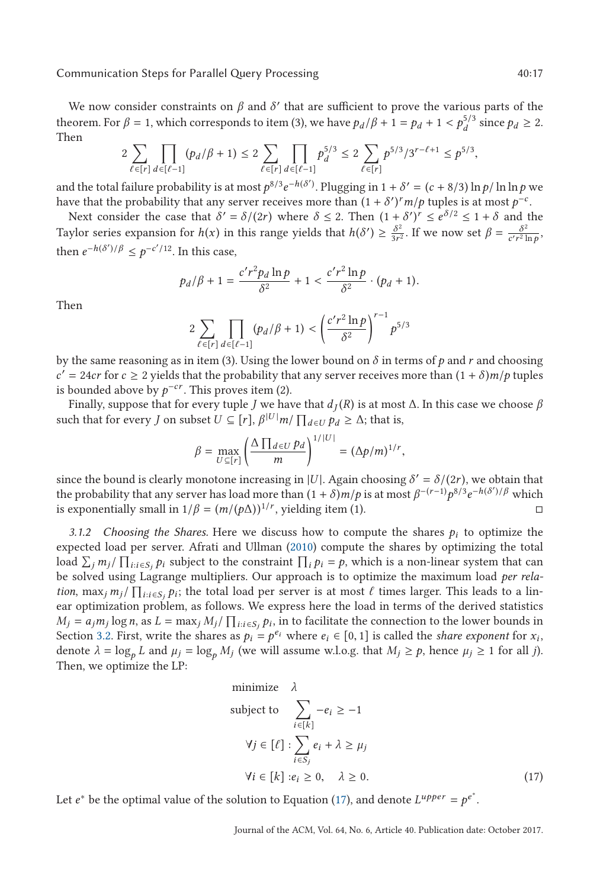<span id="page-16-0"></span>We now consider constraints on  $\beta$  and  $\delta'$  that are sufficient to prove the various parts of the theorem. For *β* = 1, which corresponds to item (3), we have  $p_d / β + 1 = p_d + 1 < p_d^{5/3}$  since  $p_d \ge 2$ .<br>Then Then

$$
2\sum_{\ell\in [r]} \prod_{d\in [\ell-1]} (p_d/\beta+1) \leq 2\sum_{\ell\in [r]} \prod_{d\in [\ell-1]} p_d^{5/3} \leq 2\sum_{\ell\in [r]} p^{5/3}/3^{r-\ell+1} \leq p^{5/3}
$$

and the total failure probability is at most  $p^{8/3}e^{-h(\delta')}$ . Plugging in  $1 + \delta' = (c + 8/3) \ln p / \ln \ln p$  we<br>have that the probability that any server receives more than  $(1 + \delta')^r m / n$  tuples is at most  $p^{-c}$ have that the probability that any server receives more than  $(1 + \delta')^r m/p$  tuples is at most  $p^{-c}$ .<br>Next consider the case that  $\delta' = \delta/(2r)$  where  $\delta \le 2$ . Then  $(1 + \delta')^r \le e^{\delta/2} \le 1 + \delta$  and t

Next consider the case that  $\delta' = \delta/(2r)$  where  $\delta \le 2$ . Then  $(1 + \delta')^r \le e^{\delta/2} \le 1 + \delta$  and the vertice expression for  $h(x)$  in this paper violds that  $h(\delta') \ge \delta^2$ . If we now set  $\beta = \delta^2$ Taylor series expansion for *h*(*x*) in this range yields that  $h(\delta') \ge \frac{\delta^2}{3r^2}$ . If we now set  $\beta = \frac{\delta^2}{c'r^2\ln p}$ , then  $e^{-h(\delta')/\beta} \leq p^{-c'/12}$ . In this case,

$$
p_d/\beta + 1 = \frac{c'r^2p_d\ln p}{\delta^2} + 1 < \frac{c'r^2\ln p}{\delta^2} \cdot (p_d + 1).
$$

Then

$$
2\sum_{\ell\in[r]}\prod_{d\in[\ell-1]}(p_d/\beta+1)<\left(\frac{c'r^2\ln p}{\delta^2}\right)^{r-1}p^{5/3}
$$

by the same reasoning as in item (3). Using the lower bound on *δ* in terms of *p* and *r* and choosing  $c' = 24cr$  for  $c \ge 2$  yields that the probability that any server receives more than  $(1 + \delta)m/p$  tuples is bounded above by  $p^{-cr}$ . This proves item (2).

Finally, suppose that for every tuple *J* we have that  $d<sub>I</sub>(R)$  is at most  $\Delta$ . In this case we choose  $\beta$ such that for every *J* on subset  $U \subseteq [r]$ ,  $\beta^{|U|}m / \prod_{d \in U} p_d \ge \Delta$ ; that is,

$$
\beta = \max_{U \subseteq [r]} \left( \frac{\Delta \prod_{d \in U} p_d}{m} \right)^{1/|U|} = (\Delta p/m)^{1/r},
$$

since the bound is clearly monotone increasing in |*U*|. Again choosing  $\delta' = \delta/(2r)$ , we obtain that the probability that any server has load more than  $(1 + \delta)m/p$  is at most  $\beta^{-(r-1)}p^{8/3}e^{-h(\delta')/\beta}$  which is exponentially small in  $1/\beta - (m/(\rho\Delta))^{1/r}$  vielding item (1) is exponentially small in  $1/\beta = (m/(\rho\Delta))^{1/r}$ , yielding item (1).

*3.1.2 Choosing the Shares.* Here we discuss how to compute the shares  $p_i$  to optimize the expected load per server. Afrati and Ullman [\(2010\)](#page-56-0) compute the shares by optimizing the total load  $\sum_j m_j / \prod_{i:i \in S_j} p_i$  subject to the constraint  $\prod_i p_i = p$ , which is a non-linear system that can<br>be solved using Lagrange multipliers. Our approach is to optimize the maximum load per relabe solved using Lagrange multipliers. Our approach is to optimize the maximum load *per relation*,  $\max_j m_j / \prod_{i:i \in S_j} p_i$ ; the total load per server is at most  $\ell$  times larger. This leads to a lin-<br>ear optimization problem as follows. We express here the load in terms of the derived statistics ear optimization problem, as follows. We express here the load in terms of the derived statistics  $M_j = a_j m_j \log n$ , as  $L = \max_j M_j / \prod_{i:i \in S_j} p_i$ , in to facilitate the connection to the lower bounds in Section 3.2. First, write the shares as  $p_i - p_i^{e_j}$  where  $e_i \in [0, 1]$  is called the share exponent for  $x_i$ . Section [3.2.](#page-17-0) First, write the shares as  $p_i = p^{e_i}$  where  $e_i \in [0, 1]$  is called the *share exponent* for  $x_i$ , denote  $\lambda = \log_p L$  and  $\mu_j = \log_p M_j$  (we will assume w.l.o.g. that  $M_j \geq p$ , hence  $\mu_j \geq 1$  for all *j*). Then, we optimize the LP:

minimize 
$$
\lambda
$$
  
\nsubject to 
$$
\sum_{i \in [k]} -e_i \ge -1
$$
\n
$$
\forall j \in [\ell] : \sum_{i \in S_j} e_i + \lambda \ge \mu_j
$$
\n
$$
\forall i \in [k] : e_i \ge 0, \quad \lambda \ge 0.
$$
\n(17)

Let  $e^*$  be the optimal value of the solution to Equation (17), and denote  $L^{upper} = p^{e^*}$ .

Journal of the ACM, Vol. 64, No. 6, Article 40. Publication date: October 2017.

,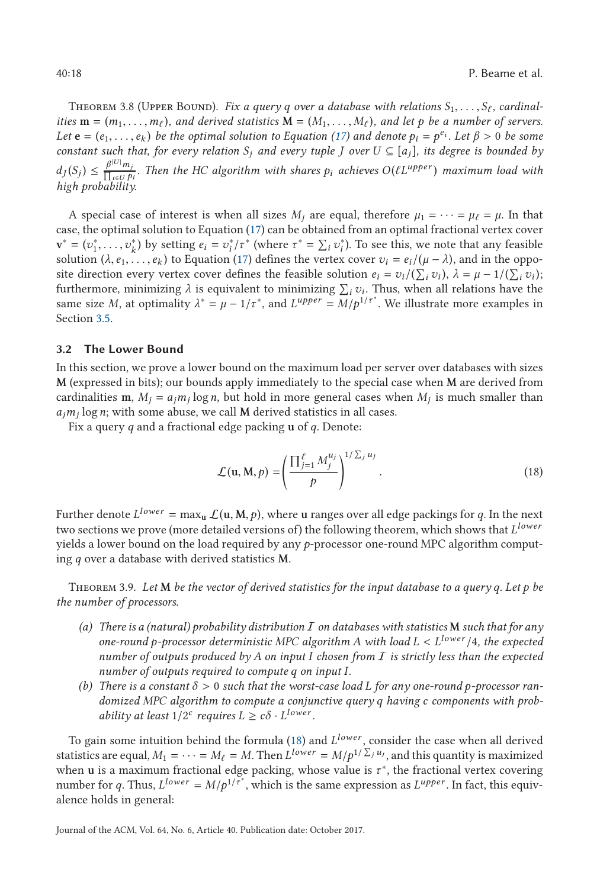<span id="page-17-0"></span>THEOREM 3.8 (UPPER BOUND). *Fix a query q over a database with relations*  $S_1, \ldots, S_\ell$ , cardinal-<br>  $S_2, \ldots, S_\ell$  and  $S_2, \ldots, S_\ell$  and derived statistics  $M = (M, \ldots, M_\ell)$  and let *p* be a number of servers *ities*  $\mathbf{m} = (m_1, \ldots, m_\ell)$ , and derived statistics  $\mathbf{M} = (M_1, \ldots, M_\ell)$ , and let *p* be a number of servers.<br>Let  $\mathbf{e} = (e_1, \ldots, e_k)$  be the optimal solution to Equation (17) and denote  $\mathbf{p}_i = \mathbf{p}^{e_i}$ . Let *Let*  $\mathbf{e} = (e_1, \ldots, e_k)$  *be the optimal solution to Equation [\(17\)](#page-16-0) and denote*  $p_i = p^{e_i}$ . *Let*  $\beta > 0$  *be some constant such that, for every relation*  $S_i$  *and every tuple J over*  $U \subseteq [a_i]$ *, its degree is bounded by*  $d_J(S_j) \leq \frac{\beta^{|U|} m_j}{\prod_{i \in U} p_j}$ *i*∈<sup>*U*</sup> *p*<sup>*i*</sup><sub>*ieU</sub> p*<sup>*i*</sup>. Then the HC algorithm with shares  $p_i$  achieves  $O(\ell L^{upper})$  *maximum load with*<br>bility</sub> *high probability.*

A special case of interest is when all sizes  $M_j$  are equal, therefore  $\mu_1 = \cdots = \mu_\ell = \mu$ . In that case, the optimal solution to Equation [\(17\)](#page-16-0) can be obtained from an optimal fractional vertex cover  $\mathbf{v}^* = (v_1^*, \ldots, v_k^*)$  by setting  $e_i = v_i^*/\tau^*$  (where  $\tau^* = \sum_i v_i^*$ ). To see this, we note that any feasible solution ( $\lambda e_i$ ,  $e_i$ ) to Equation (17) defines the vertex cover  $v_i = e_i/(\mu - \lambda)$  and in the opposolution  $(\lambda, e_1, \ldots, e_k)$  to Equation [\(17\)](#page-16-0) defines the vertex cover  $v_i = e_i/(\mu - \lambda)$ , and in the opposite direction every vertex cover defines the feasible solution  $e_i = v_i/(\sum_i v_i)$ ,  $\lambda = \mu - 1/(\sum_i v_i)$ ;<br>furthermore minimizing  $\lambda$  is equivalent to minimizing  $\Sigma, v_i$ . Thus when all relations have the furthermore, minimizing  $\lambda$  is equivalent to minimizing  $\sum_i v_i$ . Thus, when all relations have the same size *M*, at optimality  $\lambda^* = \mu - 1/\tau^*$ , and  $L^{upper} = M/p^{1/\tau^*}$ . We illustrate more examples in Section 3.5 Section [3.5.](#page-29-0)

# **3.2 The Lower Bound**

In this section, we prove a lower bound on the maximum load per server over databases with sizes **M** (expressed in bits); our bounds apply immediately to the special case when **M** are derived from cardinalities **m**,  $M_i = a_i m_i \log n$ , but hold in more general cases when  $M_i$  is much smaller than  $a_j m_j \log n$ ; with some abuse, we call **M** derived statistics in all cases.

Fix a query *q* and a fractional edge packing **u** of *q*. Denote:

$$
\mathcal{L}(\mathbf{u}, \mathbf{M}, p) = \left(\frac{\prod_{j=1}^{\ell} M_j^{u_j}}{p}\right)^{1/\sum_j u_j}.
$$
\n(18)

Further denote  $L^{lower} = \max_{\mathbf{u}} \mathcal{L}(\mathbf{u}, \mathbf{M}, p)$ , where **u** ranges over all edge packings for *q*. In the next two sections we prove (more detailed versions of) the following theorem, which shows that *Llower* yields a lower bound on the load required by any *p*-processor one-round MPC algorithm computing *q* over a database with derived statistics **M**.

Theorem 3.9. *Let* **M** *be the vector of derived statistics for the input database to a query q. Let p be the number of processors.*

- *(a) There is a (natural) probability distribution* I *on databases with statistics* **M** *such that for any one-round <sup>p</sup>-processor deterministic MPC algorithm <sup>A</sup> with load <sup>L</sup>* <sup>&</sup>lt; *<sup>L</sup>lower* /4*, the expected number of outputs produced by A on input I chosen from* I *is strictly less than the expected number of outputs required to compute q on input I.*
- *(b)* There is a constant  $\delta > 0$  such that the worst-case load L for any one-round p-processor ran*domized MPC algorithm to compute a conjunctive query q having c components with probability at least*  $1/2^c$  *requires*  $L \ge c\delta \cdot L^{lower}$ .

To gain some intuition behind the formula (18) and *Llower* , consider the case when all derived statistics are equal,  $M_1 = \cdots = M_\ell = M$ . Then  $L^{lower} = M/p^{1/\sum_j u_j}$ , and this quantity is maximized<br>when u is a maximum fractional edge packing, whose value is  $\tau^*$ , the fractional vertex covering when **u** is a maximum fractional edge packing, whose value is  $τ^*$ , the fractional vertex covering number for *q*. Thus,  $L^{lower} = M/p^{1/\tau^*}$ , which is the same expression as  $L^{upper}$ . In fact, this equivalence holds in general: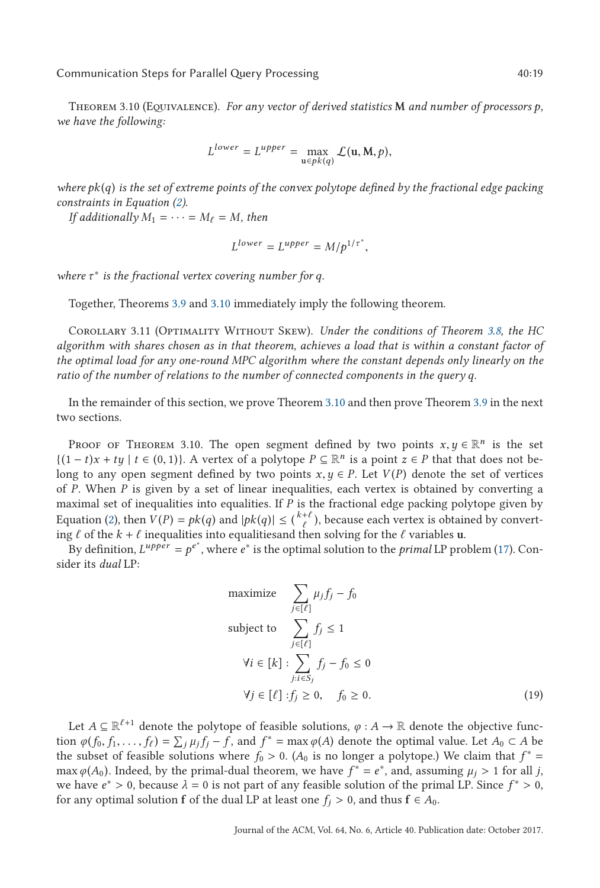<span id="page-18-0"></span>Theorem 3.10 (Eqivalence). *For any vector of derived statistics* **M** *and number of processors p, we have the following:*

$$
L^{lower} = L^{upper} = \max_{\mathbf{u} \in pk(q)} \mathcal{L}(\mathbf{u}, \mathbf{M}, p),
$$

*where pk*(*q*) *is the set of extreme points of the convex polytope defined by the fractional edge packing constraints in Equation [\(2\)](#page-6-0).*

If additionally  $M_1 = \cdots = M_\ell = M$ , then

$$
L^{lower} = L^{upper} = M/p^{1/\tau^*},
$$

*where*  $τ^*$  *is the fractional vertex covering number for q.* 

Together, Theorems 3.9 and 3.10 immediately imply the following theorem.

Corollary 3.11 (Optimality Without Skew). *Under the conditions of Theorem 3.8, the HC algorithm with shares chosen as in that theorem, achieves a load that is within a constant factor of the optimal load for any one-round MPC algorithm where the constant depends only linearly on the ratio of the number of relations to the number of connected components in the query q.*

In the remainder of this section, we prove Theorem 3.10 and then prove Theorem 3.9 in the next two sections.

PROOF OF THEOREM 3.10. The open segment defined by two points  $x, y \in \mathbb{R}^n$  is the set  $\{(1-t)x + ty \mid t \in (0,1)\}\)$ . A vertex of a polytope  $P \subseteq \mathbb{R}^n$  is a point  $z \in P$  that that does not belong to any open segment defined by two points  $x, y \in P$ . Let  $V(P)$  denote the set of vertices of *P*. When *P* is given by a set of linear inequalities, each vertex is obtained by converting a maximal set of inequalities into equalities. If *P* is the fractional edge packing polytope given by Equation [\(2\)](#page-6-0), then  $V(P) = pk(q)$  and  $|pk(q)| \leq {k+\ell \choose \ell}$ , because each vertex is obtained by converting  $\ell$  of the  $k + \ell$  inequalities into equalities and then solving for the  $\ell$  variables **u**.<br>By definition  $I^{upper} = e^{e^*}$  where  $e^*$  is the optimal solution to the *primal* I P pro

By definition,  $L^{upper} = p^{e^*}$ , where  $e^*$  is the optimal solution to the *primal* LP problem [\(17\)](#page-16-0). Consider its *dual* LP:

maximize 
$$
\sum_{j \in [\ell]} \mu_j f_j - f_0
$$
  
subject to 
$$
\sum_{j \in [\ell]} f_j \le 1
$$

$$
\forall i \in [k] : \sum_{j:i \in S_j} f_j - f_0 \le 0
$$

$$
\forall j \in [\ell] : f_j \ge 0, \quad f_0 \ge 0.
$$
 (19)

Let  $A \subseteq \mathbb{R}^{\ell+1}$  denote the polytope of feasible solutions,  $\varphi : A \to \mathbb{R}$  denote the objective function  $\varphi(f_0, f_1, \ldots, f_\ell) = \sum_j \mu_j f_j - f$ , and  $f^* = \max \varphi(A)$  denote the optimal value. Let  $A_0 \subset A$  be the subset of feasible solutions where  $f_0 > 0$  ( $A_0$  is no longer a polytone) We claim that  $f^* =$ the subset of feasible solutions where  $f_0 > 0$ . ( $A_0$  is no longer a polytope.) We claim that  $f^* =$ max  $\varphi(A_0)$ . Indeed, by the primal-dual theorem, we have  $f^* = e^*$ , and, assuming  $\mu_i > 1$  for all *j*, we have  $e^* > 0$ , because  $\lambda = 0$  is not part of any feasible solution of the primal LP. Since  $f^* > 0$ , for any optimal solution **f** of the dual LP at least one  $f_i > 0$ , and thus  $f \in A_0$ .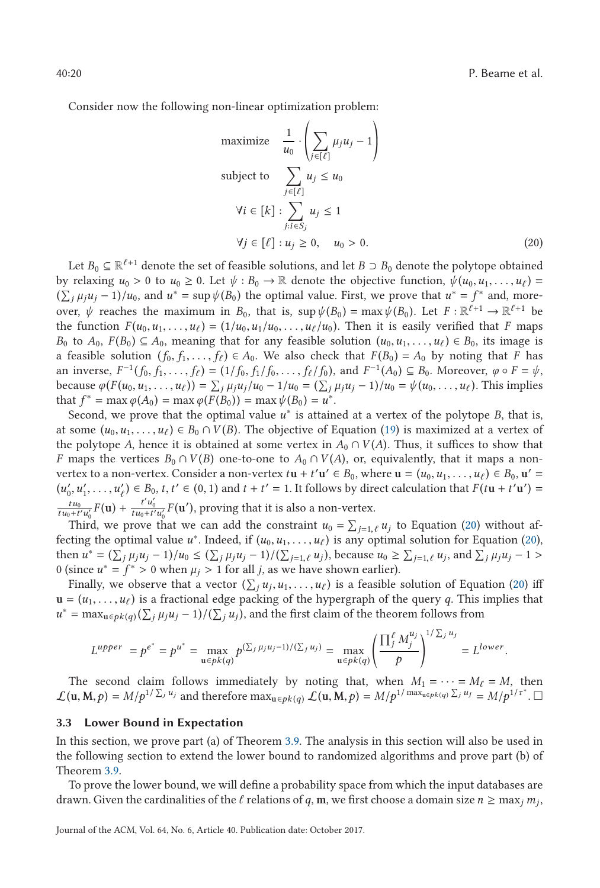Consider now the following non-linear optimization problem:

maximize 
$$
\frac{1}{u_0} \cdot \left( \sum_{j \in [\ell]} \mu_j u_j - 1 \right)
$$
  
\nsubject to  $\sum_{j \in [\ell]} u_j \le u_0$   
\n $\forall i \in [k] : \sum_{j:i \in S_j} u_j \le 1$   
\n $\forall j \in [\ell] : u_j \ge 0, \quad u_0 > 0.$  (20)

Let  $B_0 \subseteq \mathbb{R}^{\ell+1}$  denote the set of feasible solutions, and let  $B \supset B_0$  denote the polytope obtained by relaxing  $u_0 > 0$  to  $u_0 \ge 0$ . Let  $\psi : B_0 \to \mathbb{R}$  denote the objective function,  $\psi(u_0, u_1, \dots, u_\ell) =$ <br>  $(\sum u u_0 = 1) / u_0$  and  $u^* = \sup \psi(B_0)$  the optimal value First we prove that  $u^* = f^*$  and more- $(\sum_j \mu_j u_j - 1)/u_0$ , and  $u^* = \sup \psi(B_0)$  the optimal value. First, we prove that  $u^* = f^*$  and, more-<br>over  $\psi$  reaches the movimum in *B* that is  $\sup \psi(B_1) = \max_i \psi(B_i)$ . Let  $E : \mathbb{R}^{\ell+1} \to \mathbb{R}^{\ell+1}$  he over,  $\psi$  reaches the maximum in  $B_0$ , that is, sup  $\psi(B_0) = \max \psi(B_0)$ . Let  $F: \mathbb{R}^{\ell+1} \to \mathbb{R}^{\ell+1}$  be the function  $F(u_0, u_1, \ldots, u_\ell) = (1/u_0, u_1/u_0, \ldots, u_\ell/u_0)$ . Then it is easily verified that *F* maps  $R_2$  to  $A_2$ ,  $F(R_2) \subset A_2$ , meaning that for any feasible solution  $(u_2, u_1, \ldots, u_\ell) \in R_2$  its image is *B*<sub>0</sub> to *A*<sub>0</sub>, *F*(*B*<sub>0</sub>) ⊆ *A*<sub>0</sub>, meaning that for any feasible solution  $(u_0, u_1, \ldots, u_\ell) \in B_0$ , its image is a feasible solution (*f. f.*) ∈ *A*<sub>0</sub>. We also check that *F*(*B*<sub>0</sub>) = *A*<sub>0</sub> by noting that *F* has a feasible solution  $(f_0, f_1, \ldots, f_\ell) \in A_0$ . We also check that  $F(B_0) = A_0$  by noting that *F* has an inverse,  $F^{-1}(f_0, f_1, \ldots, f_\ell) = (1/f_0, f_1/f_0, \ldots, f_\ell/f_0)$ , and  $F^{-1}(A_0) \subseteq B_0$ . Moreover,  $\varphi \circ F = \psi$ ,<br>hecause  $g(F(t_0, t_1, \ldots, t_\ell)) = \sum_{i=1}^{\infty} \mu_i \mu_i / \mu_i = 1/\mu_i = (\sum_{i=1}^{\infty} \mu_i \mu_i - 1)/\mu_i = \nu(\mu_i, \ldots, \mu_\ell)$ . This implies because  $\varphi(F(u_0, u_1, \dots, u_\ell)) = \sum_j \mu_j u_j / u_0 - 1/u_0 = (\sum_j \mu_j u_j - 1)/u_0 = \psi(u_0, \dots, u_\ell)$ . This implies that  $f^* = \max_{\alpha} \varphi(E(\lambda)) = \max_{\alpha} \psi(E(\lambda)) = \max_{\alpha} \psi(E(\lambda)) = \max_{\alpha} \psi(E(\lambda))$ that  $f^* = \max \varphi(A_0) = \max \varphi(F(B_0)) = \max \psi(B_0) = u^*$ .

Second, we prove that the optimal value *u*<sup>∗</sup> is attained at a vertex of the polytope *B*, that is, at some  $(u_0, u_1, \ldots, u_\ell) \in B_0 \cap V(B)$ . The objective of Equation [\(19\)](#page-18-0) is maximized at a vertex of the polytone A hence it is obtained at some vertex in  $A_0 \cap V(A)$ . Thus it suffices to show that the polytope *A*, hence it is obtained at some vertex in  $A_0 \cap V(A)$ . Thus, it suffices to show that *F* maps the vertices  $B_0 \cap V(B)$  one-to-one to  $A_0 \cap V(A)$ , or, equivalently, that it maps a nonvertex to a non-vertex. Consider a non-vertex  $t\mathbf{u} + t'\mathbf{u}' \in B_0$ , where  $\mathbf{u} = (u_0, u_1, \dots, u_\ell) \in B_0$ ,  $\mathbf{u}' = (u', u', u' \in B_0, t, t' \in (0, 1)$  and  $t + t' = 1$ . It follows by direct calculation that  $F(t\mathbf{u} + t'\mathbf{u}') =$  $(u'_0, u'_1, \ldots, u'_\ell) \in B_0, t, t' \in (0, 1)$  and  $t + t' = 1$ . It follows by direct calculation that  $F(t\mathbf{u} + t'\mathbf{u}') =$  $\frac{tu_0}{tu_0 + t'u_0'} F(\mathbf{u}) + \frac{t'u_0'}{tu_0 + t'u_0'} F(\mathbf{u}'),$  proving that it is also a non-vertex.

Third, we prove that we can add the constraint  $u_0 = \sum_{j=1,\ell} u_j$  to Equation (20) without af-<br>ting the optimal value  $u^*$ . Indeed, if  $(u, u_0, u_0)$  is any optimal solution for Equation (20) fecting the optimal value  $u^*$ . Indeed, if  $(u_0, u_1, \ldots, u_\ell)$  is any optimal solution for Equation (20),<br>then  $u^* = (\sum_i u_i u_i - 1) / u_i \le (\sum_i u_i u_i - 1) / (\sum_i u_i u_i)$  because  $u_i \ge \sum_i u_i u_i$  and  $\sum_i u_i u_i - 1 \ge$ then  $u^* = (\sum_j \mu_j u_j - 1)/u_0 \le (\sum_j \mu_j u_j - 1)/(\sum_{j=1,\ell} u_j)$ , because  $u_0 \ge \sum_{j=1,\ell} u_j$ , and  $\sum_j \mu_j u_j - 1 > 0$  (since  $u^* = f^* > 0$  when  $u_0 > 1$  for all  $i$  as we have shown earlier) 0 (since  $u^* = f^* > 0$  when  $\mu_j > 1$  for all *j*, as we have shown earlier).

Finally, we observe that a vector  $(\sum_j u_j, u_1, \dots, u_\ell)$  is a feasible solution of Equation (20) iff  $(u, u_1, \dots, u_\ell)$  is a fractional edge packing of the hypergraph of the query  $a$ . This implies that  $\mathbf{u} = (u_1, \ldots, u_\ell)$  is a fractional edge packing of the hypergraph of the query *q*. This implies that  $u^* = \max_{u \in \mathcal{U}} \sum_{u \in \mathcal{U}} (v, u, u) = 1/(v, u)$  and the first claim of the theorem follows from  $u^* = \max_{u \in pk(q)} (\sum_j \mu_j u_j - 1) / (\sum_j u_j)$ , and the first claim of the theorem follows from

$$
L^{upper} = p^{e^*} = p^{u^*} = \max_{\mathbf{u} \in pk(q)} p^{(\sum_j \mu_j u_j - 1)/(\sum_j u_j)} = \max_{\mathbf{u} \in pk(q)} \left( \frac{\prod_j^{\ell} M_j^{u_j}}{p} \right)^{1/\sum_j u_j} = L^{lower}.
$$

The second claim follows immediately by noting that, when  $M_1 = \cdots = M_\ell = M$ , then<br>  $G(x, M, r) = M/n! / \frac{m x_{\text{nech}}}{r}$  $\mathcal{L}(\mathbf{u}, \mathbf{M}, p) = M/p^{1/\sum_j u_j}$  and therefore  $\max_{\mathbf{u} \in pk(q)} \mathcal{L}(\mathbf{u}, \mathbf{M}, p) = M/p^{1/\max_{\mathbf{u} \in pk(q)} \sum_j u_j} = M/p^{1/\tau^*}.$ 

#### **3.3 Lower Bound in Expectation**

In this section, we prove part (a) of Theorem 3.9. The analysis in this section will also be used in the following section to extend the lower bound to randomized algorithms and prove part (b) of Theorem 3.9.

To prove the lower bound, we will define a probability space from which the input databases are drawn. Given the cardinalities of the  $\ell$  relations of  $q$ ,  $m$ , we first choose a domain size  $n \ge \max_j m_j$ ,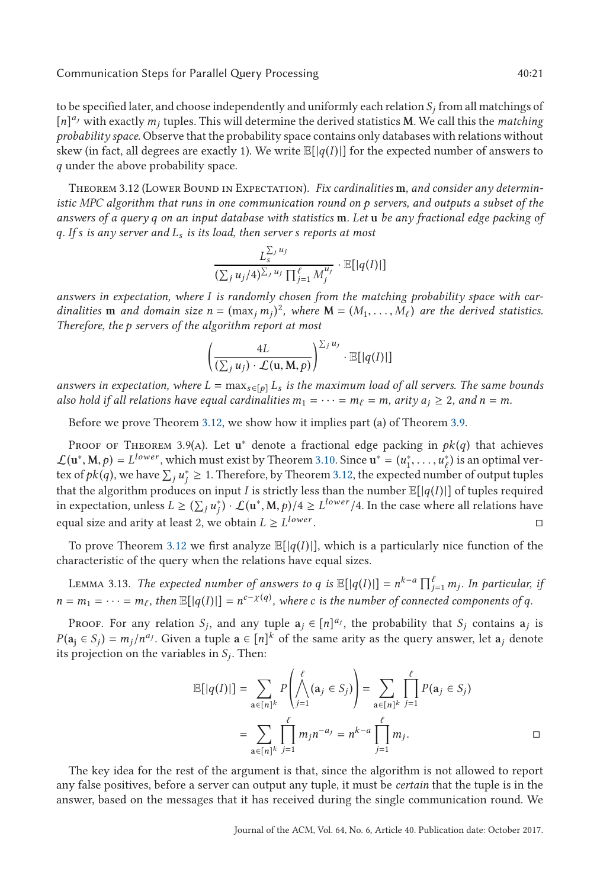to be specified later, and choose independently and uniformly each relation  $S_i$  from all matchings of  $[n]^{a_j}$  with exactly  $m_j$  tuples. This will determine the derived statistics **M**. We call this the *matching probability space*. Observe that the probability space contains only databases with relations without skew (in fact, all degrees are exactly 1). We write  $\mathbb{E}[|q(I)|]$  for the expected number of answers to *q* under the above probability space.

Theorem 3.12 (Lower Bound in Expectation). *Fix cardinalities* **m***, and consider any deterministic MPC algorithm that runs in one communication round on p servers, and outputs a subset of the answers of a query q on an input database with statistics* **m***. Let* **u** *be any fractional edge packing of q. If s is any server and L<sup>s</sup> is its load, then server s reports at most*

$$
\frac{L_s^{\sum_j u_j}}{(\sum_j u_j/4)^{\sum_j u_j} \prod_{j=1}^{\ell} M_j^{u_j}} \cdot \mathbb{E}[|q(I)|]
$$

*answers in expectation, where I is randomly chosen from the matching probability space with cardinalities* **m** *and domain size*  $n = (\max_j m_j)^2$ , where  $\mathbf{M} = (M_1, \dots, M_\ell)$  are the derived statistics.<br>Therefore, the p servers of the algorithm report at most *Therefore, the p servers of the algorithm report at most*

$$
\left(\frac{4L}{(\sum_j u_j)\cdot \mathcal{L}(\mathbf{u}, \mathbf{M}, p)}\right)^{\sum_j u_j} \cdot \mathbb{E}[|q(I)|]
$$

*answers in expectation, where*  $L = \max_{s \in [p]} L_s$  *is the maximum load of all servers. The same bounds also hold if all relations have equal cardinalities*  $m_1 = \cdots = m_\ell = m$ , arity  $a_j \geq 2$ , and  $n = m$ .

Before we prove Theorem 3.12, we show how it implies part (a) of Theorem 3.9.

Proof of Theorem 3.9(a). Let **u**<sup>∗</sup> denote a fractional edge packing in *pk*(*q*) that achieves  $\mathcal{L}(\mathbf{u}^*, \mathbf{M}, p) = L^{lower}$ , which must exist by Theorem 3.10. Since  $\mathbf{u}^* = (u_1^*, \dots, u_\ell^*)$  is an optimal vertex of  $n(k(a))$  we have  $\Sigma, u^* > 1$ . Therefore, by Theorem 3.12, the expected number of output tuples tex of  $pk(q)$ , we have  $\sum_{j} u_j^* \geq 1$ . Therefore, by Theorem 3.12, the expected number of output tuples that the algorithm produces on input *I* is strictly less than the number  $\mathbb{E}[q(I)]$  of tuples required in expectation, unless  $L \ge (\sum_j u_j^*) \cdot \mathcal{L}(u^*, M, p)/4 \ge L^{lower}/4$ . In the case where all relations have equal size and arity at least 2, we obtain  $L \ge L^{lower}$ .

To prove Theorem 3.12 we first analyze  $\mathbb{E}[\vert q(I) \vert]$ , which is a particularly nice function of the characteristic of the query when the relations have equal sizes.

 $\Delta$  LEMMA 3.13. *The expected number of answers to q is*  $\mathbb{E}[|q(I)|] = n^{k-a} \prod_{j=1}^{\ell} m_j$ *. In particular, if*  $n = m_1 = \cdots = m_\ell$ , then  $\mathbb{E}[|q(I)|] = n^{c-\chi(q)}$ , where *c* is the number of connected components of *q*.

PROOF. For any relation  $S_j$ , and any tuple  $a_j \in [n]^{a_j}$ , the probability that  $S_j$  contains  $a_j$  is *P*( $a_j$  ∈ *S<sub>j</sub>*) =  $m_j/n^{a_j}$ . Given a tuple  $a \in [n]^k$  of the same arity as the query answer, let  $a_j$  denote its projection on the variables in *S*<sub>*i*</sub>. Then: its projection on the variables in  $S_i$ . Then:

$$
\mathbb{E}[|q(I)|] = \sum_{\mathbf{a} \in [n]^k} P\left(\bigwedge_{j=1}^{\ell} (\mathbf{a}_j \in S_j)\right) = \sum_{\mathbf{a} \in [n]^k} \prod_{j=1}^{\ell} P(\mathbf{a}_j \in S_j)
$$
  
= 
$$
\sum_{\mathbf{a} \in [n]^k} \prod_{j=1}^{\ell} m_j n^{-a_j} = n^{k-a} \prod_{j=1}^{\ell} m_j.
$$

The key idea for the rest of the argument is that, since the algorithm is not allowed to report any false positives, before a server can output any tuple, it must be *certain* that the tuple is in the answer, based on the messages that it has received during the single communication round. We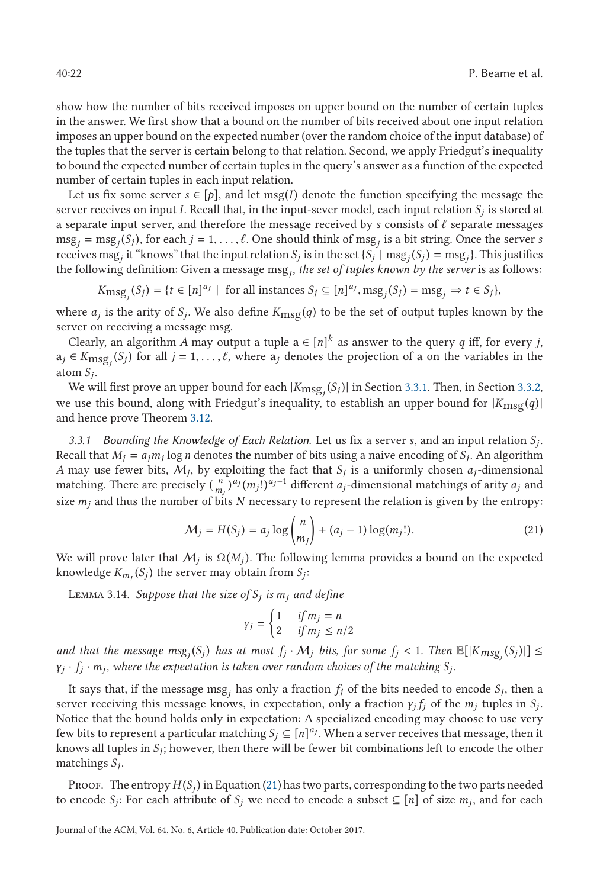<span id="page-21-0"></span>show how the number of bits received imposes on upper bound on the number of certain tuples in the answer. We first show that a bound on the number of bits received about one input relation imposes an upper bound on the expected number (over the random choice of the input database) of the tuples that the server is certain belong to that relation. Second, we apply Friedgut's inequality to bound the expected number of certain tuples in the query's answer as a function of the expected number of certain tuples in each input relation.

Let us fix some server  $s \in [p]$ , and let msg(*I*) denote the function specifying the message the server receives on input *I*. Recall that, in the input-sever model, each input relation *S<sup>j</sup>* is stored at a separate input server, and therefore the message received by *s* consists of  $\ell$  separate messages<br>meg  $-\text{mes } (S_i)$  for each  $i-1$ ,  $\ell$  One should think of meg, is a bit string. Once the server s  $\text{msg}_j = \text{msg}_j(S_j)$ , for each  $j = 1, \ldots, \ell$ . One should think of msg<sub>*j*</sub> is a bit string. Once the server *s*<br>receives msg<sub>r</sub> it "knows" that the input relation *S*, is in the set  $\ell S_j \perp \text{msg}(S_j) = \text{msg} \perp$  This justifies receives msg<sub>*j*</sub> it "knows" that the input relation *S<sub>i</sub>* is in the set  $\{S_j \mid \text{msg}_j(S_j) = \text{msg}_j\}$ . This justifies the following definition: Given a message msg*<sup>j</sup>* , *the set of tuples known by the server* is as follows:

 $K_{\text{msg}_j}(S_j) = \{t \in [n]^{a_j} \mid \text{ for all instances } S_j \subseteq [n]^{a_j}, \text{msg}_j(S_j) = \text{msg}_j \Rightarrow t \in S_j\},\$ 

where  $a_j$  is the arity of  $S_j$ . We also define  $K_{\text{msg}}(q)$  to be the set of output tuples known by the server on receiving a message msg.

Clearly, an algorithm *A* may output a tuple  $\mathbf{a} \in [n]^k$  as answer to the query *q* iff, for every *j*,  $a_j$  ∈ *K*<sub>msg<sub>*j*</sub></sub>(*S<sub>j</sub>*) for all *j* = 1,...,  $\ell$ , where  $a_j$  denotes the projection of **a** on the variables in the atom  $S_i$ .

We will first prove an upper bound for each  $|K_{\mathbf{msg}_j}(S_j)|$  in Section 3.3.1. Then, in Section [3.3.2,](#page-23-0) we use this bound, along with Friedgut's inequality, to establish an upper bound for |*K*msg(*q*)| and hence prove Theorem 3.12.

*3.3.1 Bounding the Knowledge of Each Relation.* Let us fix a server *s*, and an input relation *S<sup>j</sup>* . Recall that  $M_i = a_i m_i \log n$  denotes the number of bits using a naive encoding of  $S_i$ . An algorithm *A* may use fewer bits,  $M_i$ , by exploiting the fact that  $S_i$  is a uniformly chosen  $a_i$ -dimensional matching. There are precisely  $\binom{n}{m_j}^{a_j} (m_j!)^{a_j-1}$  different  $a_j$ -dimensional matchings of arity  $a_j$  and size  $m_i$  and thus the number of bits *N* necessary to represent the relation is given by the entropy:

$$
\mathcal{M}_j = H(S_j) = a_j \log \binom{n}{m_j} + (a_j - 1) \log(m_j!). \tag{21}
$$

We will prove later that  $\mathcal{M}_i$  is  $\Omega(M_i)$ . The following lemma provides a bound on the expected knowledge  $K_{m_i}(S_i)$  the server may obtain from  $S_i$ :

LEMMA 3.14. *Suppose that the size of*  $S_i$  *is*  $m_i$  *and define* 

$$
\gamma_j = \begin{cases} 1 & \text{if } m_j = n \\ 2 & \text{if } m_j \le n/2 \end{cases}
$$

*and that the message msg<sub><i>j*</sub>(*S<sub><i>j*</sub>) *has at most*  $f_j \cdot M_j$  *bits, for some*  $f_j < 1$ *. Then*  $\mathbb{E}[|K_{msg_j}(S_j)|] \leq$  $\gamma_j \cdot f_j \cdot m_j$ , where the expectation is taken over random choices of the matching  $S_j$ .

It says that, if the message msg<sub>*j*</sub> has only a fraction  $f_j$  of the bits needed to encode  $S_j$ , then a server receiving this message knows, in expectation, only a fraction  $\gamma_i f_j$  of the  $m_j$  tuples in  $S_j$ . Notice that the bound holds only in expectation: A specialized encoding may choose to use very few bits to represent a particular matching  $S_j \subseteq [n]^{a_j}$ . When a server receives that message, then it knows all tuples in  $S_j$ ; however, then there will be fewer bit combinations left to encode the other matchings  $S_i$ .

Proof. The entropy  $H(S_i)$  in Equation (21) has two parts, corresponding to the two parts needed to encode  $S_j$ : For each attribute of  $S_j$  we need to encode a subset  $\subseteq [n]$  of size  $m_j$ , and for each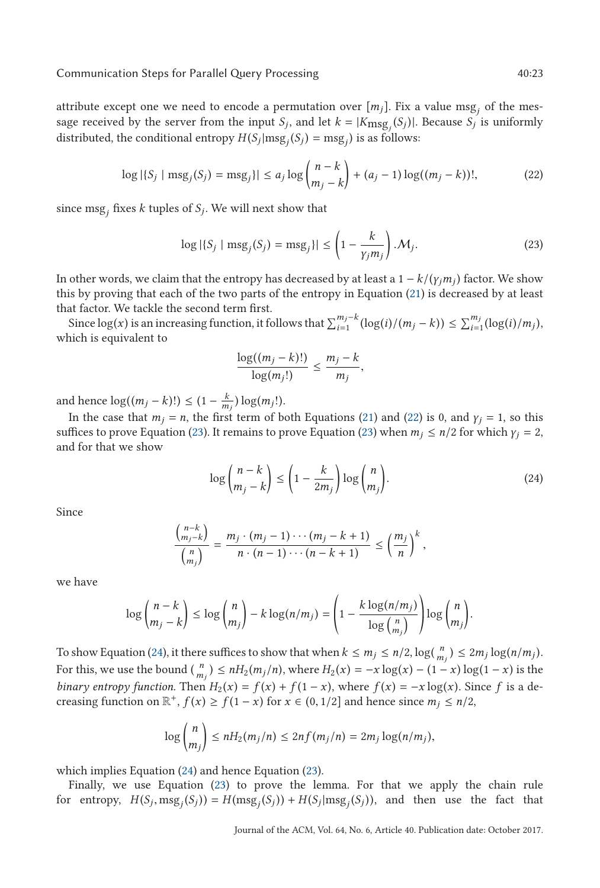<span id="page-22-0"></span>attribute except one we need to encode a permutation over  $[m_i]$ . Fix a value msg<sub>i</sub> of the message received by the server from the input  $S_j$ , and let  $k = |K_{\text{msg}_j}(S_j)|$ . Because  $S_j$  is uniformly distributed, the conditional entropy  $H(S_i | \text{msg}_i(S_i) = \text{msg}_i)$  is as follows:

$$
\log|\{S_j \mid \text{msg}_j(S_j) = \text{msg}_j\}| \le a_j \log \binom{n-k}{m_j-k} + (a_j - 1) \log((m_j - k))!,\tag{22}
$$

since msg<sub>*j*</sub> fixes *k* tuples of  $S_j$ . We will next show that

$$
\log|\{S_j \mid \text{msg}_j(S_j) = \text{msg}_j\}| \le \left(1 - \frac{k}{\gamma_j m_j}\right) \cdot \mathcal{M}_j. \tag{23}
$$

In other words, we claim that the entropy has decreased by at least a  $1 - k/(y_j m_j)$  factor. We show this by proving that each of the two parts of the entropy in Equation [\(21\)](#page-21-0) is decreased by at least that factor. We tackle the second term first.

Since  $\log(x)$  is an increasing function, it follows that  $\sum_{i=1}^{m_j-k} (\log(i)/(m_j-k)) \leq \sum_{i=1}^{m_j} (\log(i)/m_j)$ , which is equivalent to

$$
\frac{\log((m_j - k)!)}{\log(m_j!)} \le \frac{m_j - k}{m_j},
$$

and hence  $log((m_j - k)!)$  ≤  $(1 - \frac{k}{m_j}) log(m_j!)$ .

In the case that  $m_j = n$ , the first term of both Equations [\(21\)](#page-21-0) and (22) is 0, and  $\gamma_j = 1$ , so this suffices to prove Equation (23). It remains to prove Equation (23) when  $m_j \le n/2$  for which  $\gamma_j = 2$ , and for that we show

$$
\log \binom{n-k}{m_j-k} \le \left(1 - \frac{k}{2m_j}\right) \log \binom{n}{m_j}.\tag{24}
$$

Since

$$
\frac{{\binom{n-k}{m_j-k}}}{\binom{n}{m_j}}=\frac{m_j\cdot(m_j-1)\cdots(m_j-k+1)}{n\cdot(n-1)\cdots(n-k+1)}\leq\left(\frac{m_j}{n}\right)^k,
$$

we have

$$
\log \binom{n-k}{m_j-k} \leq \log \binom{n}{m_j} - k \log(n/m_j) = \left(1 - \frac{k \log(n/m_j)}{\log \binom{n}{m_j}}\right) \log \binom{n}{m_j}.
$$

To show Equation (24), it there suffices to show that when  $k \leq m_j \leq n/2$ ,  $\log(\binom{n}{m_j} \leq 2m_j \log(n/m_j)$ . For this, we use the bound  $\binom{n}{m} \le nH_2(m_j/n)$ , where  $H_2(x) = -x \log(x) - (1-x) \log(1-x)$  is the hing we extend function. Then  $H_1(x) = f(x) + f(1-x)$  where  $f(x) = x \log(x)$ . Since fixed the *binary entropy function.* Then  $H_2(x) = f(x) + f(1-x)$ , where  $f(x) = -x \log(x)$ . Since f is a decreasing function on  $\mathbb{R}^+$ ,  $f(x) \ge f(1-x)$  for  $x \in (0, 1/2]$  and hence since  $m_j \le n/2$ ,

$$
\log {n \choose m_j} \le nH_2(m_j/n) \le 2n f(m_j/n) = 2m_j \log(n/m_j),
$$

which implies Equation (24) and hence Equation (23).

Finally, we use Equation (23) to prove the lemma. For that we apply the chain rule for entropy,  $H(S_i, \text{msg}_i(S_i)) = H(\text{msg}_i(S_i)) + H(S_i | \text{msg}_i(S_i))$ , and then use the fact that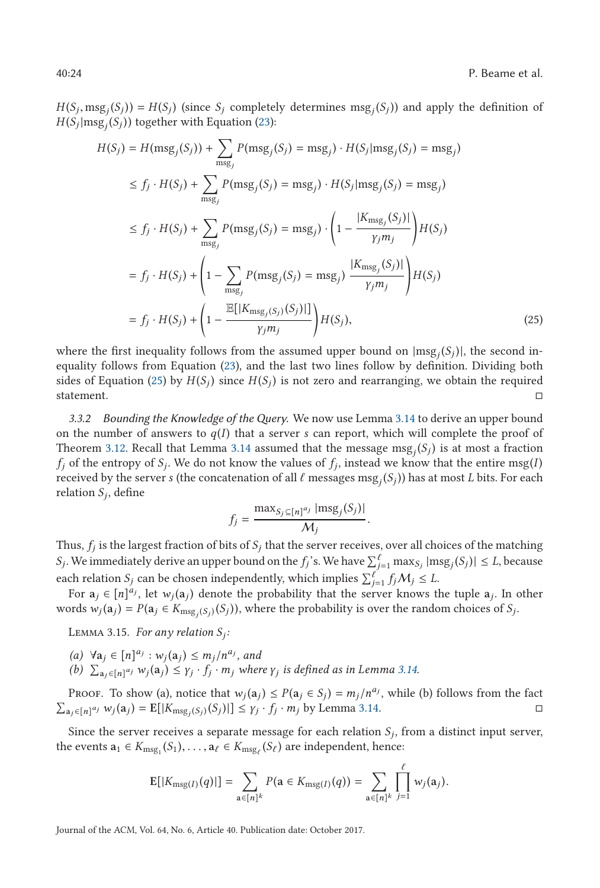<span id="page-23-0"></span> $H(S_j, \text{msg}_j(S_j)) = H(S_j)$  (since  $S_j$  completely determines msg<sub>*j*</sub>( $S_j$ )) and apply the definition of  $H(S_i | msg_i(S_i))$  together with Equation [\(23\)](#page-22-0):

$$
H(S_j) = H(msg_j(S_j)) + \sum_{\text{msg}_j} P(msg_j(S_j) = \text{msg}_j) \cdot H(S_j | \text{msg}_j(S_j) = \text{msg}_j)
$$
  
\n
$$
\leq f_j \cdot H(S_j) + \sum_{\text{msg}_j} P(msg_j(S_j) = \text{msg}_j) \cdot H(S_j | \text{msg}_j(S_j) = \text{msg}_j)
$$
  
\n
$$
\leq f_j \cdot H(S_j) + \sum_{\text{msg}_j} P(msg_j(S_j) = \text{msg}_j) \cdot \left(1 - \frac{|K_{\text{msg}_j}(S_j)|}{\gamma_j m_j}\right) H(S_j)
$$
  
\n
$$
= f_j \cdot H(S_j) + \left(1 - \sum_{\text{msg}_j} P(msg_j(S_j) = \text{msg}_j) \frac{|K_{\text{msg}_j}(S_j)|}{\gamma_j m_j}\right) H(S_j)
$$
  
\n
$$
= f_j \cdot H(S_j) + \left(1 - \frac{\mathbb{E}[|K_{\text{msg}_j}(S_j)(S_j)|]}{\gamma_j m_j}\right) H(S_j), \tag{25}
$$

where the first inequality follows from the assumed upper bound on  $|msg_i(S_i)|$ , the second inequality follows from Equation [\(23\)](#page-22-0), and the last two lines follow by definition. Dividing both sides of Equation (25) by  $H(S_i)$  since  $H(S_j)$  is not zero and rearranging, we obtain the required statement.  $\Box$  $\Box$ 

*3.3.2 Bounding the Knowledge of the Query.* We now use Lemma 3.14 to derive an upper bound on the number of answers to  $q(I)$  that a server *s* can report, which will complete the proof of Theorem 3.12. Recall that Lemma 3.14 assumed that the message msg<sub>*j*</sub>( $S_j$ ) is at most a fraction  $f_i$  of the entropy of  $S_i$ . We do not know the values of  $f_i$ , instead we know that the entire msg(*I*) received by the server *s* (the concatenation of all  $\ell$  messages msg<sub>*j*</sub>(*S<sub>j</sub>*)) has at most *L* bits. For each relation *S*<sub>*s*</sub> define relation  $S_i$ , define

$$
f_j = \frac{\max_{S_j \subseteq [n]^{a_j}} |\text{msg}_j(S_j)|}{\mathcal{M}_j}
$$

Thus,  $f_i$  is the largest fraction of bits of  $S_i$  that the server receives, over all choices of the matching  $S_j$ . We immediately derive an upper bound on the  $f_j$ 's. We have  $\sum_{j=1}^{\ell} \max_{S_j} |\text{msg}_j(S_j)| \leq L$ , because each relation  $S_j$  can be chosen independently, which implies  $\sum_{j=1}^{\ell} f_j \mathcal{M}_j \leq L$ .

For  $a_j \in [n]^{a_j}$ , let  $w_j(a_j)$  denote the probability that the server knows the tuple  $a_j$ . In other words  $w_j(a_j) = P(a_j \in K_{\text{msg}_j(S_j)}(S_j))$ , where the probability is over the random choices of  $S_j$ .

LEMMA 3.15. For any relation  $S_i$ :

- *(a)* ∀**a***<sup>j</sup>* ∈ [*n*] *<sup>a</sup><sup>j</sup>* : *<sup>w</sup><sup>j</sup>* (**a***j*) <sup>≤</sup> *<sup>m</sup>j*/*na<sup>j</sup> , and*
- $(b)$   $\sum_{a_j \in [n]^{a_j}} w_j(a_j) \leq \gamma_j \cdot f_j \cdot m_j$  where  $\gamma_j$  is defined as in Lemma 3.14.

Proof. To show (a), notice that  $w_j(\mathbf{a}_j) \leq P(\mathbf{a}_j \in S_j) = m_j/n^{a_j}$ , while (b) follows from the fact  $\mathbf{a}_j(\mathbf{a}_j) = \mathbf{E}[|K_{\text{mer}}(s_i)(S_i)|] \leq v_i \cdot f_i \cdot m_i$  by Lemma 3.14.  $\sum_{a_j \in [n]^{a_j}} w_j(a_j) = \mathbb{E}[|K_{\text{msg}_j(S_j)}(S_j)|] \leq \gamma_j \cdot f_j \cdot m_j$  by Lemma 3.14.  $\Box$ 

Since the server receives a separate message for each relation  $S_i$ , from a distinct input server, the events  $\mathbf{a}_1 \in K_{\text{msg}_1}(S_1), \ldots, \mathbf{a}_{\ell} \in K_{\text{msg}_{\ell}}(S_{\ell})$  are independent, hence:

$$
\mathbf{E}[|K_{\mathrm{msg}(I)}(q)|] = \sum_{\mathbf{a} \in [n]^k} P(\mathbf{a} \in K_{\mathrm{msg}(I)}(q)) = \sum_{\mathbf{a} \in [n]^k} \prod_{j=1}^{\iota} w_j(\mathbf{a}_j).
$$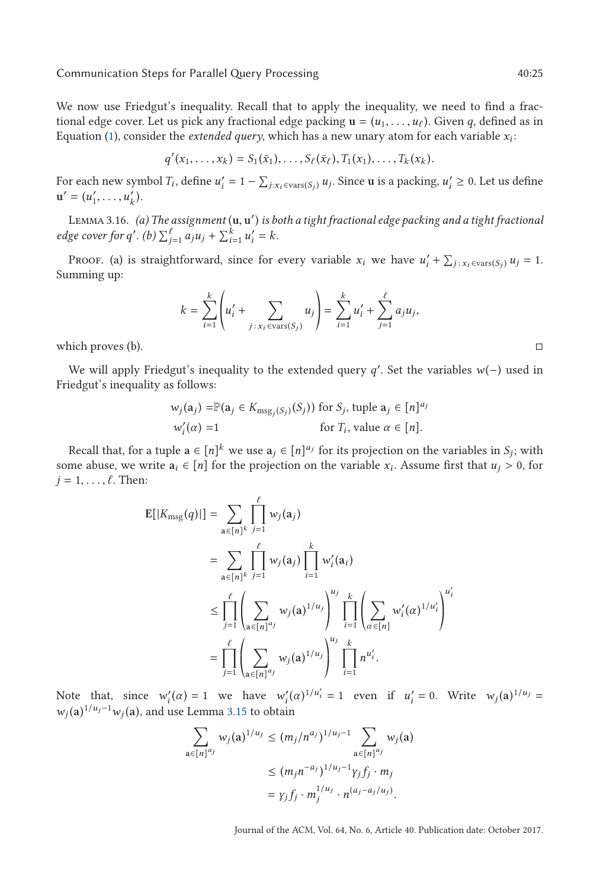We now use Friedgut's inequality. Recall that to apply the inequality, we need to find a fractional edge cover. Let us pick any fractional edge packing  $\mathbf{u} = (u_1, \ldots, u_\ell)$ . Given *q*, defined as in<br>Foustion (1), consider the *extended query* which has a new unary atom for each variable  $x$ . Equation [\(1\)](#page-5-0), consider the *extended query*, which has a new unary atom for each variable  $x_i$ :

$$
q'(x_1,...,x_k)=S_1(\bar{x}_1),...,S_\ell(\bar{x}_\ell),T_1(x_1),...,T_k(x_k).
$$

For each new symbol  $T_i$ , define  $u'_i = 1 - \sum_{j:x_i \in \text{vars}(S_j)} u_j$ . Since **u** is a packing,  $u'_i \ge 0$ . Let us define  $u' = (u'_1, \ldots, u'_k).$ 

LEMMA 3.16. *(a)* The assignment  $(\mathbf{u}, \mathbf{u}')$  is both a tight fractional edge packing and a tight fractional<br>se cover for a', (b)  $\sum_{i=1}^{l} a_i u_i + \sum_{i=1}^{k} u_i' = k$ *edge cover for q' . (b)*  $\sum_{j=1}^{l} a_j u_j + \sum_{i=1}^{k} u'_i = k$ *.* 

PROOF. (a) is straightforward, since for every variable  $x_i$  we have  $u'_i + \sum_{j : x_i \in \text{vars}(S_j)} u_j = 1$ . Summing up:

$$
k = \sum_{i=1}^{k} \left( u'_i + \sum_{j \, : \, x_i \in \text{vars}(S_j)} u_j \right) = \sum_{i=1}^{k} u'_i + \sum_{j=1}^{\ell} a_j u_j,
$$

which proves (b).

We will apply Friedgut's inequality to the extended query *q* . Set the variables *w*(−) used in Friedgut's inequality as follows:

$$
w_j(\mathbf{a}_j) = \mathbb{P}(\mathbf{a}_j \in K_{\text{msg}_j(S_j)}(S_j)) \text{ for } S_j, \text{ tuple } \mathbf{a}_j \in [n]^{a_j}
$$
  

$$
w'_i(\alpha) = 1 \qquad \text{ for } T_i, \text{ value } \alpha \in [n].
$$

Recall that, for a tuple  $\mathbf{a} \in [n]^k$  we use  $\mathbf{a}_j \in [n]^{a_j}$  for its projection on the variables in  $S_j$ ; with some abuse, we write  $a_i \in [n]$  for the projection on the variable  $x_i$ . Assume first that  $u_i > 0$ , for  $j = 1, \ldots, \ell$ . Then:

$$
E[|K_{\text{msg}}(q)|] = \sum_{\mathbf{a}\in[n]^k} \prod_{j=1}^{\ell} w_j(\mathbf{a}_j)
$$
  
\n
$$
= \sum_{\mathbf{a}\in[n]^k} \prod_{j=1}^{\ell} w_j(\mathbf{a}_j) \prod_{i=1}^k w'_i(\mathbf{a}_i)
$$
  
\n
$$
\leq \prod_{j=1}^{\ell} \left( \sum_{\mathbf{a}\in[n]^{\alpha_j}} w_j(\mathbf{a})^{1/u_j} \right)^{u_j} \prod_{i=1}^k \left( \sum_{\alpha\in[n]} w'_i(\alpha)^{1/u'_i} \right)^{u'_i}
$$
  
\n
$$
= \prod_{j=1}^{\ell} \left( \sum_{\mathbf{a}\in[n]^{\alpha_j}} w_j(\mathbf{a})^{1/u_j} \right)^{u_j} \prod_{i=1}^k n^{u'_i}.
$$

Note that, since  $w'_i(\alpha) = 1$  we have  $w'_i(\alpha)^{1/u'_i} = 1$  even if  $u'_i = 0$ . Write  $w_j(\mathbf{a})^{1/u_j} =$  $w_j(\mathbf{a})^{1/u_j-1}w_j(\mathbf{a})$ , and use Lemma 3.15 to obtain

$$
\sum_{\mathbf{a}\in[n]^{a_j}} w_j(\mathbf{a})^{1/u_j} \le (m_j/n^{a_j})^{1/u_j-1} \sum_{\mathbf{a}\in[n]^{a_j}} w_j(\mathbf{a})
$$
  

$$
\le (m_j n^{-a_j})^{1/u_j-1} \gamma_j f_j \cdot m_j
$$
  

$$
= \gamma_j f_j \cdot m_j^{1/u_j} \cdot n^{(a_j-a_j/u_j)}.
$$

Journal of the ACM, Vol. 64, No. 6, Article 40. Publication date: October 2017.

 $\Box$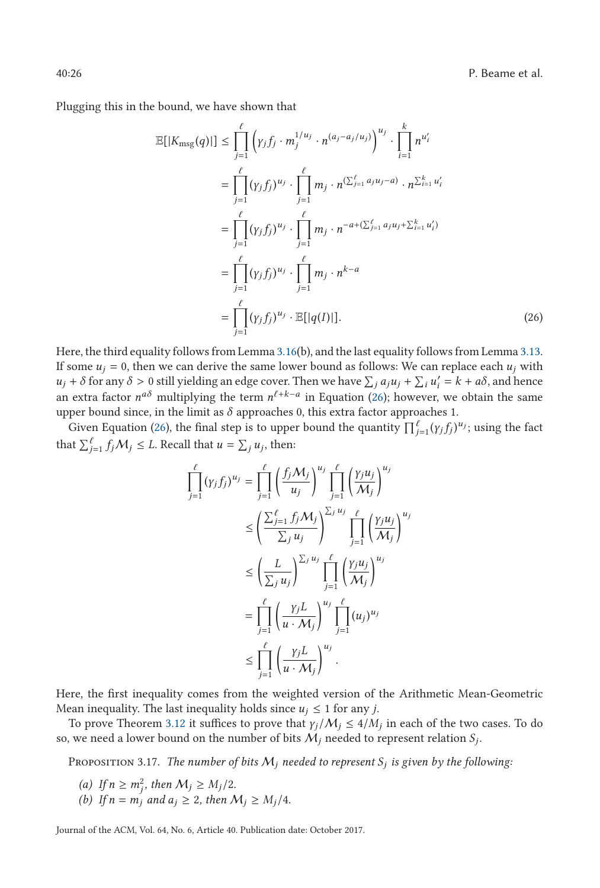Plugging this in the bound, we have shown that

$$
\mathbb{E}[|K_{\text{msg}}(q)|] \leq \prod_{j=1}^{\ell} \left(\gamma_j f_j \cdot m_j^{1/u_j} \cdot n^{(a_j - a_j/u_j)}\right)^{u_j} \cdot \prod_{i=1}^{k} n^{u'_i}
$$
\n
$$
= \prod_{j=1}^{\ell} (\gamma_j f_j)^{u_j} \cdot \prod_{j=1}^{\ell} m_j \cdot n^{(\sum_{j=1}^{\ell} a_j u_j - a)} \cdot n^{\sum_{i=1}^{k} u'_i}
$$
\n
$$
= \prod_{j=1}^{\ell} (\gamma_j f_j)^{u_j} \cdot \prod_{j=1}^{\ell} m_j \cdot n^{-a + (\sum_{j=1}^{\ell} a_j u_j + \sum_{i=1}^{k} u'_i)}
$$
\n
$$
= \prod_{j=1}^{\ell} (\gamma_j f_j)^{u_j} \cdot \prod_{j=1}^{\ell} m_j \cdot n^{k-a}
$$
\n
$$
= \prod_{j=1}^{\ell} (\gamma_j f_j)^{u_j} \cdot \mathbb{E}[|q(I)|]. \tag{26}
$$

Here, the third equality follows from Lemma 3.16(b), and the last equality follows from Lemma 3.13. If some  $u_j = 0$ , then we can derive the same lower bound as follows: We can replace each  $u_j$  with  $u_j + \delta$  for any  $\delta > 0$  still yielding an edge cover. Then we have  $\sum_j a_j u_j + \sum_i u'_i = k + a\delta$ , and hence an extra factor  $n^{a\delta}$  multiplying the term  $n^{\ell+k-a}$  in Equation (26); however, we obtain the same upper bound since, in the limit as  $\delta$  approaches 0, this extra factor approaches 1.

Given Equation (26), the final step is to upper bound the quantity  $\prod_{j=1}^{\ell} (\gamma_j f_j)^{u_j}$ ; using the fact that  $\sum_{j=1}^{\ell} f_j \mathcal{M}_j \leq L$ . Recall that  $u = \sum_j u_j$ , then:

$$
\int_{j=1}^{\ell} (\gamma_j f_j)^{u_j} = \prod_{j=1}^{\ell} \left( \frac{f_j M_j}{u_j} \right)^{u_j} \prod_{j=1}^{\ell} \left( \frac{\gamma_j u_j}{M_j} \right)^{u_j}
$$
\n
$$
\leq \left( \frac{\sum_{j=1}^{\ell} f_j M_j}{\sum_j u_j} \right)^{\sum_j u_j} \prod_{j=1}^{\ell} \left( \frac{\gamma_j u_j}{M_j} \right)^{u_j}
$$
\n
$$
\leq \left( \frac{L}{\sum_j u_j} \right)^{\sum_j u_j} \prod_{j=1}^{\ell} \left( \frac{\gamma_j u_j}{M_j} \right)^{u_j}
$$
\n
$$
= \prod_{j=1}^{\ell} \left( \frac{\gamma_j L}{u \cdot M_j} \right)^{u_j} \prod_{j=1}^{\ell} (u_j)^{u_j}
$$
\n
$$
\leq \prod_{j=1}^{\ell} \left( \frac{\gamma_j L}{u \cdot M_j} \right)^{u_j}.
$$

Here, the first inequality comes from the weighted version of the Arithmetic Mean-Geometric Mean inequality. The last inequality holds since  $u_i \leq 1$  for any *j*.

To prove Theorem 3.12 it suffices to prove that  $\gamma_i/M_i \leq 4/M_i$  in each of the two cases. To do so, we need a lower bound on the number of bits  $M_i$  needed to represent relation  $S_i$ .

Proposition 3.17. *The number of bits* M*<sup>j</sup> needed to represent S<sup>j</sup> is given by the following:*

- (a) If  $n \ge m_j^2$ , then  $M_j \ge M_j/2$ .<br>(b) If  $n = m_j$ , and  $a_j \ge 2$ , then  $\Lambda$
- *(b) If*  $n = m_j$  *and*  $a_j \geq 2$ *, then*  $M_j \geq M_j/4$ *.*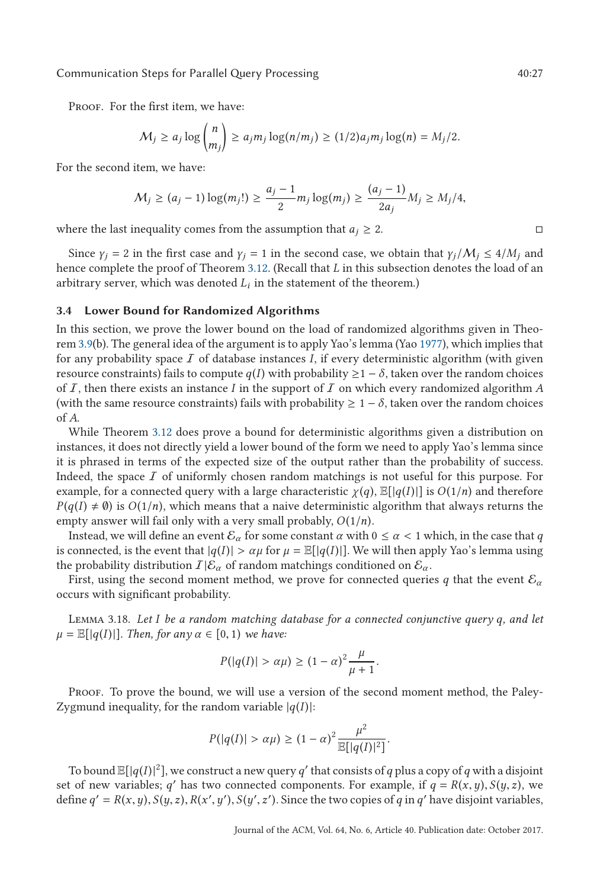PROOF. For the first item, we have:

$$
\mathcal{M}_j \ge a_j \log \binom{n}{m_j} \ge a_j m_j \log(n/m_j) \ge (1/2) a_j m_j \log(n) = M_j/2.
$$

For the second item, we have:

$$
M_j \ge (a_j - 1) \log(m_j!) \ge \frac{a_j - 1}{2} m_j \log(m_j) \ge \frac{(a_j - 1)}{2a_j} M_j \ge M_j/4,
$$

where the last inequality comes from the assumption that  $a_j \geq 2$ .

Since  $\gamma_i = 2$  in the first case and  $\gamma_i = 1$  in the second case, we obtain that  $\gamma_i / M_i \leq 4/M_i$  and hence complete the proof of Theorem 3.12. (Recall that *L* in this subsection denotes the load of an arbitrary server, which was denoted  $L_i$  in the statement of the theorem.)

#### **3.4 Lower Bound for Randomized Algorithms**

In this section, we prove the lower bound on the load of randomized algorithms given in Theorem 3.9(b). The general idea of the argument is to apply Yao's lemma (Yao [1977\)](#page-57-0), which implies that for any probability space  $I$  of database instances  $I$ , if every deterministic algorithm (with given resource constraints) fails to compute  $q(I)$  with probability  $\geq 1 - \delta$ , taken over the random choices of  $I$ , then there exists an instance  $I$  in the support of  $I$  on which every randomized algorithm  $A$ (with the same resource constraints) fails with probability  $\geq 1 - \delta$ , taken over the random choices of *A*.

While Theorem 3.12 does prove a bound for deterministic algorithms given a distribution on instances, it does not directly yield a lower bound of the form we need to apply Yao's lemma since it is phrased in terms of the expected size of the output rather than the probability of success. Indeed, the space  $I$  of uniformly chosen random matchings is not useful for this purpose. For example, for a connected query with a large characteristic  $\chi(q)$ ,  $\mathbb{E}[(q(I))]$  is  $O(1/n)$  and therefore  $P(q(I) \neq \emptyset)$  is  $O(1/n)$ , which means that a naive deterministic algorithm that always returns the empty answer will fail only with a very small probably, *<sup>O</sup>*(1/*n*).

Instead, we will define an event  $\mathcal{E}_{\alpha}$  for some constant  $\alpha$  with  $0 \leq \alpha < 1$  which, in the case that *q* is connected, is the event that  $|q(I)| > \alpha \mu$  for  $\mu = \mathbb{E}[|q(I)|]$ . We will then apply Yao's lemma using the probability distribution  $I|\mathcal{E}_\alpha$  of random matchings conditioned on  $\mathcal{E}_\alpha$ .

First, using the second moment method, we prove for connected queries *q* that the event  $\mathcal{E}_{\alpha}$ occurs with significant probability.

Lemma 3.18. *Let I be a random matching database for a connected conjunctive query q, and let*  $\mu = \mathbb{E}[|q(I)|]$ *. Then, for any*  $\alpha \in [0, 1)$  *we have:* 

$$
P(|q(I)| > \alpha\mu) \ge (1-\alpha)^2 \frac{\mu}{\mu+1}.
$$

PROOF. To prove the bound, we will use a version of the second moment method, the Paley-Zygmund inequality, for the random variable  $|q(I)|$ :

$$
P(|q(I)| > \alpha\mu) \ge (1-\alpha)^2 \frac{\mu^2}{\mathbb{E}[|q(I)|^2]}.
$$

To bound  $\mathbb{E}[|q(I)|^2]$ , we construct a new query  $q'$  that consists of  $q$  plus a copy of  $q$  with a disjoint set of new variables; *q'* has two connected components. For example, if  $q = R(x, y)$ ,  $S(y, z)$ , we define  $q' = R(x, y)$ ,  $S(y, z)$ ,  $R(x', y')$ ,  $S(y', z')$ . Since the two copies of *q* in *q*' have disjoint variables,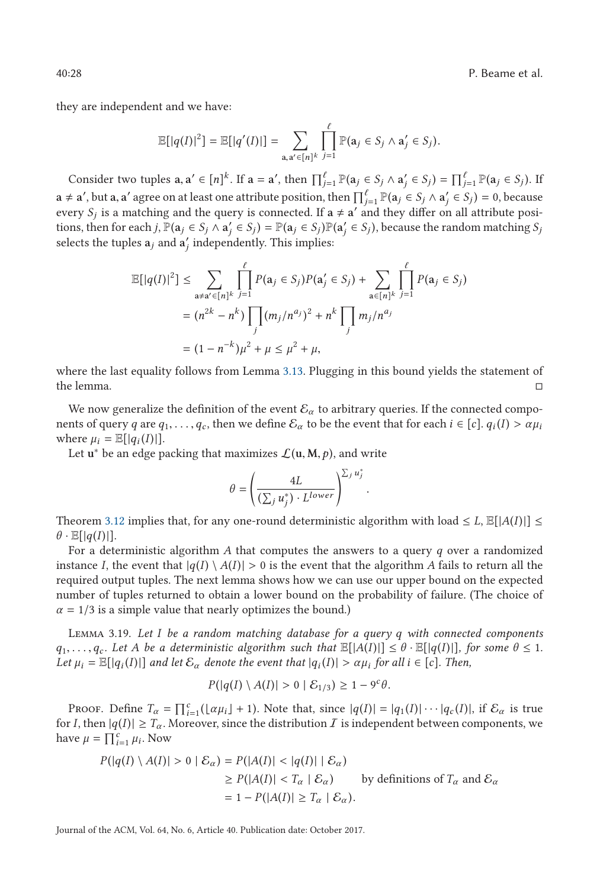they are independent and we have:

$$
\mathbb{E}[|q(I)|^2] = \mathbb{E}[|q'(I)|] = \sum_{\mathbf{a}, \mathbf{a}' \in [n]^k} \prod_{j=1}^\ell \mathbb{P}(\mathbf{a}_j \in S_j \wedge \mathbf{a}'_j \in S_j).
$$

Consider two tuples  $\mathbf{a}, \mathbf{a}' \in [n]^k$ . If  $\mathbf{a} = \mathbf{a}'$ , then  $\prod_{j=1}^{\ell} \mathbb{P}(\mathbf{a}_j \in S_j \land \mathbf{a}'_j \in S_j) = \prod_{j=1}^{\ell} \mathbb{P}(\mathbf{a}_j \in S_j)$ . If **a** ≠ **a**', but **a**, **a**' agree on at least one attribute position, then  $\prod_{j=1}^{\ell} \mathbb{P}(\mathbf{a}_j \in S_j \land \mathbf{a}'_j \in S_j) = 0$ , because every  $S_i$  is a matching and the query is connected. If  $a \neq a'$  and they differ on all attribute positions, then for each  $j$ ,  $\mathbb{P}(\mathbf{a}_j \in S_j \land \mathbf{a}'_j \in S_j) = \mathbb{P}(\mathbf{a}_j \in S_j) \mathbb{P}(\mathbf{a}'_j \in S_j)$ , because the random matching  $S_j$ selects the tuples  $a_j$  and  $a'_j$  independently. This implies:

$$
\mathbb{E}[|q(I)|^2] \leq \sum_{\mathbf{a} \neq \mathbf{a}' \in [n]^k} \prod_{j=1}^\ell P(\mathbf{a}_j \in S_j) P(\mathbf{a}'_j \in S_j) + \sum_{\mathbf{a} \in [n]^k} \prod_{j=1}^\ell P(\mathbf{a}_j \in S_j)
$$
  
=  $(n^{2k} - n^k) \prod_j (m_j/n^{a_j})^2 + n^k \prod_j m_j/n^{a_j}$   
=  $(1 - n^{-k})\mu^2 + \mu \leq \mu^2 + \mu$ ,

where the last equality follows from Lemma 3.13. Plugging in this bound yields the statement of  $t$ he lemma.  $\Box$ 

We now generalize the definition of the event  $\mathcal{E}_{\alpha}$  to arbitrary queries. If the connected components of query *q* are  $q_1, \ldots, q_c$ , then we define  $\mathcal{E}_{\alpha}$  to be the event that for each  $i \in [c]$ .  $q_i(I) > \alpha \mu_i$ where  $\mu_i = \mathbb{E}[|q_i(I)|].$ 

Let  $u^*$  be an edge packing that maximizes  $\mathcal{L}(u, M, p)$ , and write

$$
\theta = \left(\frac{4L}{\left(\sum_j u_j^*\right) \cdot L^{lower}}\right)^{\sum_j u_j^*}
$$

Theorem 3.12 implies that, for any one-round deterministic algorithm with load  $\leq L$ ,  $\mathbb{E}[|A(I)|] \leq$  $\theta \cdot \mathbb{E}[|q(I)|].$ 

For a deterministic algorithm *A* that computes the answers to a query *q* over a randomized instance *I*, the event that  $|q(I) \setminus A(I)| > 0$  is the event that the algorithm *A* fails to return all the required output tuples. The next lemma shows how we can use our upper bound on the expected number of tuples returned to obtain a lower bound on the probability of failure. (The choice of  $\alpha = 1/3$  is a simple value that nearly optimizes the bound.)

Lemma 3.19. *Let I be a random matching database for a query q with connected components*  $q_1, \ldots, q_c$ *. Let A be a deterministic algorithm such that*  $\mathbb{E}[A(I)] \leq \theta \cdot \mathbb{E}[q(I)]$ *, for some*  $\theta \leq 1$ *. Let*  $\mu_i = \mathbb{E}[\vert q_i(I) \vert]$  *and let*  $\mathcal{E}_\alpha$  *denote the event that*  $\vert q_i(I) \vert > \alpha \mu_i$  *for all*  $i \in [c]$ *. Then,* 

$$
P(|q(I) \setminus A(I)| > 0 \mid \mathcal{E}_{1/3}) \geq 1 - 9^{c} \theta.
$$

Proof. Define  $T_{\alpha} = \prod_{i=1}^{c} (\lfloor \alpha \mu_i \rfloor + 1)$ . Note that, since  $|q(I)| = |q_1(I)| \cdots |q_c(I)|$ , if  $\mathcal{E}_{\alpha}$  is true for *I*, then  $|q(I)| \geq T_\alpha$ . Moreover, since the distribution *I* is independent between components, we have  $\mu = \prod_{i=1}^{c} \mu_i$ . Now

$$
P(|q(I) \setminus A(I)| > 0 \mid \mathcal{E}_{\alpha}) = P(|A(I)| < |q(I)| \mid \mathcal{E}_{\alpha})
$$
  
\n
$$
\geq P(|A(I)| < T_{\alpha} \mid \mathcal{E}_{\alpha}) \qquad \text{by definitions of } T_{\alpha} \text{ and } \mathcal{E}_{\alpha}
$$
  
\n
$$
= 1 - P(|A(I)| \geq T_{\alpha} \mid \mathcal{E}_{\alpha}).
$$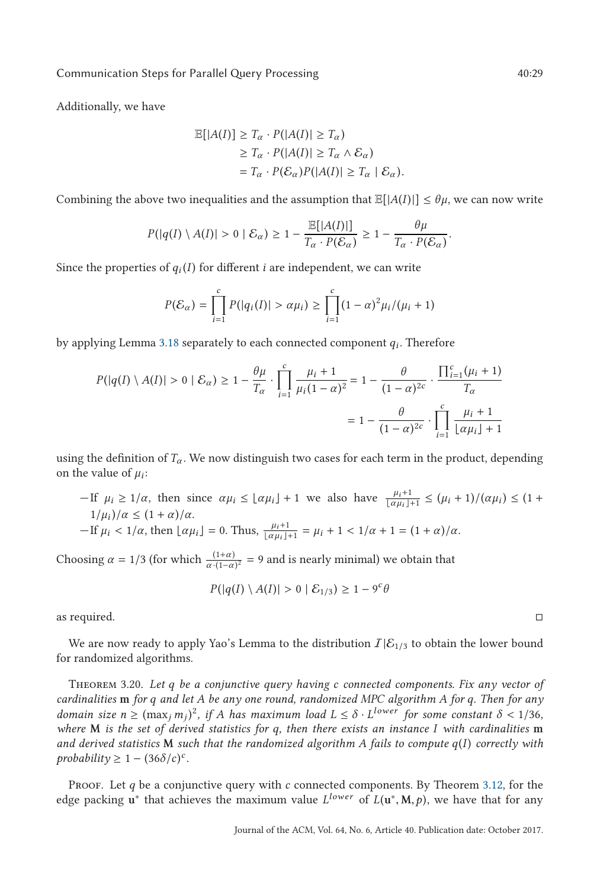Additionally, we have

$$
\mathbb{E}[|A(I)] \ge T_{\alpha} \cdot P(|A(I)| \ge T_{\alpha})
$$
  
\n
$$
\ge T_{\alpha} \cdot P(|A(I)| \ge T_{\alpha} \wedge \mathcal{E}_{\alpha})
$$
  
\n
$$
= T_{\alpha} \cdot P(\mathcal{E}_{\alpha})P(|A(I)| \ge T_{\alpha} | \mathcal{E}_{\alpha}).
$$

Combining the above two inequalities and the assumption that  $\mathbb{E}[|A(I)|] \leq \theta \mu$ , we can now write

$$
P(|q(I) \setminus A(I)| > 0 \mid \mathcal{E}_{\alpha}) \geq 1 - \frac{\mathbb{E}[|A(I)|]}{T_{\alpha} \cdot P(\mathcal{E}_{\alpha})} \geq 1 - \frac{\theta \mu}{T_{\alpha} \cdot P(\mathcal{E}_{\alpha})}.
$$

Since the properties of  $q_i(I)$  for different *i* are independent, we can write

$$
P(\mathcal{E}_{\alpha}) = \prod_{i=1}^{c} P(|q_i(I)| > \alpha \mu_i) \ge \prod_{i=1}^{c} (1 - \alpha)^2 \mu_i / (\mu_i + 1)
$$

by applying Lemma 3.18 separately to each connected component  $q_i$ . Therefore

$$
P(|q(I) \setminus A(I)| > 0 \mid \mathcal{E}_{\alpha}) \ge 1 - \frac{\theta \mu}{T_{\alpha}} \cdot \prod_{i=1}^{c} \frac{\mu_{i} + 1}{\mu_{i}(1 - \alpha)^{2}} = 1 - \frac{\theta}{(1 - \alpha)^{2c}} \cdot \frac{\prod_{i=1}^{c} (\mu_{i} + 1)}{T_{\alpha}}
$$

$$
= 1 - \frac{\theta}{(1 - \alpha)^{2c}} \cdot \prod_{i=1}^{c} \frac{\mu_{i} + 1}{\lfloor \alpha \mu_{i} \rfloor + 1}
$$

using the definition of  $T_\alpha$ . We now distinguish two cases for each term in the product, depending on the value of  $\mu_i$ :

$$
- \text{If } \mu_i \ge 1/\alpha
$$
, then since  $\alpha \mu_i \le \lfloor \alpha \mu_i \rfloor + 1$  we also have  $\frac{\mu_i + 1}{\lfloor \alpha \mu_i \rfloor + 1} \le (\mu_i + 1) / (\alpha \mu_i) \le (1 + 1/\mu_i)/\alpha \le (1 + \alpha)/\alpha$ . $- \text{If } \mu_i < 1/\alpha$ , then  $\lfloor \alpha \mu_i \rfloor = 0$ . Thus,  $\frac{\mu_i + 1}{\lfloor \alpha \mu_i \rfloor + 1} = \mu_i + 1 < 1/\alpha + 1 = (1 + \alpha)/\alpha$ .

Choosing  $\alpha = 1/3$  (for which  $\frac{(1+\alpha)}{\alpha \cdot (1-\alpha)^2} = 9$  and is nearly minimal) we obtain that

$$
P(|q(I) \setminus A(I)| > 0 \mid \mathcal{E}_{1/3}) \geq 1 - 9^{c} \theta
$$

as required.

We are now ready to apply Yao's Lemma to the distribution  $I|\mathcal{E}_{1/3}$  to obtain the lower bound for randomized algorithms.

Theorem 3.20. *Let q be a conjunctive query having c connected components. Fix any vector of cardinalities* **m** *for q and let A be any one round, randomized MPC algorithm A for q. Then for any domain size*  $n \geq (\max_j m_j)^2$ , if *A has maximum load*  $L \leq \delta \cdot L^{lower}$  *for some constant*  $\delta < 1/36$ , where **M** is the set of derived statistics for a then there exists an instance *L* with cardinalities **m** *where* **M** *is the set of derived statistics for q, then there exists an instance I with cardinalities* **m** *and derived statistics* **M** *such that the randomized algorithm A fails to compute q*(*I*) *correctly with*  $\text{probability} \geq 1 - (36\delta/c)^c$ .

Proof. Let *q* be a conjunctive query with *c* connected components. By Theorem 3.12, for the edge packing **<sup>u</sup>**<sup>∗</sup> that achieves the maximum value *<sup>L</sup>lower* of *<sup>L</sup>*(**u**∗, **<sup>M</sup>**,*p*), we have that for any

$$
\Box
$$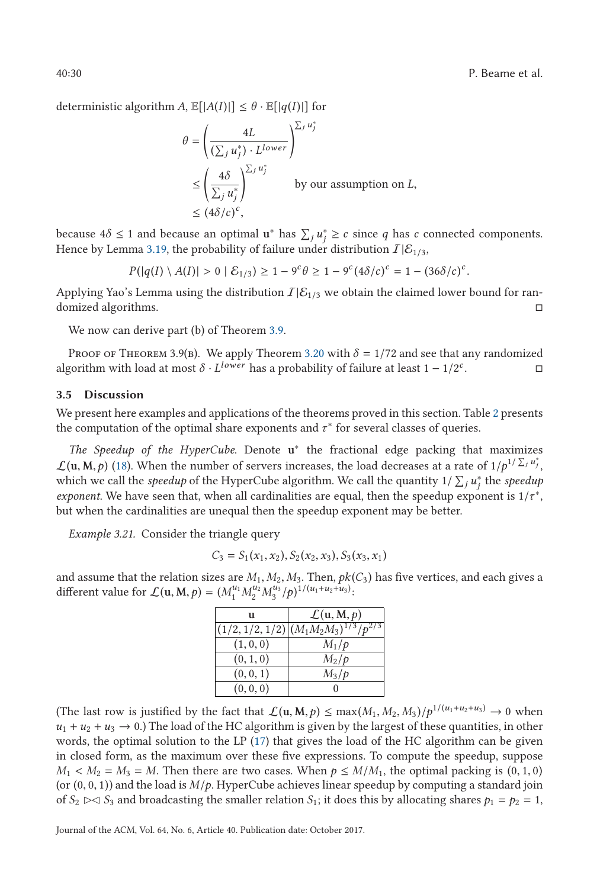deterministic algorithm *A*,  $\mathbb{E}[|A(I)|] \leq \theta \cdot \mathbb{E}[|q(I)|]$  for

$$
\theta = \left(\frac{4L}{(\sum_j u_j^*) \cdot L^{lower}}\right)^{\sum_j u_j^*}
$$
  
\n
$$
\leq \left(\frac{4\delta}{\sum_j u_j^*}\right)^{\sum_j u_j^*} \qquad \text{by our assumption on } L,
$$
  
\n
$$
\leq (4\delta/c)^c,
$$

because  $4\delta \leq 1$  and because an optimal  $\mathbf{u}^*$  has  $\sum_j u_j^* \geq c$  since *q* has *c* connected components. Hence by Lemma 3.19, the probability of failure under distribution  $I|\mathcal{E}_{1/3}$ ,

$$
P(|q(I) \setminus A(I)| > 0 \mid \mathcal{E}_{1/3}) \ge 1 - 9^{c} \theta \ge 1 - 9^{c} (4\delta/c)^{c} = 1 - (36\delta/c)^{c}.
$$

Applying Yao's Lemma using the distribution  $I|\mathcal{E}_{1/3}$  we obtain the claimed lower bound for ran-<br>domined also it bound for randomized algorithms. -

We now can derive part (b) of Theorem 3.9.

PROOF OF THEOREM 3.9(B). We apply Theorem 3.20 with  $\delta = 1/72$  and see that any randomized<br>porithm with load at most  $\delta \cdot L^{lower}$  has a probability of failure at least  $1 - 1/2^c$ algorithm with load at most  $\delta \cdot L^{lower}$  has a probability of failure at least  $1 - 1/2^c$ .

# **3.5 Discussion**

We present here examples and applications of the theorems proved in this section. Table [2](#page-30-0) presents the computation of the optimal share exponents and  $\tau^*$  for several classes of queries.

*The Speedup of the HyperCube*. Denote **u**<sup>∗</sup> the fractional edge packing that maximizes  $\mathcal{L}(\mathbf{u}, \mathbf{M}, p)$  [\(18\)](#page-17-0). When the number of servers increases, the load decreases at a rate of  $1/p^{1/\sum_j u_j^*}$ , which we call the speedup of the HyperCube algorithm. We call the quantity  $1/\sum_i u_i^*$  the speedup which we call the *speedup* of the HyperCube algorithm. We call the quantity  $1/\sum_j u_j^*$  the *speedup*<br>expanent. We have seen that when all cardinalities are equal, then the speedup expanent is  $1/x^*$ *exponent*. We have seen that, when all cardinalities are equal, then the speedup exponent is  $1/\tau^*$ , but when the cardinalities are unequal then the speedup exponent may be better.

*Example 3.21.* Consider the triangle query

$$
C_3 = S_1(x_1, x_2), S_2(x_2, x_3), S_3(x_3, x_1)
$$

and assume that the relation sizes are  $M_1$ ,  $M_2$ ,  $M_3$ . Then,  $pk(C_3)$  has five vertices, and each gives a different value for  $\mathcal{L}(\mathbf{u}, \mathbf{M}, p) = (M_1^{u_1} M_2^{u_2} M_3^{u_3} / p)^{1/(u_1 + u_2 + u_3)}$ .

| 11        | $\mathcal{L}(\mathbf{u}, \mathbf{M}, p)$      |
|-----------|-----------------------------------------------|
|           | $(1/2, 1/2, 1/2)$ $(M_1M_2M_3)^{1/3}/p^{2/3}$ |
| (1, 0, 0) | $M_1/p$                                       |
| (0, 1, 0) | $M_2/p$                                       |
| (0, 0, 1) | $M_3/p$                                       |
| (0, 0, 0) |                                               |
|           |                                               |

(The last row is justified by the fact that  $\mathcal{L}(\mathbf{u}, \mathbf{M}, p) \leq \max(M_1, M_2, M_3)/p^{1/(u_1+u_2+u_3)} \to 0$  when  $u_1 + u_2 + u_3 \rightarrow 0$ .) The load of the HC algorithm is given by the largest of these quantities, in other words, the optimal solution to the LP [\(17\)](#page-16-0) that gives the load of the HC algorithm can be given in closed form, as the maximum over these five expressions. To compute the speedup, suppose  $M_1 < M_2 = M_3 = M$ . Then there are two cases. When  $p \leq M/M_1$ , the optimal packing is (0, 1, 0) (or  $(0, 0, 1)$ ) and the load is  $M/p$ . HyperCube achieves linear speedup by computing a standard join of  $S_2 \bowtie S_3$  and broadcasting the smaller relation  $S_1$ ; it does this by allocating shares  $p_1 = p_2 = 1$ ,

<span id="page-29-0"></span>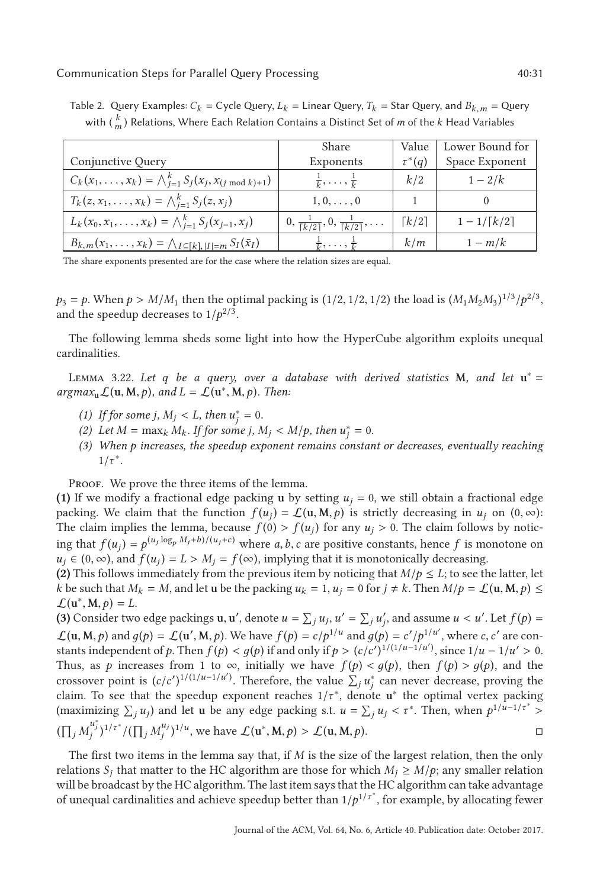|                                                                                    | Share                                                                    | Value               | Lower Bound for   |  |
|------------------------------------------------------------------------------------|--------------------------------------------------------------------------|---------------------|-------------------|--|
| Conjunctive Query                                                                  | Exponents                                                                | $\tau^*(q)$         | Space Exponent    |  |
| $C_k(x_1,,x_k) = \bigwedge_{j=1}^k S_j(x_j,x_{(j \mod k)+1})$                      | $\frac{1}{k},\ldots,\frac{1}{k}$                                         | k/2                 | $1 - \frac{2}{k}$ |  |
| $T_k(z, x_1, \ldots, x_k) = \bigwedge_{j=1}^k S_j(z, x_j)$                         | $1, 0, \ldots, 0$                                                        |                     |                   |  |
| $L_k(x_0, x_1, \ldots, x_k) = \bigwedge_{j=1}^k S_j(x_{j-1}, x_j)$                 | $0, \frac{1}{\lceil k/2 \rceil}, 0, \frac{1}{\lceil k/2 \rceil}, \ldots$ | $\lceil k/2 \rceil$ | $1 - 1/[k/2]$     |  |
| $B_{k,m}(x_1,,x_k) = \bigwedge_{I \subseteq [k],  I =m} S_I(\bar{x}_I)$            | $\frac{1}{k}, \ldots, \frac{1}{k}$                                       | k/m                 | $1 - m/k$         |  |
| The share exponents presented are for the case where the relation sizes are equal. |                                                                          |                     |                   |  |

<span id="page-30-0"></span>Table 2. Query Examples:  $C_k$  = Cycle Query,  $L_k$  = Linear Query,  $T_k$  = Star Query, and  $B_{k,m}$  = Query with  $({k \atop m})$  Relations, Where Each Relation Contains a Distinct Set of  $m$  of the  $k$  Head Variables

 $p_3 = p$ . When  $p > M/M_1$  then the optimal packing is (1/2, 1/2, 1/2) the load is  $(M_1M_2M_3)^{1/3}/p^{2/3}$ , and the speedup decreases to  $1/p^{2/3}$ .

The following lemma sheds some light into how the HyperCube algorithm exploits unequal cardinalities.

Lemma 3.22. *Let q be a query, over a database with derived statistics* **M***, and let* **u**<sup>∗</sup> =  $argmax_{\mathbf{u}} \mathcal{L}(\mathbf{u}, \mathbf{M}, p)$ , and  $L = \mathcal{L}(\mathbf{u}^*, \mathbf{M}, p)$ . Then:

- (1) If for some *j*,  $M_j < L$ , then  $u_j^* = 0$ .<br>(2) Let  $M = \max_i M_i$ . If for some *i*, *l*
- (2) Let  $M = \max_k M_k$ . If for some *j*,  $M_j < M/p$ , then  $u_j^* = 0$ .<br>(3) When *p* increases, the speedup exponent remains constant
- *(3) When p increases, the speedup exponent remains constant or decreases, eventually reaching*  $1/\tau^*$ .

PROOF. We prove the three items of the lemma.

**(1)** If we modify a fractional edge packing **u** by setting  $u_j = 0$ , we still obtain a fractional edge packing. We claim that the function  $f(u_i) = \mathcal{L}(\mathbf{u}, \mathbf{M}, p)$  is strictly decreasing in  $u_i$  on  $(0, \infty)$ : The claim implies the lemma, because  $f(0) > f(u_i)$  for any  $u_i > 0$ . The claim follows by noticing that  $f(u_i) = p^{(u_j \log_p M_j + b)/(u_j + c)}$  where *a*, *b*, *c* are positive constants, hence *f* is monotone on *u*<sub>*j*</sub> ∈ (0, ∞), and *f* (*u<sub>j</sub>*) = *L* > *M<sub>j</sub>* = *f* (∞), implying that it is monotonically decreasing.

**(2)** This follows immediately from the previous item by noticing that  $M/p \leq L$ ; to see the latter, let *k* be such that  $M_k = M$ , and let **u** be the packing  $u_k = 1$ ,  $u_j = 0$  for  $j \neq k$ . Then  $M/p = \mathcal{L}(\mathbf{u}, \mathbf{M}, p) \leq$  $\mathcal{L}(\mathbf{u}^*, \mathbf{M}, p) = L.$ 

(3) Consider two edge packings **u**, **u'**, denote  $u = \sum_j u_j$ ,  $u' = \sum_j u'_j$ , and assume  $u < u'$ . Let  $f(p) = f(x)$   $\sum_j u'_j$  ,  $u' = \sum_j u'_j$ , and assume  $u < u'$ . Let  $f(p) = f(x)$  $\mathcal{L}(\mathbf{u}, \mathbf{M}, p)$  and  $g(p) = \mathcal{L}(\mathbf{u}', \mathbf{M}, p)$ . We have  $f(p) = c/p^{1/u}$  and  $g(p) = c'/p^{1/u'}$ , where c, c' are constants independent of a Then  $f(p) < g(p)$  if and only if  $p > (c/c')^{1/(1/u-1/u')}$  since  $1/u - 1/u' > 0$ stants independent of *p*. Then  $f(p) < g(p)$  if and only if  $p > (c/c')^{1/(1/u-1/u')}$ , since  $1/u - 1/u' > 0$ .<br>Thus as *p* increases from 1 to  $\infty$  initially we have  $f(p) < g(p)$  then  $f(p) > g(p)$  and the Thus, as *p* increases from 1 to  $\infty$ , initially we have  $f(p) < g(p)$ , then  $f(p) > g(p)$ , and the crossover point is  $(c/c')^{1/(1/u-1/u')}$ . Therefore, the value  $\sum_j u_j^*$  can never decrease, proving the claim. To see that the speedup exponent reaches  $1/x^*$  denote  $x^*$  the optimal vertex packing claim. To see that the speedup exponent reaches  $1/\tau^*$ , denote  $\mathbf{u}^*$  the optimal vertex packing (maximizing  $\sum_j u_j$ ) and let **u** be any edge packing s.t.  $u = \sum_j u_j < \tau^*$ . Then, when  $p^{1/\hat{u}-1/\tau^*} > u_j^*$  $(\prod_j M_j^{u_j^*})^{1/\tau^*}/(\prod_j M_j^{u_j})^{1/u}$ , we have  $\mathcal{L}(\mathbf{u}^*, \mathbf{M}, p) > \mathcal{L}(\mathbf{u}, \mathbf{M}, p)$ .  $\Box$  $\Box$ 

The first two items in the lemma say that, if *M* is the size of the largest relation, then the only relations *S<sub>i</sub>* that matter to the HC algorithm are those for which  $M_i \geq M/p$ ; any smaller relation will be broadcast by the HC algorithm. The last item says that the HC algorithm can take advantage of unequal cardinalities and achieve speedup better than  $1/p^{1/\tau^*}$ , for example, by allocating fewer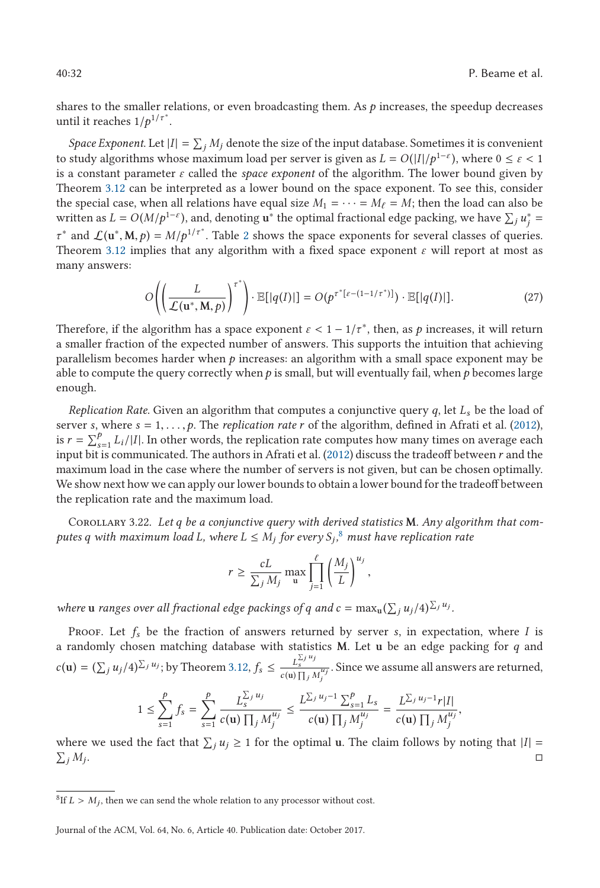<span id="page-31-0"></span>shares to the smaller relations, or even broadcasting them. As  $p$  increases, the speedup decreases until it reaches  $1/p^{1/\tau^*}$ .

*Space Exponent*. Let  $|I| = \sum_j M_j$  denote the size of the input database. Sometimes it is convenient to study algorithms whose maximum load per server is given as  $L = O(|I|/p^{1-\epsilon})$ , where  $0 \le \epsilon < 1$ is a constant parameter *ε* called the *space exponent* of the algorithm. The lower bound given by Theorem 3.12 can be interpreted as a lower bound on the space exponent. To see this, consider the special case, when all relations have equal size  $M_1 = \cdots = M_\ell = M$ ; then the load can also be<br>written as  $I = O(M/\ell^{-\epsilon})$  and denoting  $w^*$  the entimal fractional edge positing we have  $\sum w^* =$ written as  $L = O(M/p^{1-\epsilon})$ , and, denoting  $\mathbf{u}^*$  the optimal fractional edge packing, we have  $\sum_j u^*_j =$ <br> *j*<sup>\*</sup> and  $C(x^*, \mathbf{M}, \epsilon) = M(z^{1/\tau^*})$ . Takks 2 change the suses are magnetic for a speed change of magical  $\tau^*$  and  $\mathcal{L}(\mathbf{u}^*, \mathbf{M}, p) = M/p^{1/\tau^*}$ . Table [2](#page-30-0) shows the space exponents for several classes of queries.<br>Theorem 3.12 implies that any algorithm with a fixed space exponent s will report at most as Theorem 3.12 implies that any algorithm with a fixed space exponent  $\varepsilon$  will report at most as many answers:

$$
O\left(\left(\frac{L}{\mathcal{L}(\mathbf{u}^*, \mathbf{M}, p)}\right)^{\tau^*}\right) \cdot \mathbb{E}[|q(I)|] = O(p^{\tau^*[\varepsilon - (1 - 1/\tau^*)]}) \cdot \mathbb{E}[|q(I)|].
$$
\n(27)

Therefore, if the algorithm has a space exponent  $\varepsilon < 1 - 1/\tau^*$ , then, as p increases, it will return a smaller fraction of the expected number of answers. This supports the intuition that achieving parallelism becomes harder when *p* increases: an algorithm with a small space exponent may be able to compute the query correctly when *p* is small, but will eventually fail, when *p* becomes large enough.

*Replication Rate*. Given an algorithm that computes a conjunctive query *q*, let *L<sup>s</sup>* be the load of server *<sup>s</sup>*, where *<sup>s</sup>* <sup>=</sup> <sup>1</sup>,...,*p*. The *replication rate <sup>r</sup>* of the algorithm, defined in Afrati et al. [\(2012\)](#page-56-0), is  $r = \sum_{s=1}^{p} L_i / |I|$ . In other words, the replication rate computes how many times on average each input bit is communicated. The authors in Afrati et al. (2012) discuss the tradeoff between r and the input bit is communicated. The authors in Afrati et al. [\(2012\)](#page-56-0) discuss the tradeoff between *r* and the maximum load in the case where the number of servers is not given, but can be chosen optimally. We show next how we can apply our lower bounds to obtain a lower bound for the tradeoff between the replication rate and the maximum load.

Corollary 3.22. *Let q be a conjunctive query with derived statistics* **M***. Any algorithm that computes*  $q$  *with maximum load*  $L$ *, where*  $L \leq M_j$  for every  $S_j$ , $^8$  *must have replication rate* 

$$
r \geq \frac{cL}{\sum_j M_j} \max_{\mathbf{u}} \prod_{j=1}^{\ell} \left(\frac{M_j}{L}\right)^{u_j},
$$

*where* **u** *ranges over all fractional edge packings of <i>q and*  $c = \max_{u} (\sum_{j} u_{j}/4)^{\sum_{j} u_{j}}$ .

Proof. Let  $f_s$  be the fraction of answers returned by server *s*, in expectation, where *I* is a randomly chosen matching database with statistics **M**. Let **u** be an edge packing for *q* and  $c(\mathbf{u}) = (\sum_j u_j/4)^{\sum_j u_j}$ ; by Theorem 3.12,  $f_s \le \frac{L_s^{\sum_j u_j}}{c(\mathbf{u}) \prod_j n}$  $\frac{L_s}{c(\mathbf{u}) \prod_j M_j^{u_j}}$ . Since we assume all answers are returned,

$$
1 \leq \sum_{s=1}^p f_s = \sum_{s=1}^p \frac{L_s^{\sum_j u_j}}{c(\mathbf{u}) \prod_j M_j^{u_j}} \leq \frac{L^{\sum_j u_j - 1} \sum_{s=1}^p L_s}{c(\mathbf{u}) \prod_j M_j^{u_j}} = \frac{L^{\sum_j u_j - 1} r |I|}{c(\mathbf{u}) \prod_j M_j^{u_j}},
$$

where we used the fact that  $\sum_j u_j \geq 1$  for the optimal **u**. The claim follows by noting that  $|I| =$  $\sum_j M_j$ .  $\Box$ *j*  $M_j$ .

<sup>&</sup>lt;sup>8</sup>If  $L > M_j$ , then we can send the whole relation to any processor without cost.

Journal of the ACM, Vol. 64, No. 6, Article 40. Publication date: October 2017.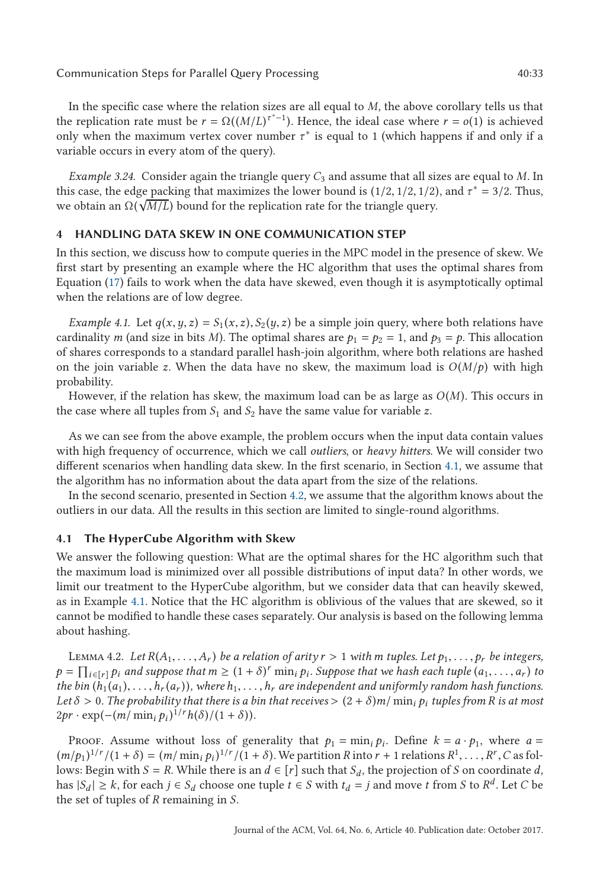<span id="page-32-0"></span>In the specific case where the relation sizes are all equal to *M*, the above corollary tells us that the replication rate must be  $r = \Omega((M/L)^{\tau^* - 1})$ . Hence, the ideal case where  $r = o(1)$  is achieved<br>only when the maximum vertex cover number  $\tau^*$  is equal to 1 (which happens if and only if a only when the maximum vertex cover number  $\tau^*$  is equal to 1 (which happens if and only if a variable occurs in every atom of the query).

*Example 3.24.* Consider again the triangle query *C*<sup>3</sup> and assume that all sizes are equal to *M*. In this case, the edge packing that maximizes the lower bound is  $(1/2, 1/2, 1/2)$ , and  $\tau^* = 3/2$ . Thus, we obtain an  $\Omega(\sqrt{M/L})$  bound for the replication rate for the triangle query.

# **4 HANDLING DATA SKEW IN ONE COMMUNICATION STEP**

In this section, we discuss how to compute queries in the MPC model in the presence of skew. We first start by presenting an example where the HC algorithm that uses the optimal shares from Equation [\(17\)](#page-16-0) fails to work when the data have skewed, even though it is asymptotically optimal when the relations are of low degree.

*Example 4.1.* Let  $q(x, y, z) = S_1(x, z)$ ,  $S_2(y, z)$  be a simple join query, where both relations have cardinality *m* (and size in bits *M*). The optimal shares are  $p_1 = p_2 = 1$ , and  $p_3 = p$ . This allocation of shares corresponds to a standard parallel hash-join algorithm, where both relations are hashed on the join variable *z*. When the data have no skew, the maximum load is  $O(M/p)$  with high probability.

However, if the relation has skew, the maximum load can be as large as *O*(*M*). This occurs in the case where all tuples from  $S_1$  and  $S_2$  have the same value for variable  $z$ .

As we can see from the above example, the problem occurs when the input data contain values with high frequency of occurrence, which we call *outliers*, or *heavy hitters*. We will consider two different scenarios when handling data skew. In the first scenario, in Section 4.1, we assume that the algorithm has no information about the data apart from the size of the relations.

In the second scenario, presented in Section [4.2,](#page-34-0) we assume that the algorithm knows about the outliers in our data. All the results in this section are limited to single-round algorithms.

# **4.1 The HyperCube Algorithm with Skew**

We answer the following question: What are the optimal shares for the HC algorithm such that the maximum load is minimized over all possible distributions of input data? In other words, we limit our treatment to the HyperCube algorithm, but we consider data that can heavily skewed, as in Example 4.1. Notice that the HC algorithm is oblivious of the values that are skewed, so it cannot be modified to handle these cases separately. Our analysis is based on the following lemma about hashing.

LEMMA 4.2. Let  $R(A_1, \ldots, A_r)$  be a relation of arity  $r > 1$  with m tuples. Let  $p_1, \ldots, p_r$  be integers,  $p = \prod_{i \in [r]} p_i$  and suppose that  $m \ge (1 + \delta)^r \min_i p_i$ . Suppose that we hash each tuple  $(a_1, \ldots, a_r)$  to the bin  $(b_1, a_2)$  by  $(a_1)$  where h, by are independent and uniformly random hash functions *the bin*  $(h_1(a_1),...,h_r(a_r))$ *, where*  $h_1,...,h_r$  *are independent and uniformly random hash functions. Let*  $\delta > 0$ *. The probability that there is a bin that receives*  $> (2 + \delta)m/\min_i p_i$  *tuples from R is at most*  $2pr \cdot \exp(-(m/\min_i p_i)^{1/r} h(\delta)/(1+\delta)).$ 

Proof. Assume without loss of generality that  $p_1 = \min_i p_i$ . Define  $k = a \cdot p_1$ , where  $a =$  $(m/p_1)^{1/r}/(1+\delta) = (m/\min_i p_i)^{1/r}/(1+\delta)$ . We partition *R* into  $r + 1$  relations  $R^1, \ldots, R^r$ , *C* as fol-<br>lows: Begin with  $S - R$  While there is an  $d \in [r]$  such that  $S$ , the projection of  $S$  on coordinate *d* lows: Begin with  $S = R$ . While there is an  $d \in [r]$  such that  $S_d$ , the projection of *S* on coordinate *d*,  $\text{has } |S_d| \ge k$ , for each *j* ∈ *S*<sup>*d*</sup> choose one tuple *t* ∈ *S* with  $t_d = j$  and move *t* from *S* to  $R^d$ . Let *C* be the set of tuples of *R* remaining in *S*.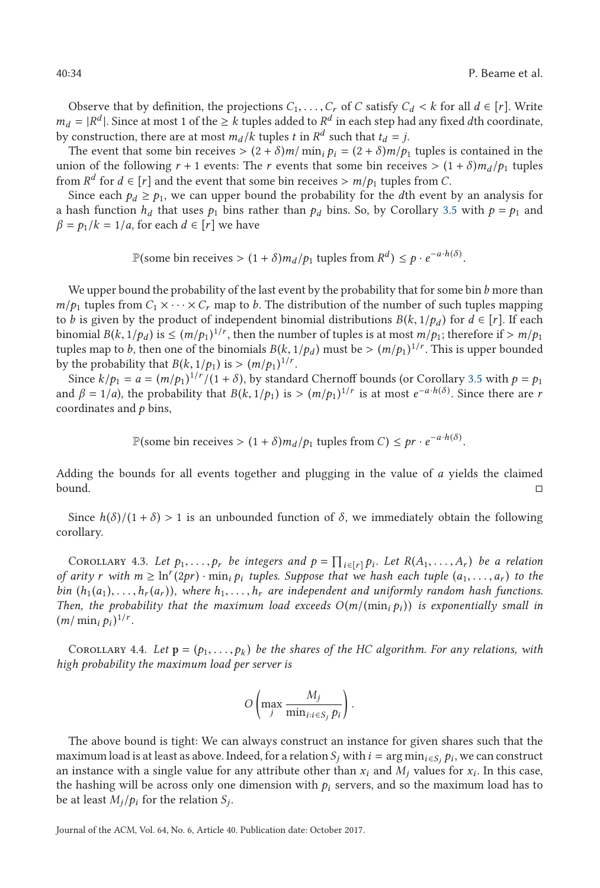Observe that by definition, the projections  $C_1, \ldots, C_r$  of  $C$  satisfy  $C_d < k$  for all  $d \in [r]$ . Write *m*<sup>*d*</sup> =  $|R^d|$ . Since at most 1 of the ≥ *k* tuples added to  $R^d$  in each step had any fixed *d*th coordinate, by construction, there are at most  $m_d/k$  tuples *t* in  $R^d$  such that  $t_d = j$ .

The event that some bin receives  $> (2 + \delta)m/\min_i p_i = (2 + \delta)m/p_1$  tuples is contained in the union of the following  $r + 1$  events: The *r* events that some bin receives  $> (1 + \delta) m_d / p_1$  tuples from  $R^d$  for  $d \in [r]$  and the event that some bin receives >  $m/p_1$  tuples from *C*.

Since each  $p_d \geq p_1$ , we can upper bound the probability for the *d*th event by an analysis for a hash function  $h_d$  that uses  $p_1$  bins rather than  $p_d$  bins. So, by Corollary 3.5 with  $p = p_1$  and  $\beta = p_1/k = 1/a$ , for each  $d \in [r]$  we have

 $\mathbb{P}(\text{some bin receives} > (1 + \delta) m_d / p_1 \text{ tuples from } R^d) \leq p \cdot e^{-a \cdot h(\delta)}.$ 

We upper bound the probability of the last event by the probability that for some bin*b* more than  $m/p_1$  tuples from  $C_1 \times \cdots \times C_r$  map to *b*. The distribution of the number of such tuples mapping to *b* is given by the product of independent binomial distributions  $B(k, 1/p_d)$  for  $d \in [r]$ . If each binomial  $B(k, 1/p_d)$  is  $\leq (m/p_1)^{1/r}$ , then the number of tuples is at most  $m/p_1$ ; therefore if  $> m/p_1$ <br>tuples man to b then one of the binomials  $B(k, 1/p_1)$  must be  $> (m/p_1)^{1/r}$ . This is upper bounded tuples map to *b*, then one of the binomials  $B(k, 1/p_d)$  must be  $>(m/p_1)^{1/r}$ . This is upper bounded<br>by the probability that  $B(k, 1/p_1)$  is  $>(m/p_1)^{1/r}$ by the probability that  $B(k, 1/p_1)$  is  $> (m/p_1)^{1/r}$ .<br>Since  $k/p_1 = a - (m/p_1)^{1/r}$ . (1+8) by standa

Since  $k/p_1 = a = (m/p_1)^{1/r}/(1+\delta)$ , by standard Chernoff bounds (or Corollary 3.5 with  $p = p_1$ <br>d  $\beta = 1/a$ ), the probability that  $B(k, 1/p_1)$  is  $\sum (m/p_1)^{1/r}$  is at most  $e^{-a_1h(\delta)}$ . Since there are r and  $\beta = 1/a$ , the probability that  $B(k, 1/p_1)$  is >  $(m/p_1)^{1/r}$  is at most  $e^{-a \cdot h(\delta)}$ . Since there are *r* coordinates and *n* bins coordinates and *p* bins,

 $\mathbb{P}(\text{some bin receives} > (1 + \delta) m_d / p_1 \text{ tuples from } C) \leq pr \cdot e^{-a \cdot h(\delta)}.$ 

Adding the bounds for all events together and plugging in the value of *a* yields the claimed  $b$ ound.  $\hfill \Box$ 

Since  $h(\delta)/(1 + \delta) > 1$  is an unbounded function of  $\delta$ , we immediately obtain the following corollary.

COROLLARY 4.3. Let  $p_1, \ldots, p_r$  be integers and  $p = \prod_{i \in [r]} p_i$ . Let  $R(A_1, \ldots, A_r)$  be a relation  $p_i$  *arity*  $r$  *with*  $m > \ln^r(2n r)$ ,  $\min_{i \in [r]} p_i$  *suppose that we hash each tuple*  $(a_1, \ldots, a_r)$  to the *of arity r with*  $m \ge \ln^r(2pr) \cdot \min_i p_i$  *tuples. Suppose that we hash each tuple*  $(a_1, \ldots, a_r)$  *to the bin*  $(h_1(a_1), \ldots, h_r(a_r))$ *, where*  $h_1, \ldots, h_r$  *are independent and uniformly random hash functions. Then, the probability that the maximum load exceeds*  $O(m/(\min_i p_i))$  *is exponentially small in*  $(m/\min_{i} p_i)^{1/r}$ .

COROLLARY 4.4. Let  $\mathbf{p} = (p_1, \ldots, p_k)$  be the shares of the HC algorithm. For any relations, with *high probability the maximum load per server is*

$$
O\left(\max_j \frac{M_j}{\min_{i:i\in S_j} p_i}\right).
$$

The above bound is tight: We can always construct an instance for given shares such that the maximum load is at least as above. Indeed, for a relation  $S_j$  with  $i = \arg \min_{i \in S_j} p_i$ , we can construct an instance with a single value for any attribute other than  $x_i$  and  $M_j$  values for  $x_i$ . In this case, the hashing will be across only one dimension with  $p_i$  servers, and so the maximum load has to be at least  $M_j/p_i$  for the relation  $S_j$ .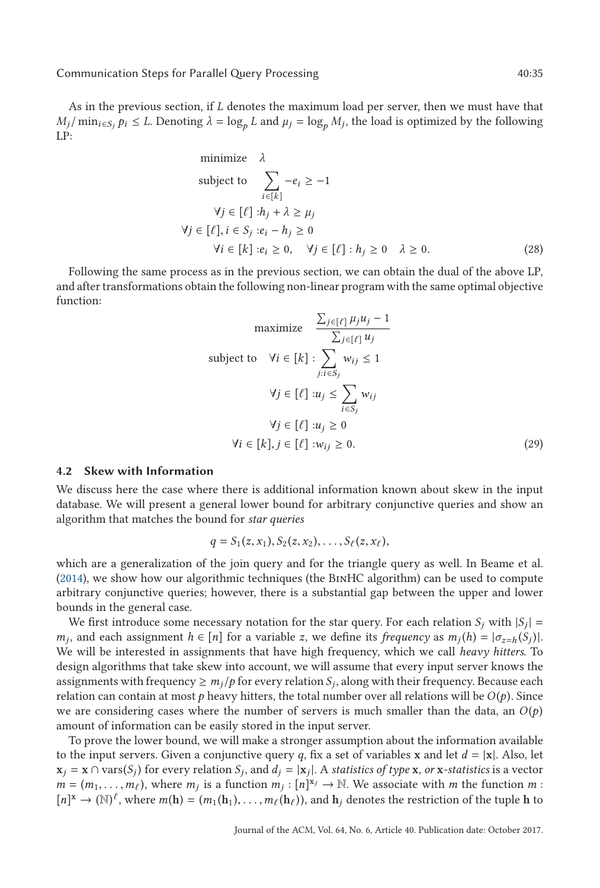<span id="page-34-0"></span>As in the previous section, if *L* denotes the maximum load per server, then we must have that  $M_j/\min_{i \in S_j} p_i \leq L$ . Denoting  $\lambda = \log_p L$  and  $\mu_j = \log_p M_j$ , the load is optimized by the following LP:

minimize 
$$
\lambda
$$
  
\nsubject to 
$$
\sum_{i \in [k]} -e_i \ge -1
$$
\n
$$
\forall j \in [\ell] : h_j + \lambda \ge \mu_j
$$
\n
$$
\forall j \in [\ell], i \in S_j : e_i - h_j \ge 0
$$
\n
$$
\forall i \in [k] : e_i \ge 0, \quad \forall j \in [\ell] : h_j \ge 0 \quad \lambda \ge 0.
$$
\n(28)

Following the same process as in the previous section, we can obtain the dual of the above LP, and after transformations obtain the following non-linear program with the same optimal objective function:

maximize 
$$
\frac{\sum_{j \in [\ell]} \mu_j u_j - 1}{\sum_{j \in [\ell]} u_j}
$$
  
subject to  $\forall i \in [k] : \sum_{j : i \in S_j} w_{ij} \le 1$   
 $\forall j \in [\ell] : u_j \le \sum_{i \in S_j} w_{ij}$   
 $\forall j \in [\ell] : u_j \ge 0$   
 $\forall i \in [k], j \in [\ell] : w_{ij} \ge 0.$  (29)

#### **4.2 Skew with Information**

We discuss here the case where there is additional information known about skew in the input database. We will present a general lower bound for arbitrary conjunctive queries and show an algorithm that matches the bound for *star queries*

$$
q = S_1(z, x_1), S_2(z, x_2), \ldots, S_{\ell}(z, x_{\ell}),
$$

which are a generalization of the join query and for the triangle query as well. In Beame et al. [\(2014\)](#page-56-0), we show how our algorithmic techniques (the BinHC algorithm) can be used to compute arbitrary conjunctive queries; however, there is a substantial gap between the upper and lower bounds in the general case.

We first introduce some necessary notation for the star query. For each relation  $S_i$  with  $|S_i|$  = *m*<sub>*j*</sub>, and each assignment *h* ∈ [*n*] for a variable *z*, we define its *frequency* as  $m_j(h) = |\sigma_{z=h}(S_j)|$ . We will be interested in assignments that have high frequency, which we call *heavy hitters*. To design algorithms that take skew into account, we will assume that every input server knows the assignments with frequency  $\geq m_j/p$  for every relation  $S_j$ , along with their frequency. Because each relation can contain at most  $p$  heavy hitters, the total number over all relations will be  $O(p)$ . Since we are considering cases where the number of servers is much smaller than the data, an *O*(*p*) amount of information can be easily stored in the input server.

To prove the lower bound, we will make a stronger assumption about the information available to the input servers. Given a conjunctive query *q*, fix a set of variables **x** and let  $d = |\mathbf{x}|$ . Also, let *x*<sup>*j*</sup> = *x* ∩ vars(*Sj*) for every relation *S*<sup>*j*</sup>, and *d*<sup>*j*</sup> = |*x*<sub>*j*</sub>|. A *statistics of type x*, *or x-statistics* is a vector  $m = (m_1, \ldots, m_\ell)$ , where  $m_j$  is a function  $m_j : [n]^{\mathbf{x}_j} \to \mathbb{N}$ . We associate with *m* the function *m* :  $[n]^{\mathbf{x}} \to (\mathbb{N})^\ell$  where  $m(\mathbf{b}) = (m_1(\mathbf{b}_1))$  and **h** denotes the restriction of the tuple **h** to  $[n]^{\mathbf{x}} \to (\mathbb{N})^{\ell}$ , where  $m(\mathbf{h}) = (m_1(\mathbf{h}_1), \dots, m_{\ell}(\mathbf{h}_{\ell}))$ , and  $\mathbf{h}_j$  denotes the restriction of the tuple **h** to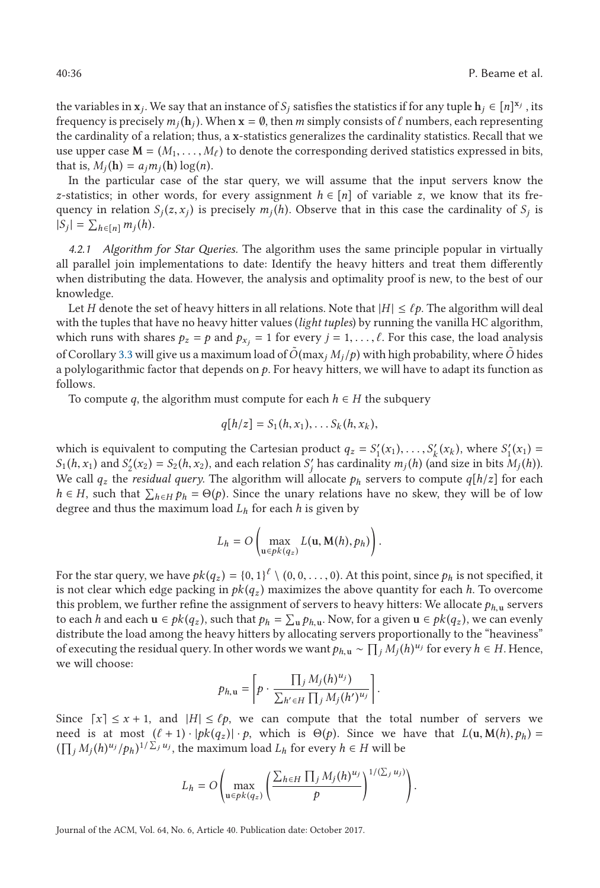the variables in  $x_j$ . We say that an instance of  $S_j$  satisfies the statistics if for any tuple  $h_j \in [n]^{x_j}$ , its frequency is precisely  $m_j(\mathbf{h}_j)$ . When  $\mathbf{x} = \emptyset$ , then  $m$  simply consists of  $\ell$  numbers, each representing the cardinality of a relation: thus a v-statistics generalizes the cardinality statistics. Becall that we the cardinality of a relation; thus, a **x**-statistics generalizes the cardinality statistics. Recall that we use upper case  $M = (M_1, \ldots, M_\ell)$  to denote the corresponding derived statistics expressed in bits,<br>that is  $M_1(\mathbf{h}) = a_1 m_1(\mathbf{h}) \log(n)$ that is,  $M_i(\mathbf{h}) = a_i m_i(\mathbf{h}) \log(n)$ .

In the particular case of the star query, we will assume that the input servers know the *z*-statistics; in other words, for every assignment  $h \in [n]$  of variable *z*, we know that its frequency in relation  $S_i(z, x_i)$  is precisely  $m_i(h)$ . Observe that in this case the cardinality of  $S_i$  is  $|S_j| = \sum_{h \in [n]} m_j(h).$ 

*4.2.1 Algorithm for Star Queries.* The algorithm uses the same principle popular in virtually all parallel join implementations to date: Identify the heavy hitters and treat them differently when distributing the data. However, the analysis and optimality proof is new, to the best of our knowledge.

Let *H* denote the set of heavy hitters in all relations. Note that  $|H| \leq \ell p$ . The algorithm will deal the tuples that have no heavy hitter values (light tuples) by running the vanilla HC algorithm with the tuples that have no heavy hitter values (*light tuples*) by running the vanilla HC algorithm, which runs with shares  $p_z = p$  and  $p_{x_j} = 1$  for every  $j = 1, \ldots, \ell$ . For this case, the load analysis of Consultance 2.2 million properties we constitute the load analysis of Corollary 3.3 will give us a maximum load of  $\tilde{O}$ (max<sub>*j*</sub>  $M_j$ / $p$ ) with high probability, where  $\tilde{O}$  hides a polylogarithmic factor that depends on *p*. For heavy hitters, we will have to adapt its function as follows.

To compute *q*, the algorithm must compute for each  $h \in H$  the subquery

$$
q[h/z] = S_1(h,x_1),\ldots S_k(h,x_k),
$$

which is equivalent to computing the Cartesian product  $q_z = S'_1(x_1), \ldots, S'_k(x_k)$ , where  $S'_1(x_1) = S_k(h, x_1)$  and  $S'(x_2) = S_k(h, x_2)$  and each relation *S'* has cardinality  $m_k(h)$  (and size in hits *M*,(*b*))  $S_1$  (*h*, *x*<sub>1</sub>) and  $S'_2$  (*x*<sub>2</sub>) =  $S_2$  (*h*, *x*<sub>2</sub>), and each relation *S*<sup>*j*</sup> has cardinality *m<sub>j</sub>* (*h*) (and size in bits  $M_j$  (*h*)). We call  $q_z$  the *residual query*. The algorithm will allocate  $p_h$  servers to compute  $q[h/z]$  for each *h* ∈ *H*, such that  $\sum_{h \in H} p_h = \Theta(p)$ . Since the unary relations have no skew, they will be of low degree and thus the maximum load *L<sup>h</sup>* for each *h* is given by

$$
L_h = O\left(\max_{\mathbf{u}\in pk(q_z)} L(\mathbf{u}, \mathbf{M}(h), p_h)\right).
$$

For the star query, we have  $pk(q_z) = \{0, 1\}^{\ell} \setminus (0, 0, \ldots, 0)$ . At this point, since  $p_h$  is not specified, it is not clear which edge packing in  $pk(q)$  maximizes the above quantity for each h. To overcome is not clear which edge packing in  $pk(q_z)$  maximizes the above quantity for each *h*. To overcome this problem, we further refine the assignment of servers to heavy hitters: We allocate  $p_h$ , u servers to each *h* and each **u** ∈  $pk(q_z)$ , such that  $p_h = \sum_{\mathbf{u}} p_{h,\mathbf{u}}$ . Now, for a given  $\mathbf{u} \in pk(q_z)$ , we can evenly distribute the lood among the beaux bitters by ellecting centers proportionally to the "beautings" distribute the load among the heavy hitters by allocating servers proportionally to the "heaviness" of executing the residual query. In other words we want  $p_{h,\mathbf{u}} \sim \prod_j M_j(h)^{u_j}$  for every  $h \in H$ . Hence, we will choose we will choose:

$$
p_{h,\mathbf{u}} = \left[p \cdot \frac{\prod_j M_j(h)^{u_j})}{\sum_{h' \in H} \prod_j M_j(h')^{u_j}}\right]
$$

Since  $[x] \leq x + 1$ , and  $|H| \leq \ell p$ , we can compute that the total number of servers we need is at most  $(\ell + 1)$ ,  $|p(\ell)| \leq p$ , which is  $\Theta(n)$ . Since we have that  $I(\mathbf{u}, \mathbf{M}(h), p) =$ need is at most  $(\ell + 1) \cdot |pk(q_z)| \cdot p$ , which is  $\Theta(p)$ . Since we have that  $L(\mathbf{u}, \mathbf{M}(h), p_h) =$ <br> $(\Pi, M \cdot (h)^{u_j}/p$ ,  $\sum_i u_i$  the maximum load *L*, for every  $h \in H$  will be  $(\prod_j M_j(h)^{u_j}/p_h)^{1/\sum_j u_j}$ , the maximum load *L<sub>h</sub>* for every *h* ∈ *H* will be

$$
L_h = O\left(\max_{\mathbf{u}\in pk(q_z)}\left(\frac{\sum_{h\in H}\prod_j M_j(h)^{u_j}}{p}\right)^{1/(\sum_j u_j)}\right).
$$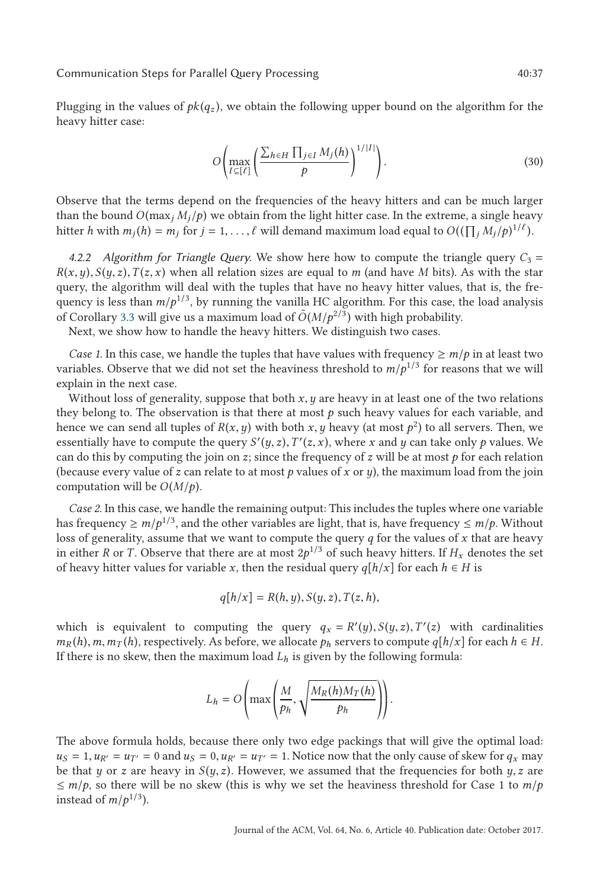<span id="page-36-0"></span>Plugging in the values of  $pk(q_z)$ , we obtain the following upper bound on the algorithm for the heavy hitter case:

$$
O\left(\max_{I \subseteq [\ell]} \left(\frac{\sum_{h \in H} \prod_{j \in I} M_j(h)}{p}\right)^{1/|I|}\right).
$$
\n(30)

Observe that the terms depend on the frequencies of the heavy hitters and can be much larger than the bound  $O(\max_j M_j/p)$  we obtain from the light hitter case. In the extreme, a single heavy hitter *h* with  $m_j(h) = m_j$  for  $j = 1, ..., \ell$  will demand maximum load equal to  $O((\prod_j M_j/p)^{1/\ell})$ .

*4.2.2 Algorithm for Triangle Query.* We show here how to compute the triangle query  $C_3 =$  $R(x, y)$ ,  $S(y, z)$ ,  $T(z, x)$  when all relation sizes are equal to *m* (and have *M* bits). As with the star query, the algorithm will deal with the tuples that have no heavy hitter values, that is, the frequency is less than  $m/p^{1/3}$ , by running the vanilla HC algorithm. For this case, the load analysis of Corollary 3.3 will give us a maximum load of  $\tilde{O}(M/p^{2/3})$  with high probability.

Next, we show how to handle the heavy hitters. We distinguish two cases.

*Case 1.* In this case, we handle the tuples that have values with frequency  $\geq m/p$  in at least two variables. Observe that we did not set the heaviness threshold to  $m/p^{1/3}$  for reasons that we will explain in the next case.

Without loss of generality, suppose that both *<sup>x</sup>*,*<sup>y</sup>* are heavy in at least one of the two relations they belong to. The observation is that there at most *p* such heavy values for each variable, and hence we can send all tuples of  $R(x, y)$  with both x, y heavy (at most  $p^2$ ) to all servers. Then, we essentially have to compute the query  $S'(y, z)$ ,  $T'(z, x)$ , where *x* and *y* can take only *p* values. We<br>can do this by computing the join on *z*: since the frequency of *z* will be at most *n* for each relation can do this by computing the join on  $z$ ; since the frequency of  $z$  will be at most  $p$  for each relation (because every value of *z* can relate to at most *p* values of *x* or *y*), the maximum load from the join computation will be *<sup>O</sup>*(*M*/*p*).

*Case 2*. In this case, we handle the remaining output: This includes the tuples where one variable has frequency  $\geq m/p^{1/3}$ , and the other variables are light, that is, have frequency  $\leq m/p$ . Without loss of generality, assume that we want to compute the query *q* for the values of *x* that are heavy in either *R* or *T*. Observe that there are at most  $2p^{1/3}$  of such heavy hitters. If  $H_x$  denotes the set of heavy hitter values for variable *x*, then the residual query  $q[h/x]$  for each  $h \in H$  is

$$
q[h/x] = R(h, y), S(y, z), T(z, h),
$$

which is equivalent to computing the query  $q_x = R'(y), S(y, z), T'(z)$  with cardinalities  $m_B(h)$   $m_B(x)$  respectively. As before we allocate to servers to compute  $q[h/x]$  for each  $h \in H$  $m_R(h)$ ,  $m, m_T(h)$ , respectively. As before, we allocate  $p_h$  servers to compute  $q[h/x]$  for each  $h \in H$ . If there is no skew, then the maximum load  $L_h$  is given by the following formula:

$$
L_h = O\left(\max\left(\frac{M}{p_h}, \sqrt{\frac{M_R(h)M_T(h)}{p_h}}\right)\right).
$$

The above formula holds, because there only two edge packings that will give the optimal load:  $u_S = 1$ ,  $u_{R'} = u_{T'} = 0$  and  $u_S = 0$ ,  $u_{R'} = u_{T'} = 1$ . Notice now that the only cause of skew for  $q_x$  may be that *y* or *z* are heavy in  $S(y, z)$ . However, we assumed that the frequencies for both *y*, *z* are  $\leq m/p$ , so there will be no skew (this is why we set the heaviness threshold for Case 1 to  $m/p$ instead of  $m/p^{1/3}$ ).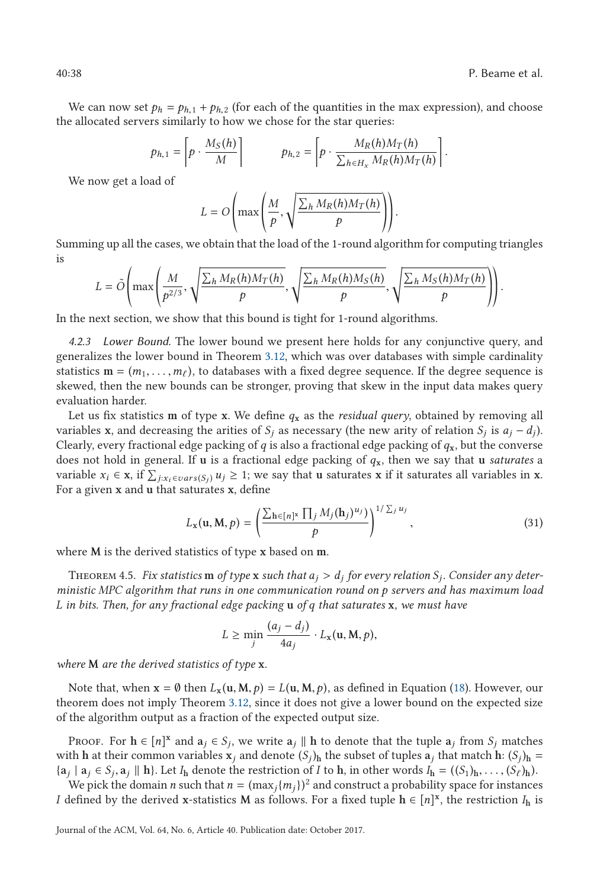We can now set  $p_h = p_{h,1} + p_{h,2}$  (for each of the quantities in the max expression), and choose the allocated servers similarly to how we chose for the star queries:

$$
p_{h,1} = \left[p \cdot \frac{M_S(h)}{M}\right] \hspace{1cm} p_{h,2} = \left[p \cdot \frac{M_R(h)M_T(h)}{\sum_{h \in H_x} M_R(h)M_T(h)}\right].
$$

We now get a load of

$$
L = O\left(\max\left(\frac{M}{p}, \sqrt{\frac{\sum_{h} M_{R}(h)M_{T}(h)}{p}}\right)\right).
$$

Summing up all the cases, we obtain that the load of the 1-round algorithm for computing triangles is

$$
L = \tilde{O}\left(\max\left(\frac{M}{p^{2/3}}, \sqrt{\frac{\sum_h M_R(h)M_T(h)}{p}}, \sqrt{\frac{\sum_h M_R(h)M_S(h)}{p}}, \sqrt{\frac{\sum_h M_S(h)M_T(h)}{p}}\right)\right)
$$

In the next section, we show that this bound is tight for 1-round algorithms.

*4.2.3 Lower Bound.* The lower bound we present here holds for any conjunctive query, and generalizes the lower bound in Theorem 3.12, which was over databases with simple cardinality statistics  $\mathbf{m} = (m_1, \ldots, m_\ell)$ , to databases with a fixed degree sequence. If the degree sequence is<br>skewed, then the new bounds can be stronger proving that skew in the input data makes query skewed, then the new bounds can be stronger, proving that skew in the input data makes query evaluation harder.

Let us fix statistics **m** of type **x**. We define  $q$ **x** as the *residual query*, obtained by removing all variables **x**, and decreasing the arities of  $S_i$  as necessary (the new arity of relation  $S_i$  is  $a_i - d_i$ ). Clearly, every fractional edge packing of *q* is also a fractional edge packing of  $q_x$ , but the converse does not hold in general. If **u** is a fractional edge packing of *q***x**, then we say that **u** *saturates* a variable  $x_i \in \mathbf{x}$ , if  $\sum_{j:x_i \in vars(S_j)} u_j \geq 1$ ; we say that **u** saturates  $\mathbf{x}$  if it saturates all variables in  $\mathbf{x}$ . For a given **x** and **u** that saturates **x**, define

$$
L_{\mathbf{x}}(\mathbf{u}, \mathbf{M}, p) = \left(\frac{\sum_{\mathbf{h} \in [n]^{\mathbf{x}}}\prod_{j} M_j(\mathbf{h}_j)^{u_j}}{p}\right)^{1/\sum_{j} u_j},
$$
\n(31)

where **M** is the derived statistics of type **x** based on **m**.

THEOREM 4.5. *Fix statistics* **m** *of type* **x** *such that*  $a_j > d_j$  *for every relation*  $S_j$ *. Consider any deterministic MPC algorithm that runs in one communication round on p servers and has maximum load L in bits. Then, for any fractional edge packing* **u** *of q that saturates* **x***, we must have*

$$
L \ge \min_{j} \frac{(a_j - d_j)}{4a_j} \cdot L_{\mathbf{x}}(\mathbf{u}, \mathbf{M}, p),
$$

*where* **M** *are the derived statistics of type* **x***.*

Note that, when  $\mathbf{x} = \mathbf{0}$  then  $L_{\mathbf{x}}(\mathbf{u}, \mathbf{M}, p) = L(\mathbf{u}, \mathbf{M}, p)$ , as defined in Equation [\(18\)](#page-17-0). However, our theorem does not imply Theorem 3.12, since it does not give a lower bound on the expected size of the algorithm output as a fraction of the expected output size.

PROOF. For  $h \in [n]^x$  and  $a_j \in S_j$ , we write  $a_j \parallel h$  to denote that the tuple  $a_j$  from  $S_j$  matches with **h** at their common variables  $\mathbf{x}_i$  and denote  $(S_i)$ <sup>h</sup> the subset of tuples  $\mathbf{a}_i$  that match  $\mathbf{h}: (S_i)$ <sup>h</sup> $=$  $\{a_j \mid a_j \in S_j, a_j \parallel h\}$ . Let  $I_h$  denote the restriction of I to h, in other words  $I_h = ((S_1)_h, \ldots, (S_\ell)_h)$ .<br>We pick the domain n such that  $n = (\max J_m, 1)^2$  and construct a probability space for instance

We pick the domain *n* such that  $n = (\max_j \{m_j\})^2$  and construct a probability space for instances *I* defined by the derived **x**-statistics **M** as follows. For a fixed tuple  $h \in [n]^x$ , the restriction  $I_h$  is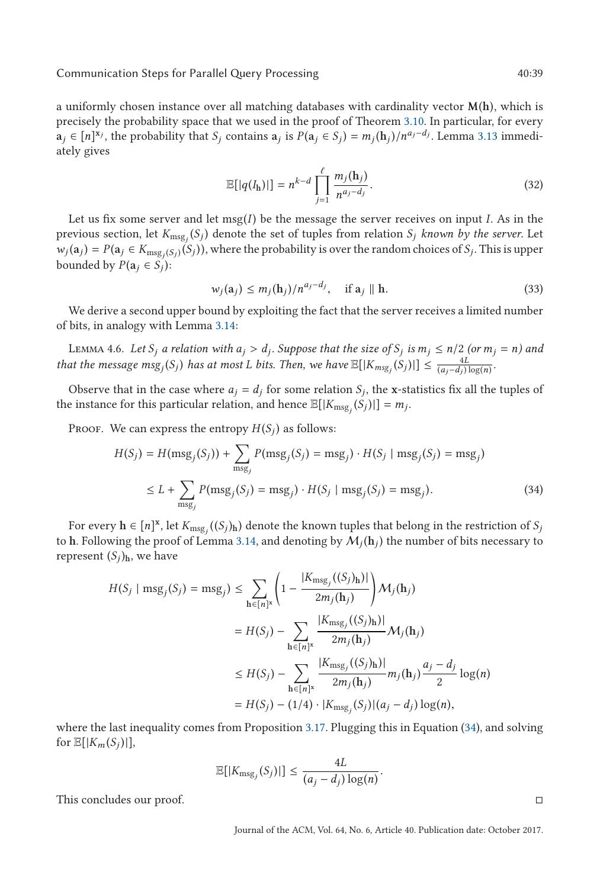<span id="page-38-0"></span>a uniformly chosen instance over all matching databases with cardinality vector **M**(**h**), which is precisely the probability space that we used in the proof of Theorem 3.10. In particular, for every  $a_j \in [n]^{x_j}$ , the probability that  $S_j$  contains  $a_j$  is  $P(a_j \in S_j) = m_j(h_j)/n^{a_j-d_j}$ . Lemma 3.13 immediately gives

$$
\mathbb{E}[|q(I_{\mathbf{h}})|] = n^{k-d} \prod_{j=1}^{\ell} \frac{m_j(\mathbf{h}_j)}{n^{a_j - d_j}}.
$$
\n(32)

Let us fix some server and let  $msg(I)$  be the message the server receives on input *I*. As in the previous section, let  $K_{\text{msg}_i}(S_i)$  denote the set of tuples from relation  $S_i$  *known by the server*. Let  $w_j(a_j) = P(a_j \in K_{\text{msg}_j(S_j)}(S_j))$ , where the probability is over the random choices of  $S_j$ . This is upper bounded by  $P(\mathbf{a}_i \in S_i)$ :

$$
w_j(\mathbf{a}_j) \le m_j(\mathbf{h}_j)/n^{a_j - d_j}, \quad \text{if } \mathbf{a}_j \parallel \mathbf{h}. \tag{33}
$$

We derive a second upper bound by exploiting the fact that the server receives a limited number of bits, in analogy with Lemma 3.14:

LEMMA 4.6. Let S<sub>j</sub> a relation with  $a_j > d_j$ . Suppose that the size of S<sub>i</sub> is  $m_j \le n/2$  (or  $m_j = n$ ) and that the message  $msg_j(S_j)$  has at most L bits. Then, we have  $\mathbb{E}[|K_{msg_j}(S_j)|] \leq \frac{4L}{(a_j-d_j)\log(n)}$ .

Observe that in the case where  $a_j = d_j$  for some relation  $S_j$ , the **x**-statistics fix all the tuples of the instance for this particular relation, and hence  $\mathbb{E}[|K_{\text{msg}_j}(S_j)|] = m_j$ .

PROOF. We can express the entropy  $H(S_i)$  as follows:

$$
H(S_j) = H(\text{msg}_j(S_j)) + \sum_{\text{msg}_j} P(\text{msg}_j(S_j) = \text{msg}_j) \cdot H(S_j \mid \text{msg}_j(S_j) = \text{msg}_j)
$$
  

$$
\leq L + \sum_{\text{msg}_j} P(\text{msg}_j(S_j) = \text{msg}_j) \cdot H(S_j \mid \text{msg}_j(S_j) = \text{msg}_j). \tag{34}
$$

For every  $\mathbf{h} \in [n]^{\mathbf{x}}$ , let  $K_{\text{msg}_j}((S_j)_{\mathbf{h}})$  denote the known tuples that belong in the restriction of  $S_j$ to **h**. Following the proof of Lemma 3.14, and denoting by  $M_i(h_i)$  the number of bits necessary to represent  $(S_i)$ <sub>h</sub>, we have

$$
H(S_j | msg_j(S_j) = msg_j) \le \sum_{\mathbf{h} \in [n]^x} \left( 1 - \frac{|K_{msg_j}((S_j)_{\mathbf{h}})|}{2m_j(\mathbf{h}_j)} \right) M_j(\mathbf{h}_j)
$$
  
\n
$$
= H(S_j) - \sum_{\mathbf{h} \in [n]^x} \frac{|K_{msg_j}((S_j)_{\mathbf{h}})|}{2m_j(\mathbf{h}_j)} M_j(\mathbf{h}_j)
$$
  
\n
$$
\le H(S_j) - \sum_{\mathbf{h} \in [n]^x} \frac{|K_{msg_j}((S_j)_{\mathbf{h}})|}{2m_j(\mathbf{h}_j)} m_j(\mathbf{h}_j) \frac{a_j - d_j}{2} \log(n)
$$
  
\n
$$
= H(S_j) - (1/4) \cdot |K_{msg_j}(S_j)| (a_j - d_j) \log(n),
$$

where the last inequality comes from Proposition 3.17. Plugging this in Equation (34), and solving for  $\mathbb{E}[|K_m(S_j)|],$ 

$$
\mathbb{E}[|K_{\text{msg}_j}(S_j)|] \leq \frac{4L}{(a_j-d_j)\log(n)}.
$$

This concludes our proof.  $\Box$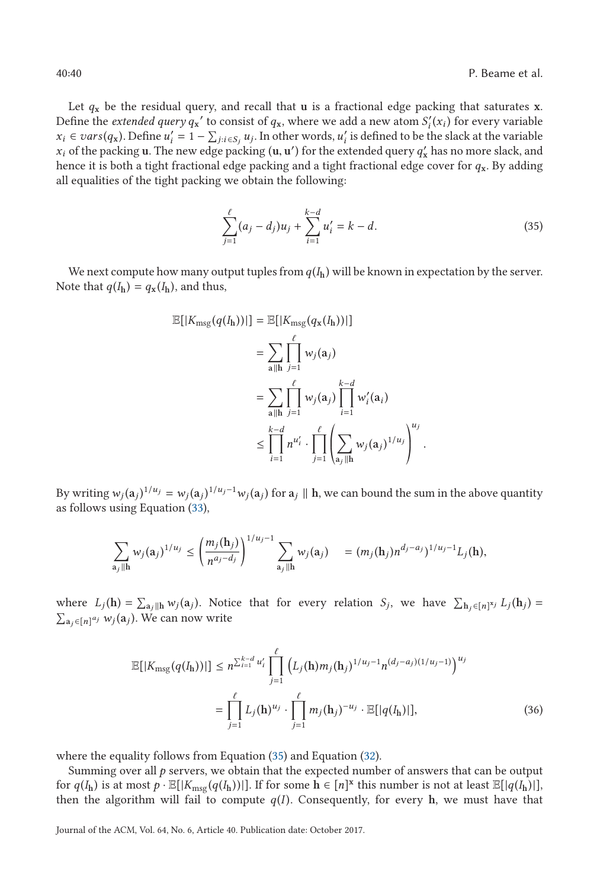Let  $q_x$  be the residual query, and recall that **u** is a fractional edge packing that saturates **x**. Define the *extended query*  $q_{\bf x}'$  to consist of  $q_{\bf x}$ , where we add a new atom  $S'_i(x_i)$  for every variable *x*<sub>*i*</sub> ∈ *vars*( $q$ <sub>x</sub>). Define  $u'_i = 1 - \sum_{j:i \in S_j} u_j$ . In other words,  $u'_i$  is defined to be the slack at the variable  $x_i$  of the packing **u**. The new edge packing  $(\mathbf{u}, \mathbf{u}')$  for the extended query  $q'_x$  has no more slack, and hence it is both a tight fractional edge packing and a tight fractional edge cover for  $a$ . By adding hence it is both a tight fractional edge packing and a tight fractional edge cover for *q***x**. By adding all equalities of the tight packing we obtain the following:

$$
\sum_{j=1}^{\ell} (a_j - d_j) u_j + \sum_{i=1}^{k-d} u'_i = k - d.
$$
 (35)

We next compute how many output tuples from  $q(I_h)$  will be known in expectation by the server. Note that  $q(I_h) = q_x(I_h)$ , and thus,

$$
\mathbb{E}[|K_{\text{msg}}(q(I_{\text{h}}))|] = \mathbb{E}[|K_{\text{msg}}(q_{\text{x}}(I_{\text{h}}))|]
$$
  
\n
$$
= \sum_{\substack{\text{a}||\text{h} \ j=1}} \int_{j=1}^{\ell} w_j(\text{a}_j)
$$
  
\n
$$
= \sum_{\substack{\text{a}||\text{h} \ j=1}} \int_{j=1}^{\ell} w_j(\text{a}_j) \prod_{i=1}^{k-d} w'_i(\text{a}_i)
$$
  
\n
$$
\leq \prod_{i=1}^{k-d} n^{u'_i} \cdot \prod_{j=1}^{\ell} \left( \sum_{\substack{\text{a}||\text{h} \ j|}} w_j(\text{a}_j)^{1/u_j} \right)^{u_j}
$$

By writing  $w_j(\mathbf{a}_j)^{1/u_j} = w_j(\mathbf{a}_j)^{1/u_j-1}w_j(\mathbf{a}_j)$  for  $\mathbf{a}_j \parallel \mathbf{h}$ , we can bound the sum in the above quantity as follows using Equation [\(33\)](#page-38-0),

$$
\sum_{\mathbf{a}_j||\mathbf{h}} w_j(\mathbf{a}_j)^{1/u_j} \leq \left(\frac{m_j(\mathbf{h}_j)}{n^{a_j-d_j}}\right)^{1/u_j-1} \sum_{\mathbf{a}_j||\mathbf{h}} w_j(\mathbf{a}_j) = (m_j(\mathbf{h}_j)n^{d_j-a_j})^{1/u_j-1}L_j(\mathbf{h}),
$$

where  $L_j(\mathbf{h}) = \sum_{\mathbf{a}_j \parallel \mathbf{h}} w_j(\mathbf{a}_j)$ . Notice that for every relation  $S_j$ , we have  $\sum_{\mathbf{h}_j \in [n]^{\mathbf{x}_j}} L_j(\mathbf{h}_j) =$  $\sum_{\mathbf{a}_j ∈ [n]^{\mathit{a}_j}} w_j(\mathbf{a}_j)$ . We can now write

$$
\mathbb{E}[|K_{\rm msg}(q(I_{\rm h}))|] \le n^{\sum_{i=1}^{k-d} u'_i} \prod_{j=1}^{\ell} \left( L_j(\mathbf{h}) m_j(\mathbf{h}_j)^{1/u_j - 1} n^{(d_j - a_j)(1/u_j - 1)} \right)^{u_j}
$$

$$
= \prod_{j=1}^{\ell} L_j(\mathbf{h})^{u_j} \cdot \prod_{j=1}^{\ell} m_j(\mathbf{h}_j)^{-u_j} \cdot \mathbb{E}[|q(I_{\rm h})|], \tag{36}
$$

where the equality follows from Equation (35) and Equation [\(32\)](#page-38-0).

Summing over all *p* servers, we obtain that the expected number of answers that can be output for  $q(I_h)$  is at most  $p \cdot \mathbb{E}[|K_{\text{msg}}(q(I_h))|]$ . If for some  $h \in [n]^x$  this number is not at least  $\mathbb{E}[|q(I_h)|]$ , then the algorithm will fail to compute  $q(I)$ . Consequently, for every **h**, we must have that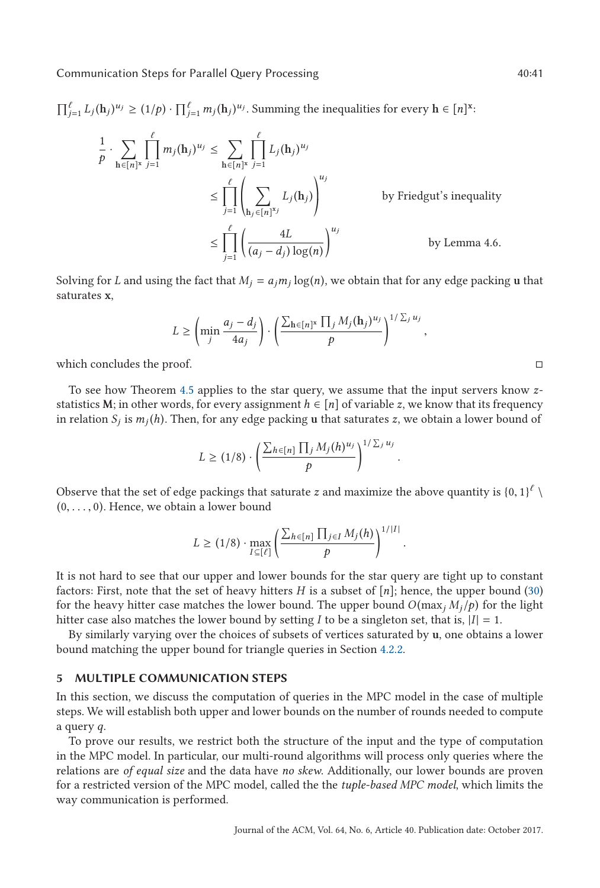<span id="page-40-0"></span> $\prod_{j=1}^{\ell} L_j(\mathbf{h}_j)^{u_j} \ge (1/p) \cdot \prod_{j=1}^{\ell} m_j(\mathbf{h}_j)^{u_j}$ . Summing the inequalities for every  $\mathbf{h} \in [n]^{\mathbf{x}}$ :

$$
\frac{1}{p} \cdot \sum_{\mathbf{h} \in [n]^x} \prod_{j=1}^{\ell} m_j(\mathbf{h}_j)^{u_j} \le \sum_{\mathbf{h} \in [n]^x} \prod_{j=1}^{\ell} L_j(\mathbf{h}_j)^{u_j}
$$
\n
$$
\le \prod_{j=1}^{\ell} \left( \sum_{\mathbf{h}_j \in [n]^{x_j}} L_j(\mathbf{h}_j) \right)^{u_j} \qquad \text{by Friedgut's inequality}
$$
\n
$$
\le \prod_{j=1}^{\ell} \left( \frac{4L}{(a_j - d_j) \log(n)} \right)^{u_j} \qquad \text{by Lemma 4.6.}
$$

Solving for *L* and using the fact that  $M_i = a_j m_j \log(n)$ , we obtain that for any edge packing **u** that saturates **x**,

$$
L \geq \left(\min_j \frac{a_j - d_j}{4a_j}\right) \cdot \left(\frac{\sum_{\mathbf{h} \in [n]^x} \prod_j M_j(\mathbf{h}_j)^{u_j}}{p}\right)^{1/\sum_j u_j}
$$

which concludes the proof.

To see how Theorem 4.5 applies to the star query, we assume that the input servers know *z*statistics **M**; in other words, for every assignment  $h \in [n]$  of variable *z*, we know that its frequency in relation  $S_j$  is  $m_j(h)$ . Then, for any edge packing **u** that saturates *z*, we obtain a lower bound of

$$
L \geq (1/8) \cdot \left( \frac{\sum_{h \in [n]} \prod_j M_j(h)^{u_j}}{p} \right)^{1/\sum_j u_j}.
$$

Observe that the set of edge packings that saturate *z* and maximize the above quantity is  $\{0, 1\}^{\ell} \setminus \{0, \ldots, 0\}$ .  $(0, \ldots, 0)$ . Hence, we obtain a lower bound

$$
L \ge (1/8) \cdot \max_{I \subseteq [\ell]} \left( \frac{\sum_{h \in [n]} \prod_{j \in I} M_j(h)}{p} \right)^{1/|I|}
$$

It is not hard to see that our upper and lower bounds for the star query are tight up to constant factors: First, note that the set of heavy hitters *H* is a subset of [*n*]; hence, the upper bound [\(30\)](#page-36-0) for the heavy hitter case matches the lower bound. The upper bound  $O(\max_j M_j/p)$  for the light hitter case also matches the lower bound by setting *I* to be a singleton set, that is,  $|I| = 1$ .

By similarly varying over the choices of subsets of vertices saturated by **u**, one obtains a lower bound matching the upper bound for triangle queries in Section [4.2.2.](#page-36-0)

## **5 MULTIPLE COMMUNICATION STEPS**

In this section, we discuss the computation of queries in the MPC model in the case of multiple steps. We will establish both upper and lower bounds on the number of rounds needed to compute a query *q*.

To prove our results, we restrict both the structure of the input and the type of computation in the MPC model. In particular, our multi-round algorithms will process only queries where the relations are *of equal size* and the data have *no skew*. Additionally, our lower bounds are proven for a restricted version of the MPC model, called the the *tuple-based MPC model*, which limits the way communication is performed.

 <sup>1</sup>/ <sup>|</sup>*<sup>I</sup>* <sup>|</sup>

 $\Box$ 

,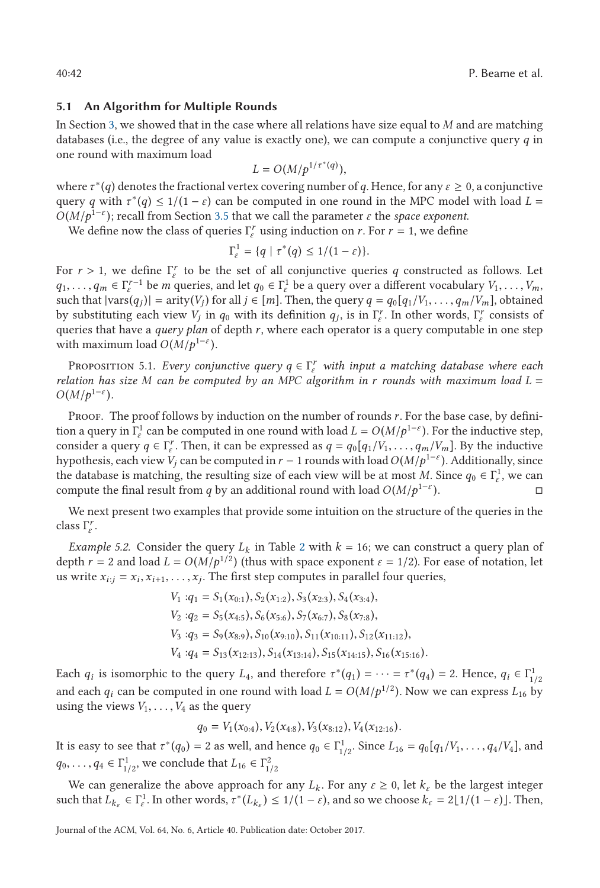#### **5.1 An Algorithm for Multiple Rounds**

In Section [3,](#page-8-0) we showed that in the case where all relations have size equal to *M* and are matching databases (i.e., the degree of any value is exactly one), we can compute a conjunctive query *q* in one round with maximum load

$$
L = O(M/p^{1/\tau^*(q)}),
$$

 $L = O(M/p^{1/\tau^*(q)}),$ <br>where  $\tau^*(q)$  denotes the fractional vertex covering number of *q*. Hence, for any  $\varepsilon \ge 0$ , a conjunctive query *q* with  $\tau^*(q) \leq 1/(1-\varepsilon)$  can be computed in one round in the MPC model with load  $L =$  $O(M/p^{1-\epsilon})$ ; recall from Section [3.5](#page-29-0) that we call the parameter  $\epsilon$  the *space exponent*.

We define now the class of queries  $\Gamma_{\varepsilon}^r$  using induction on *r*. For *r* = 1, we define

$$
\Gamma_{\varepsilon}^1 = \{q \mid \tau^*(q) \leq 1/(1-\varepsilon)\}.
$$

For  $r > 1$ , we define  $\Gamma_{\epsilon}^{r}$  to be the set of all conjunctive queries *q* constructed as follows. Let  $a_r \in \Gamma^{r-1}$  be *n* queries and let  $a_r \in \Gamma^{1}$  be a query over a different vocabulary  $V_r$ .  $q_1, \ldots, q_m \in \Gamma_{\epsilon}^{r-1}$  be *m* queries, and let  $q_0 \in \Gamma_{\epsilon}^1$  be a query over a different vocabulary  $V_1, \ldots, V_m$ , each that  $|\text{var}(q_0)| = \text{arity}(V)$  for all  $i \in [m]$ . Then the query  $q = q_0 [q_1/V]$  and  $q_1/V$  distanting such that  $|vars(q_j)| = arity(V_j)$  for all  $j \in [m]$ . Then, the query  $q = q_0[q_1/V_1, \ldots, q_m/V_m]$ , obtained by substituting each view  $V_j$  in  $q_0$  with its definition  $q_j$ , is in  $\Gamma_\varepsilon^r$ . In other words,  $\Gamma_\varepsilon^r$  consists of queries that have a *query plan* of depth *r*, where each operator is a query computable in one step with maximum load  $O(M/p^{1-\epsilon})$ .

PROPOSITION 5.1. *Every conjunctive query*  $q \in \Gamma_{\varepsilon}^r$  *with input a matching database where each relation has size M can be computed by an MPC algorithm in r rounds with maximum load*  $L =$  $O(M/p^{1-\epsilon})$ .

Proof. The proof follows by induction on the number of rounds r. For the base case, by definition a query in  $\Gamma_{\varepsilon}^1$  can be computed in one round with load  $L = O(M/p^{1-\varepsilon})$ . For the inductive step,<br>consider a query  $a \in \Gamma^r$ . Then it can be expressed as  $a = a_{\varepsilon}[a, /V, a, /V, 1]$ . By the inductive consider a query  $q \in \Gamma_{\epsilon}^r$ . Then, it can be expressed as  $q = q_0[q_1/V_1,\ldots,q_m/V_m]$ . By the inductive hypothesis each view  $V_1$  can be computed in  $r = 1$  rounds with load  $O(M/n^{1-\epsilon})$ . Additionally since hypothesis, each view  $V_j$  can be computed in  $r - 1$  rounds with load  $O(M/p^{1-\epsilon})$ . Additionally, since the database is matching, the resulting size of each view will be at most *M*. Since  $q_0 \in \Gamma_\varepsilon^1$ , we can compute the final result from *q* by an additional round with load  $O(M/p^{1-\epsilon})$ .  $□$ 

We next present two examples that provide some intuition on the structure of the queries in the class  $\Gamma_\varepsilon^r$ .

*Example 5.[2](#page-30-0).* Consider the query  $L_k$  in Table 2 with  $k = 16$ ; we can construct a query plan of depth  $r = 2$  and load  $L = O(M/p^{1/2})$  (thus with space exponent  $\varepsilon = 1/2$ ). For ease of notation, let us write  $x_{i,j} = x_i, x_{i+1}, \ldots, x_j$ . The first step computes in parallel four queries,

$$
V_1:q_1 = S_1(x_{0:1}), S_2(x_{1:2}), S_3(x_{2:3}), S_4(x_{3:4}),
$$
  
\n
$$
V_2:q_2 = S_5(x_{4:5}), S_6(x_{5:6}), S_7(x_{6:7}), S_8(x_{7:8}),
$$
  
\n
$$
V_3:q_3 = S_9(x_{8:9}), S_{10}(x_{9:10}), S_{11}(x_{10:11}), S_{12}(x_{11:12}),
$$
  
\n
$$
V_4:q_4 = S_{13}(x_{12:13}), S_{14}(x_{13:14}), S_{15}(x_{14:15}), S_{16}(x_{15:16}).
$$

Each *q*<sub>*i*</sub> is isomorphic to the query *L*<sub>4</sub>, and therefore  $\tau^*(q_1) = \cdots = \tau^*(q_4) = 2$ . Hence,  $q_i \in \Gamma^1_{1/2}$ and each  $q_i$  can be computed in one round with load  $L = O(M/p^{1/2})$ . Now we can express  $L_{16}$  by using the views  $V_1, \ldots, V_4$  as the query

$$
q_0 = V_1(x_{0:4}), V_2(x_{4:8}), V_3(x_{8:12}), V_4(x_{12:16}).
$$

It is easy to see that  $\tau^*(q_0) = 2$  as well, and hence  $q_0 \in \Gamma_{1/2}^1$ . Since  $L_{16} = q_0[q_1/V_1,\ldots,q_4/V_4]$ , and  $q_0, ..., q_4 \in \Gamma_{1/2}^1$ , we conclude that  $L_{16} \in \Gamma_{1/2}^2$ 

We can generalize the above approach for any  $L_k$ . For any  $\varepsilon \geq 0$ , let  $k_{\varepsilon}$  be the largest integer such that  $L_{k_{\varepsilon}} \in \Gamma_{\varepsilon}^1$ . In other words,  $\tau^*(L_{k_{\varepsilon}}) \leq 1/(1-\varepsilon)$ , and so we choose  $k_{\varepsilon} = 2\lfloor 1/(1-\varepsilon)\rfloor$ . Then,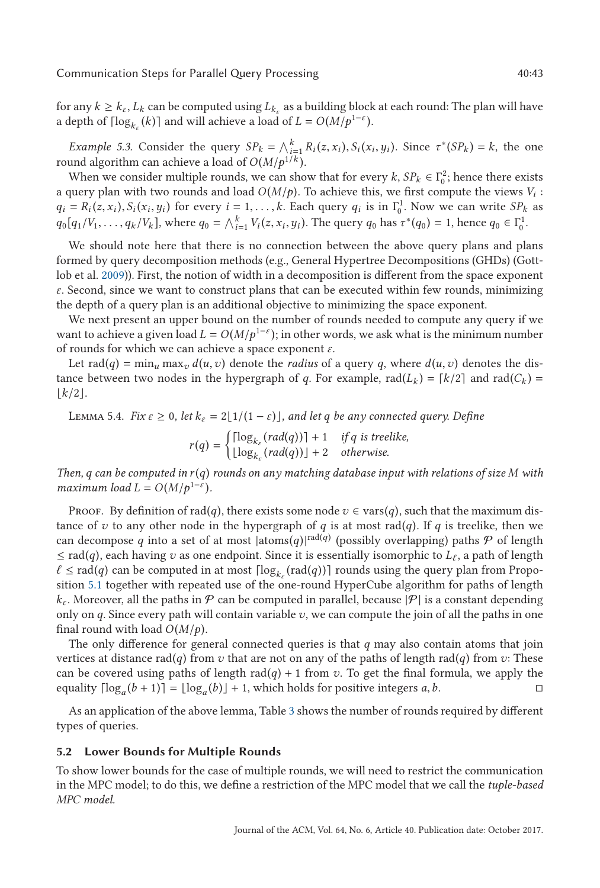for any  $k \geq k_{\epsilon}$ ,  $L_k$  can be computed using  $L_{k_{\epsilon}}$  as a building block at each round: The plan will have a depth of  $\lceil \log_k(k) \rceil$  and will achieve a load of  $L = O(M/p^{1-\epsilon})$ .

*Example 5.3.* Consider the query  $SP_k = \bigwedge_{i=1}^k R_i(z, x_i), S_i(x_i, y_i)$ . Since  $\tau^*(SP_k) = k$ , the one round algorithm can achieve a load of  $O(M/p^{1/k})$ .

When we consider multiple rounds, we can show that for every  $k$ ,  $SP_k \in \Gamma_0^2$ ; hence there exists a query plan with two rounds and load  $O(M/p)$ . To achieve this, we first compute the views  $V_i$ :  $q_i = R_i(z, x_i), S_i(x_i, y_i)$  for every  $i = 1, ..., k$ . Each query  $q_i$  is in  $\Gamma_0^1$ . Now we can write  $SP_k$  as  $q_0[q_1/V_1, \ldots, q_k/V_k]$ , where  $q_0 = \bigwedge_{i=1}^k V_i(z, x_i, y_i)$ . The query  $q_0$  has  $\tau^*(q_0) = 1$ , hence  $q_0 \in \Gamma_0^1$ .

We should note here that there is no connection between the above query plans and plans formed by query decomposition methods (e.g., General Hypertree Decompositions (GHDs) (Gottlob et al. [2009\)](#page-57-0)). First, the notion of width in a decomposition is different from the space exponent *ε*. Second, since we want to construct plans that can be executed within few rounds, minimizing the depth of a query plan is an additional objective to minimizing the space exponent.

We next present an upper bound on the number of rounds needed to compute any query if we want to achieve a given load  $L = O(M/p^{1-\epsilon})$ ; in other words, we ask what is the minimum number of rounds for which we can achieve a space exponent *ε*.

Let rad(*q*) =  $\min_u \max_v d(u, v)$  denote the *radius* of a query *q*, where  $d(u, v)$  denotes the distance between two nodes in the hypergraph of *q*. For example,  $rad(L_k) = [k/2]$  and  $rad(C_k) =$  $\lfloor k/2 \rfloor$ .

LEMMA 5.4. *Fix*  $\varepsilon \geq 0$ , *let*  $k_{\varepsilon} = 2\lfloor 1/(1-\varepsilon) \rfloor$ , and let q be any connected query. Define

$$
r(q) = \begin{cases} \lceil \log_{k_e}(rad(q)) \rceil + 1 & \text{if } q \text{ is treelike,} \\ \lfloor \log_{k_e}(rad(q)) \rfloor + 2 & \text{otherwise.} \end{cases}
$$

*Then, q can be computed in r*(*q*) *rounds on any matching database input with relations of size M with maximum load*  $L = O(M/p^{1-\epsilon})$ *.* 

Proof. By definition of rad(*q*), there exists some node  $v \in \text{vars}(q)$ , such that the maximum distance of  $v$  to any other node in the hypergraph of  $q$  is at most rad( $q$ ). If  $q$  is treelike, then we can decompose *q* into a set of at most  $|atoms(q)|^{rad(q)}$  (possibly overlapping) paths *P* of length  $\leq$  rad(*q*), each having *v* as one endpoint. Since it is essentially isomorphic to  $L_{\ell}$ , a path of length  $\ell < \text{red}(c)$  can be computed in at most  $\text{Res}_{\ell}$  (rad(*c*))] rounds using the quantupler from Prope.  $\frac{1}{2}$  and  $\frac{1}{4}$  for the situation  $5.1$  together with repeated use of the one-round HyperCube algorithm for paths of length  $\ell \leq \text{rad}(q)$  can be computed in at most  $\lceil \log_{k_e}(\text{rad}(q)) \rceil$  rounds using the query plan from Propo $k<sub>\epsilon</sub>$ . Moreover, all the paths in  $P$  can be computed in parallel, because  $|P|$  is a constant depending only on *q*. Since every path will contain variable *v*, we can compute the join of all the paths in one final round with load *<sup>O</sup>*(*M*/*p*).

The only difference for general connected queries is that *q* may also contain atoms that join vertices at distance  $rad(q)$  from *v* that are not on any of the paths of length  $rad(q)$  from *v*: These can be covered using paths of length  $rad(q) + 1$  from *v*. To get the final formula, we apply the equality  $\lceil \log_a(b+1) \rceil = \lfloor \log_a(b) \rfloor + 1$ , which holds for positive integers *a*, *b*.

As an application of the above lemma, Table [3](#page-43-0) shows the number of rounds required by different types of queries.

#### **5.2 Lower Bounds for Multiple Rounds**

To show lower bounds for the case of multiple rounds, we will need to restrict the communication in the MPC model; to do this, we define a restriction of the MPC model that we call the *tuple-based MPC model.*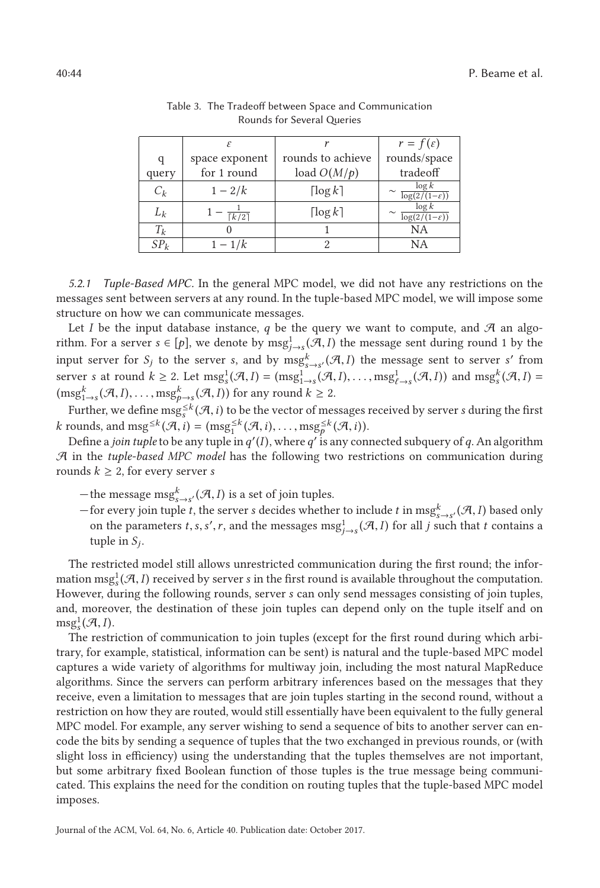|            | F                              |                        | $r = f(\varepsilon)$                             |
|------------|--------------------------------|------------------------|--------------------------------------------------|
| q          | space exponent                 | rounds to achieve      | rounds/space                                     |
| query      | for 1 round                    | load $O(M/p)$          | tradeoff                                         |
| $C_k$      | $1 - \frac{2}{k}$              | $\lceil \log k \rceil$ | $\log k$<br>$\overline{\log(2/(1-\varepsilon))}$ |
| $L_k$      | $-\frac{1}{\lceil k/2 \rceil}$ | $\lceil \log k \rceil$ | $\log k$<br>$\log(2/(1-\varepsilon))$            |
| $T_k$      |                                |                        | NA                                               |
| $SP_{\nu}$ | $1 - 1/k$                      | 2                      | NA                                               |
|            |                                |                        |                                                  |

<span id="page-43-0"></span>Table 3. The Tradeoff between Space and Communication Rounds for Several Queries

*5.2.1 Tuple-Based MPC.* In the general MPC model, we did not have any restrictions on the messages sent between servers at any round. In the tuple-based MPC model, we will impose some structure on how we can communicate messages.

Let *I* be the input database instance, *q* be the query we want to compute, and  $\mathcal{A}$  an algorithm. For a server  $s \in [p]$ , we denote by  $\text{msg}_{j \to s}^1(\mathcal{A}, I)$  the message sent during round 1 by the input server for *S<sub>j</sub>* to the server *s*, and by  $\text{msg}_s^k(\mathcal{A}, I)$  the message sent to server *s'* from server *s* at round  $k \ge 2$ . Let  $\text{msg}_s^1(\mathcal{A}, I) = (\text{msg}_{1-s}^1(\mathcal{A}, I), \ldots, \text{msg}_{\ell-s}^1(\mathcal{A}, I))$  and  $\text{msg}_s^k(\mathcal{A}, I) = (\text{msg}_s^k(\mathcal{A}, I) - \text{msg}_s^k(\mathcal{A}, I))$  for any round  $k > 2$  $(\text{msg}_{1-s}^k(\mathcal{A}, I), \ldots, \text{msg}_{p \to s}^k(\mathcal{A}, I))$  for any round  $k \geq 2$ .

Further, we define  $\text{msg}_s^{\leq k}(\mathcal{A}, i)$  to be the vector of messages received by server *s* during the first caught and  $\text{msg}_s^{\leq k}(\mathcal{A}, i) = (\text{msg}_s^{\leq k}(\mathcal{A}, i)$ *k* rounds, and msg<sup>≤*k*</sup>( $\mathcal{A}, i$ ) = (msg<sup>≤*k*</sup>( $\mathcal{A}, i$ ),..., msg<sup>≤*k*</sup>( $\mathcal{A}, i$ )).

Define a *join tuple* to be any tuple in*q* (*I*), where *q* is any connected subquery of *q*. An algorithm A in the *tuple-based MPC model* has the following two restrictions on communication during rounds  $k \geq 2$ , for every server *s* 

- the message msg ${}_{s\rightarrow s'}^{k}(\mathcal{A}, I)$  is a set of join tuples.
- for every join tuple *t*, the server *s* decides whether to include *t* in msg<sub>*k*→*s*</sub> ( $\mathcal{A}$ ,*I*) based only on the parameters *t*, *s*, *s'*, *r*, and the messages  $\text{msg}_{j\rightarrow s}^1(\mathcal{A}, I)$  for all *j* such that *t* contains a turle in S. tuple in  $S_i$ .

The restricted model still allows unrestricted communication during the first round; the information msg<sub>3</sub> $(\mathcal{A}, I)$  received by server *s* in the first round is available throughout the computation.<br>However, during the following rounds, server *s* can only send messages consisting of join tuples. However, during the following rounds, server *s* can only send messages consisting of join tuples, and, moreover, the destination of these join tuples can depend only on the tuple itself and on  $\text{msg}_s^1(\mathcal{A}, I).$ <br>The restr

The restriction of communication to join tuples (except for the first round during which arbitrary, for example, statistical, information can be sent) is natural and the tuple-based MPC model captures a wide variety of algorithms for multiway join, including the most natural MapReduce algorithms. Since the servers can perform arbitrary inferences based on the messages that they receive, even a limitation to messages that are join tuples starting in the second round, without a restriction on how they are routed, would still essentially have been equivalent to the fully general MPC model. For example, any server wishing to send a sequence of bits to another server can encode the bits by sending a sequence of tuples that the two exchanged in previous rounds, or (with slight loss in efficiency) using the understanding that the tuples themselves are not important, but some arbitrary fixed Boolean function of those tuples is the true message being communicated. This explains the need for the condition on routing tuples that the tuple-based MPC model imposes.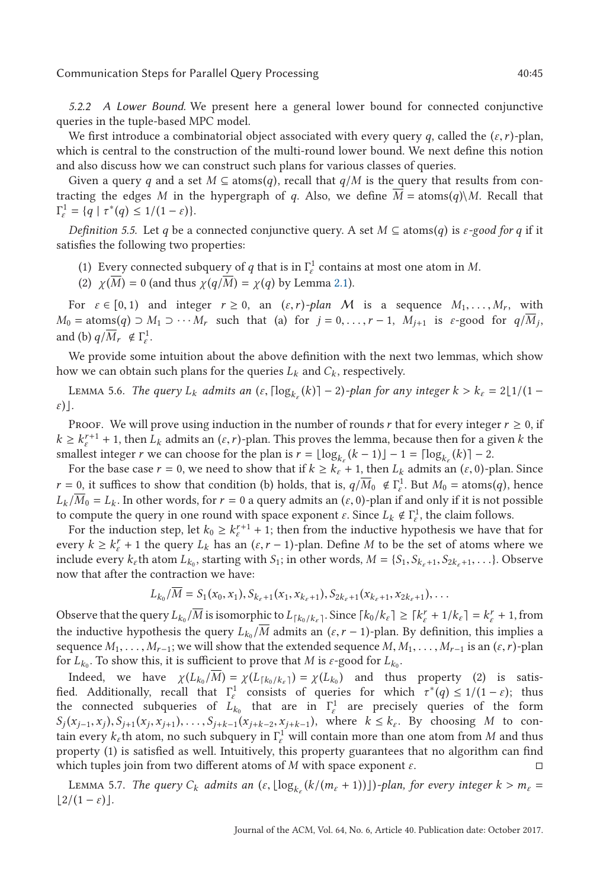*5.2.2 A Lower Bound.* We present here a general lower bound for connected conjunctive queries in the tuple-based MPC model.

We first introduce a combinatorial object associated with every query *q*, called the  $(\varepsilon, r)$ -plan, which is central to the construction of the multi-round lower bound. We next define this notion and also discuss how we can construct such plans for various classes of queries.

Given a query *q* and a set  $M \subseteq \text{atoms}(q)$ , recall that  $q/M$  is the query that results from contracting the edges *M* in the hypergraph of *q*. Also, we define  $M = \text{atoms}(q) \setminus M$ . Recall that  $\Gamma_{\varepsilon}^{1} = \{q \mid \tau^{*}(q) \leq 1/(1-\varepsilon)\}.$ 

*Definition 5.5.* Let *q* be a connected conjunctive query. A set  $M \subseteq \text{atoms}(q)$  is *ε*-good for *q* if it satisfies the following two properties:

- (1) Every connected subquery of *q* that is in  $\Gamma_{\varepsilon}^1$  contains at most one atom in *M*.
- (2)  $\chi(\overline{M}) = 0$  (and thus  $\chi(q/\overline{M}) = \chi(q)$  by Lemma 2.1).

For  $\varepsilon \in [0, 1)$  and integer  $r \ge 0$ , an  $(\varepsilon, r)$ *-plan* M is a sequence  $M_1, \ldots, M_r$ , with *M*<sup>0</sup> = atoms(*q*) ⊃ *M*<sub>1</sub> ⊃ ··· *M<sub><i>r*</sub></sub> such that (a) for *j* = 0,...,*r* − 1, *M*<sub>*i*+1</sub> is *ε*-good for *q*/*M*<sub>*i*</sub>, and (b)  $q/\overline{M}_r \notin \Gamma_\varepsilon^1$ .

We provide some intuition about the above definition with the next two lemmas, which show how we can obtain such plans for the queries  $L_k$  and  $C_k$ , respectively.

LEMMA 5.6. *The query*  $L_k$  *admits an*  $(\varepsilon, \lceil \log_k(k) \rceil - 2)$ *-plan for any integer*  $k > k_{\varepsilon} = 2\lfloor \frac{1}{(1 - \varepsilon)^2} \rfloor$ *ε*) *.*

PROOF. We will prove using induction in the number of rounds r that for every integer  $r \geq 0$ , if  $k \geq k_c^{r+1} + 1$ , then  $L_k$  admits an  $(\varepsilon, r)$ -plan. This proves the lemma, because then for a given *k* the smallest integer *r* we can choose for the plan is  $r = \lfloor \log_{k_e}(k-1) \rfloor - 1 = \lceil \log_{k_e}(k) \rceil - 2$ .

For the base case  $r = 0$ , we need to show that if  $k \ge k_{\epsilon} + 1$ , then  $L_k$  admits an  $(\epsilon, 0)$ -plan. Since *r* = 0, it suffices to show that condition (b) holds, that is,  $q/\overline{M}_0 \notin \Gamma_c^1$ . But  $M_0 = \text{atoms}(q)$ , hence  $L_k/\overline{M}_0 = L_k$ . In other words, for  $r = 0$  a query admits an  $(\varepsilon, 0)$ -plan if and only if it is not possible to compute the query in one round with space exponent  $\varepsilon$ . Since  $L_k \notin \Gamma^1_{\varepsilon}$ , the claim follows.

For the induction step, let  $k_0 \geq k_f^{r+1} + 1$ ; then from the inductive hypothesis we have that for every  $k \geq k_{\epsilon}^{r} + 1$  the query  $L_{k}$  has an  $(\epsilon, r - 1)$ -plan. Define *M* to be the set of atoms where we<br>include every *k* thatom *L*, starting with *S*, in other words  $M - 1S$ , *S*, s, *S*, s, a, b Observe include every  $k_{\varepsilon}$ th atom  $L_{k_0}$ , starting with  $S_1$ ; in other words,  $M = \{S_1, S_{k_{\varepsilon}+1}, S_{2k_{\varepsilon}+1}, \ldots\}$ . Observe now that after the contraction we have:

$$
L_{k_0}/M = S_1(x_0,x_1), S_{k_{\varepsilon}+1}(x_1,x_{k_{\varepsilon}+1}), S_{2k_{\varepsilon}+1}(x_{k_{\varepsilon}+1},x_{2k_{\varepsilon}+1}), \ldots
$$

Observe that the query  $L_{k_0}/\overline{M}$  is isomorphic to  $L_{[k_0/k_\varepsilon]}$ . Since  $[k_0/k_\varepsilon] \ge [k_\varepsilon^r + 1/k_\varepsilon] = k_\varepsilon^r + 1$ , from the inductive hypothesis the query  $L_k/\overline{M}$  odmits on  $(s, r, 1)$  plan. By definition, this impl the inductive hypothesis the query  $L_{k_0}/\overline{M}$  admits an  $(\varepsilon, r - 1)$ -plan. By definition, this implies a sequence  $M_1, \ldots, M_{r-1}$ ; we will show that the extended sequence  $M, M_1, \ldots, M_{r-1}$  is an  $(\varepsilon, r)$ -plan for  $L_{k_0}$ . To show this, it is sufficient to prove that *M* is  $\varepsilon$ -good for  $L_{k_0}$ .

Indeed, we have  $\chi(L_{k_0}/\overline{M}) = \chi(L_{\lceil k_0/k_{\varepsilon}\rceil}) = \chi(L_{k_0})$  and thus property (2) is satisfied. Additionally, recall that  $\Gamma_c^1$  consists of queries for which  $\tau^*(q) \leq 1/(1-\varepsilon)$ ; thus the connected subqueries of *L*, that are in  $\Gamma^1$  are precisely queries of the form the connected subqueries of  $L_{k_0}$  that are in  $\Gamma_{\varepsilon}^1$  are precisely queries of the form  $S_j(x_{j-1}, x_j), S_{j+1}(x_j, x_{j+1}), \ldots, S_{j+k-1}(x_{j+k-2}, x_{j+k-1}),$  where  $k \le k_{\varepsilon}$ . By choosing M to contain every  $k_{\varepsilon}$ th atom, no such subquery in  $\Gamma_{\varepsilon}^1$  will contain more than one atom from *M* and thus property (1) is satisfied as well. Intuitively, this property guarantees that no algorithm can find which tuples join from two different atoms of *M* with space exponent *ε*. -

LEMMA 5.7. *The query*  $C_k$  *admits an*  $(\varepsilon, \lfloor \log_{k_k} (k/(m_{\varepsilon}+1)) \rfloor)$ -plan, for every integer  $k > m_{\varepsilon} =$  $\lfloor 2/(1-\varepsilon) \rfloor$ .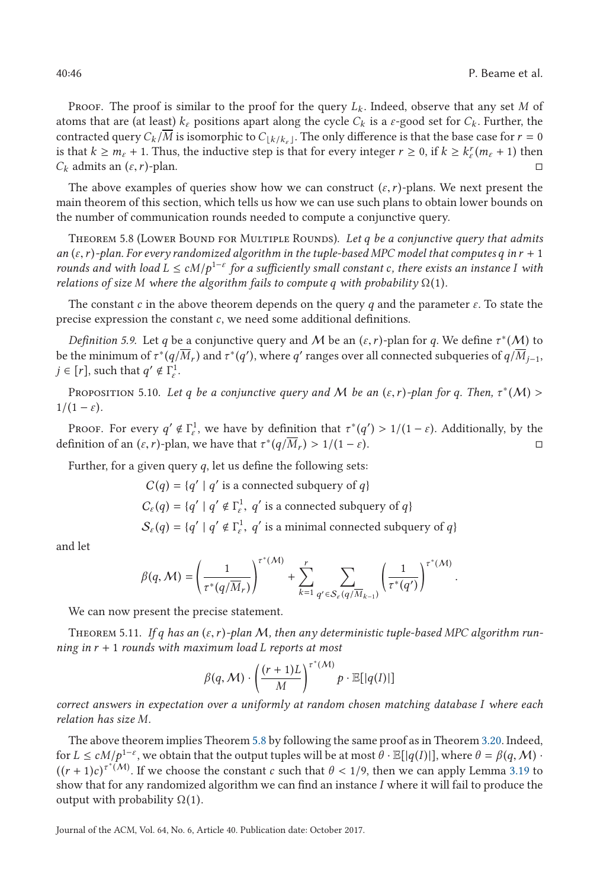PROOF. The proof is similar to the proof for the query  $L_k$ . Indeed, observe that any set M of atoms that are (at least)  $k_{\varepsilon}$  positions apart along the cycle  $C_k$  is a  $\varepsilon$ -good set for  $C_k$ . Further, the contracted query  $C_k/\overline{M}$  is isomorphic to  $C_{|k/k_{\epsilon}|}$ . The only difference is that the base case for  $r = 0$ is that  $k \ge m_{\varepsilon} + 1$ . Thus, the inductive step is that for every integer  $r \ge 0$ , if  $k \ge k_{\varepsilon}^r (m_{\varepsilon} + 1)$  then  $C_k$  admits an  $(\varepsilon, r)$ -plan.  $\square$ 

The above examples of queries show how we can construct  $(\varepsilon, r)$ -plans. We next present the main theorem of this section, which tells us how we can use such plans to obtain lower bounds on the number of communication rounds needed to compute a conjunctive query.

Theorem 5.8 (Lower Bound for Multiple Rounds). *Let q be a conjunctive query that admits an*  $(\varepsilon, r)$ -plan. For every randomized algorithm in the tuple-based MPC model that computes q in  $r + 1$ *rounds and with load*  $L \le cM/p^{1-\epsilon}$  *for a sufficiently small constant c, there exists an instance I with relations of size M* where the algorithm fails to compute q with probability  $\Omega(1)$ *.* 

The constant *c* in the above theorem depends on the query *q* and the parameter *ε*. To state the precise expression the constant *c*, we need some additional definitions.

*Definition 5.9.* Let *q* be a conjunctive query and M be an  $(\varepsilon, r)$ -plan for *q*. We define  $\tau^*(\mathcal{M})$  to be the minimum of  $\tau^*(q/\overline{M}_r)$  and  $\tau^*(q')$ , where  $q'$  ranges over all connected subqueries of  $q/\overline{M}_{j-1}$ ,  $i \in [r]$ , such that  $q' \notin \Gamma^1$ *j*  $\in$  [*r*], such that  $q' \notin \Gamma_{\varepsilon}^1$ .

PROPOSITION 5.10. Let *q* be a conjunctive query and M be an  $(\varepsilon, r)$ -plan for *q*. Then,  $\tau^*(\mathcal{M})$  >  $1/(1 - \varepsilon).$ 

Proof. For every  $q' \notin \Gamma^1_\epsilon$ , we have by definition that  $\tau^*(q') > 1/(1-\epsilon)$ . Additionally, by the finition of an  $(\epsilon, r)$  plan we have that  $\tau^*(q)\geq 1/(1-\epsilon)$ . definition of an  $(\varepsilon, r)$ -plan, we have that  $\tau^*(q/\overline{M}_r) > 1/(1-\varepsilon)$ .

Further, for a given query *q*, let us define the following sets:

 $C(q) = \{q' \mid q' \text{ is a connected subquery of } q\}$  $C_{\varepsilon}(q) = \{q' \mid q' \notin \Gamma_{\varepsilon}^1, q' \text{ is a connected subquery of } q\}$  $\mathcal{S}_{\varepsilon}(q) = \{q' \mid q' \notin \Gamma_{\varepsilon}^1, q' \text{ is a minimal connected subquery of } q\}$ 

and let

$$
\beta(q,\mathcal{M}) = \left(\frac{1}{\tau^*(q/\overline{M}_r)}\right)^{\tau^*(\mathcal{M})} + \sum_{k=1}^r \sum_{q' \in \mathcal{S}_{\varepsilon}(q/\overline{M}_{k-1})} \left(\frac{1}{\tau^*(q')}\right)^{\tau^*(\mathcal{M})}.
$$

We can now present the precise statement.

Theorem 5.11. *If <sup>q</sup> has an* (*ε*,*r*)*-plan* <sup>M</sup>*, then any deterministic tuple-based MPC algorithm running in r* + 1 *rounds with maximum load L reports at most*

$$
\beta(q,\mathcal{M})\cdot\left(\frac{(r+1)L}{M}\right)^{\tau^*(\mathcal{M})}p\cdot\mathbb{E}[|q(I)|]
$$

*correct answers in expectation over a uniformly at random chosen matching database I where each relation has size M.*

The above theorem implies Theorem 5.8 by following the same proof as in Theorem 3.20. Indeed, for  $L \le cM/p^{1-\varepsilon}$ , we obtain that the output tuples will be at most  $\theta \cdot \mathbb{E}[|q(I)|]$ , where  $\theta = \beta(q, M)$ .  $((r + 1)c)^{\tau^*(\mathcal{M})}$ . If we choose the constant *c* such that  $\theta < 1/9$ , then we can apply Lemma 3.19 to show that for any randomized algorithm we can find an instance *I* where it will fail to produce the show that for any randomized algorithm we can find an instance *I* where it will fail to produce the output with probability  $\Omega(1)$ .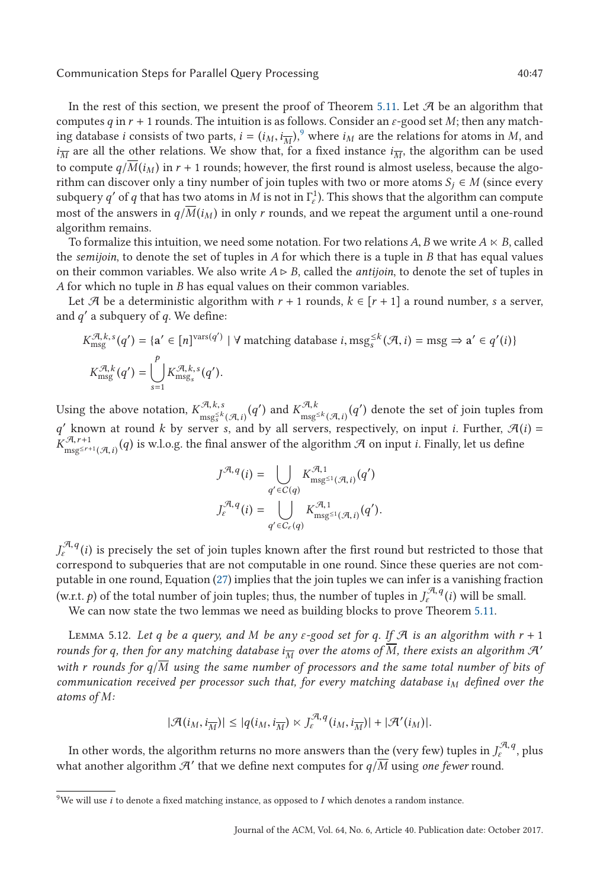In the rest of this section, we present the proof of Theorem 5.11. Let  $\mathcal A$  be an algorithm that computes *q* in *r* + 1 rounds. The intuition is as follows. Consider an *ε*-good set *M*; then any matching database *i* consists of two parts,  $i = (i_M, i_M)$ , where  $i_M$  are the relations for atoms in *M*, and  $i_{\text{max}}$  are all the other relations. We show that for a fixed instance  $i_{\text{max}}$  the algorithm can be used  $i_M$  are all the other relations. We show that, for a fixed instance  $i_M$ , the algorithm can be used to compute  $q/\overline{M}(i_M)$  in  $r + 1$  rounds; however, the first round is almost useless, because the algorithm can discover only a tiny number of join tuples with two or more atoms  $S_i \in M$  (since every subquery *q'* of *q* that has two atoms in *M* is not in  $\Gamma_{\varepsilon}^1$ ). This shows that the algorithm can compute most of the answers in  $q/\overline{M}(i_M)$  in only r rounds, and we repeat the argument until a one-round algorithm remains.

To formalize this intuition, we need some notation. For two relations *A*, *B* we write  $A \ltimes B$ , called a semiliary to denote the set of tuples in *A* for which there is a tuple in *B* that has equal values the *semijoin*, to denote the set of tuples in *A* for which there is a tuple in *B* that has equal values on their common variables. We also write  $A \triangleright B$ , called the *antijoin*, to denote the set of tuples in *A* for which no tuple in *B* has equal values on their common variables.

Let  $\mathcal A$  be a deterministic algorithm with  $r + 1$  rounds,  $k \in [r + 1]$  a round number, *s* a server, and  $q'$  a subquery of  $q$ . We define:

$$
K_{\text{msg}}^{\mathcal{A},k,s}(q') = \{ \mathbf{a}' \in [n]^{\text{vars}(q')} \mid \forall \text{ matching database } i, \text{msg}_s^{\leq k}(\mathcal{A}, i) = \text{msg} \Rightarrow \mathbf{a}' \in q'(i) \}
$$

$$
K_{\text{msg}}^{\mathcal{A},k}(q') = \bigcup_{s=1}^{p} K_{\text{msg}_s}^{\mathcal{A},k,s}(q').
$$

Using the above notation,  $K^{A,k,s}_{\text{msg}_s^{\leq k}(\mathcal{A},i)}$  $(q')$  and  $K^{\mathcal{A},k}_{\text{mes}}$  $\mathcal{A}, k$ <sub>msg</sub>≤*k*( $\mathcal{A}, i$ )</sub>( $q'$ ) denote the set of join tuples from  $q'$  known at round *k* by server *s*, and by all servers, respectively, on input *i*. Further,  $\mathcal{A}(i)$  =  $K^{\mathcal{A},r+1}_{\max^{$  $m_{{\rm s}S^{\le r+1}({\cal A},i)}(q)$  is w.l.o.g. the final answer of the algorithm  ${\cal A}$  on input *i*. Finally, let us define

$$
J^{\mathcal{A},q}(i) = \bigcup_{q' \in C(q)} K^{\mathcal{A},1}_{\text{msg}^{\leq 1}(\mathcal{A},i)}(q')
$$

$$
J_{\varepsilon}^{\mathcal{A},q}(i) = \bigcup_{q' \in C_{\varepsilon}(q)} K^{\mathcal{A},1}_{\text{msg}^{\leq 1}(\mathcal{A},i)}(q').
$$

 $J_{\varepsilon}^{\mathcal{A},\,q}(i)$  is precisely the set of join tuples known after the first round but restricted to those that correspond to subqueries that are not computable in one round. Since these queries are not computable in one round, Equation [\(27\)](#page-31-0) implies that the join tuples we can infer is a vanishing fraction (w.r.t. *p*) of the total number of join tuples; thus, the number of tuples in  $J_{\varepsilon}^{\mathcal{A},q}(i)$  will be small.

We can now state the two lemmas we need as building blocks to prove Theorem 5.11.

LEMMA 5.12. Let q be a query, and M be any  $\varepsilon$ -good set for q. If  $\mathcal A$  is an algorithm with  $r + 1$ *rounds for q, then for any matching database*  $i_{\overline{M}}$  *over the atoms of*  $\overline{M}$ *, there exists an algorithm*  $\mathcal{A}'$ *with <sup>r</sup> rounds for <sup>q</sup>*/*<sup>M</sup> using the same number of processors and the same total number of bits of communication received per processor such that, for every matching database i<sup>M</sup> defined over the atoms of M:*

$$
|\mathcal{A}(i_M,i_{\overline{M}})| \leq |q(i_M,i_{\overline{M}}) \ltimes J_{\varepsilon}^{\mathcal{A},q}(i_M,i_{\overline{M}})| + |\mathcal{A}'(i_M)|.
$$

In other words, the algorithm returns no more answers than the (very few) tuples in  $J_\varepsilon^{\mathcal{A},q}$ , plus what another algorithm  $\mathcal{A}'$  that we define next computes for  $q/\overline{M}$  using *one fewer* round.

<sup>9</sup>We will use *i* to denote a fixed matching instance, as opposed to *I* which denotes a random instance.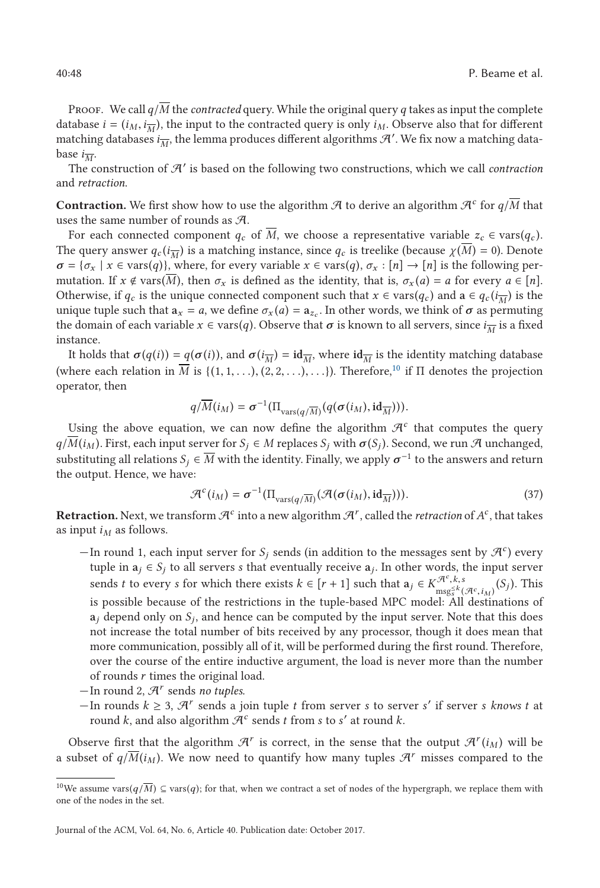Proof. We call  $q/\overline{M}$  the *contracted* query. While the original query *q* takes as input the complete database  $i = (i_M, i_{\overline{M}})$ , the input to the contracted query is only  $i_M$ . Observe also that for different matching databases  $i_{\overline{M}}$ , the lemma produces different algorithms  $\mathcal{A}'$ . We fix now a matching database  $i_{\overline{M}}$ .

The construction of  $\mathcal{A}'$  is based on the following two constructions, which we call *contraction* and *retraction*.

**Contraction.** We first show how to use the algorithm  $\mathcal{A}$  to derive an algorithm  $\mathcal{A}^c$  for  $q/M$  that uses the same number of rounds as  $\mathcal{A}.$ 

For each connected component  $q_c$  of M, we choose a representative variable  $z_c \in \text{vars}(q_c)$ . The query answer  $q_c(i_{\overline{M}})$  is a matching instance, since  $q_c$  is treelike (because  $\chi(\overline{M}) = 0$ ). Denote  $\sigma = {\sigma_x \mid x \in \text{vars}(q)}$ , where, for every variable  $x \in \text{vars}(q)$ ,  $\sigma_x : [n] \to [n]$  is the following permutation. If  $x \notin \text{vars}(M)$ , then  $\sigma_x$  is defined as the identity, that is,  $\sigma_x(a) = a$  for every  $a \in [n]$ . Otherwise, if  $q_c$  is the unique connected component such that  $x \in \text{vars}(q_c)$  and  $\mathbf{a} \in q_c(i_{\overline{M}})$  is the unique tuple such that  $\mathbf{a}_x = a$ , we define  $\sigma_x(a) = \mathbf{a}_{z_c}$ . In other words, we think of  $\sigma$  as permuting the domain of each variable  $x \in \text{vars}(q)$ . Observe that  $\sigma$  is known to all servers, since  $i\frac{1}{M}$  is a fixed instance.

It holds that  $\sigma(q(i)) = q(\sigma(i))$ , and  $\sigma(i\overline{M}) = id\overline{M}$ , where  $id\overline{M}$  is the identity matching database (where each relation in  $\overline{M}$  is {(1, 1, ...), (2, 2, ...),...}). Therefore,<sup>10</sup> if  $\Pi$  denotes the projection operator, then

$$
q/\overline{M}(i_M) = \sigma^{-1}(\Pi_{\text{vars}(q/\overline{M})}(q(\sigma(i_M),\text{id}_{\overline{M}}))).
$$

Using the above equation, we can now define the algorithm  $\mathcal{A}^c$  that computes the query  $q/\overline{M}(i_M)$ . First, each input server for  $S_i \in M$  replaces  $S_i$  with  $\sigma(S_i)$ . Second, we run A unchanged, substituting all relations  $S_i \in \overline{M}$  with the identity. Finally, we apply  $\sigma^{-1}$  to the answers and return the output. Hence, we have:

$$
\mathcal{A}^{c}(i_{M}) = \sigma^{-1}(\Pi_{\text{vars}(q/\overline{M})}(\mathcal{A}(\sigma(i_{M}), \text{id}_{\overline{M}}))).
$$
\n(37)

**Retraction.** Next, we transform  $\mathcal{A}^c$  into a new algorithm  $\mathcal{A}^r$ , called the *retraction* of  $A^c$ , that takes as input *i<sup>M</sup>* as follows.

- —In round 1, each input server for  $S_i$  sends (in addition to the messages sent by  $\mathcal{A}^c$ ) every tuple in  $\mathbf{a}_j \in S_j$  to all servers *s* that eventually receive  $\mathbf{a}_j$ . In other words, the input server sends t to every s for which there exists  $k \in [r+1]$  such that  $a_j \in K^{\mathcal{A}^c,k,s}_{\text{msg}_s^{\le k}(\mathcal{A}^c,i_M)}(S_j)$ . This is possible because of the restrictions in the tuple-based MPC model: All destinations of  $a_j$  depend only on  $S_j$ , and hence can be computed by the input server. Note that this does not increase the total number of bits received by any processor, though it does mean that more communication, possibly all of it, will be performed during the first round. Therefore, over the course of the entire inductive argument, the load is never more than the number of rounds *r* times the original load.
- —In round 2, A*<sup>r</sup>* sends *no tuples*.
- $-$ In rounds  $k \geq 3$ ,  $\mathcal{A}^r$  sends a join tuple *t* from server *s* to server *s'* if server *s knows t* at round *k*, and also algorithm  $\mathcal{A}^c$  sends *t* from *s* to *s'* at round *k*.

Observe first that the algorithm  $\mathcal{A}^r$  is correct, in the sense that the output  $\mathcal{A}^r(i_M)$  will be a subset of  $q/M(i_M)$ . We now need to quantify how many tuples  $\mathcal{A}^r$  misses compared to the

<sup>&</sup>lt;sup>10</sup>We assume vars $(q/\overline{M}) \subseteq \text{vars}(q)$ ; for that, when we contract a set of nodes of the hypergraph, we replace them with one of the nodes in the set.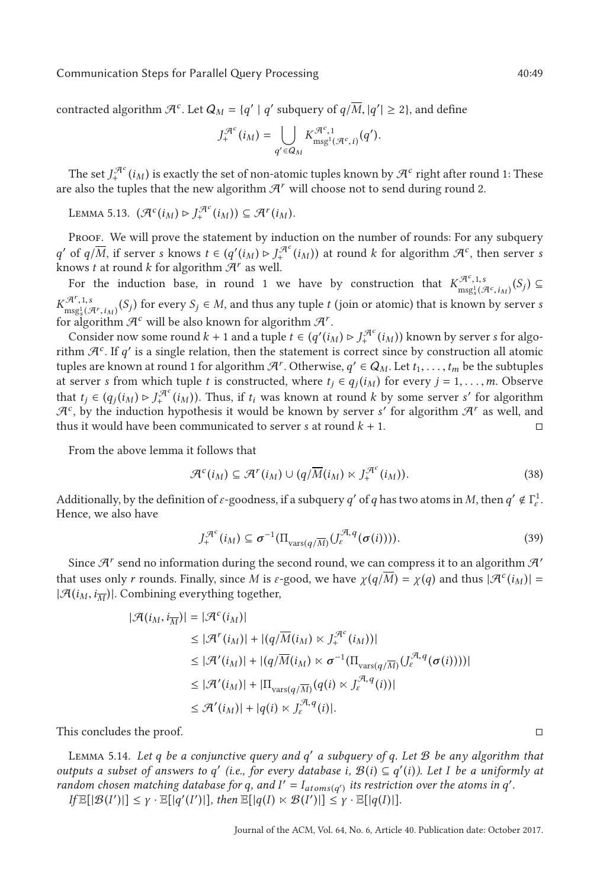contracted algorithm  $\mathcal{A}^c$ . Let  $Q_M = \{q' \mid q' \text{ subquery of } q / \overline{M}, |q'| \geq 2\}$ , and define

$$
J^{\mathcal{A}^c}_+(i_M)=\bigcup_{q'\in Q_M}K^{\mathcal{A}^c,1}_{\mathrm{msg}^1(\mathcal{A}^c,i)}(q').
$$

The set  $J^{\mathcal{A}^c}_+(i_M)$  is exactly the set of non-atomic tuples known by  $\mathcal{A}^c$  right after round 1: These are also the tuples that the new algorithm  $\mathcal{A}^r$  will choose not to send during round 2.

LEMMA 5.13.  $(\mathcal{A}^c(i_M) \triangleright J_+^{\mathcal{A}^c}(i_M)) \subseteq \mathcal{A}^r(i_M)$ .

PROOF. We will prove the statement by induction on the number of rounds: For any subquery *q*<sup>'</sup> of *q*/*M*, if server *s* knows  $t \in (q'(i_M) \triangleright f_+^{\mathcal{A}^c}(i_M))$  at round *k* for algorithm  $\mathcal{A}^c$ , then server *s* knows *t* at round *k* for algorithm  $\mathcal{A}^r$  as well knows *t* at round *k* for algorithm  $\mathcal{A}^r$  as well.

For the induction base, in round 1 we have by construction that  $K_{\text{msg}_s^1(\mathcal{A}^c, i_M)}^{\mathcal{A}^c, 1, s}(S_j) \subseteq$  $s^{1}(\mathcal{A}^{c}, i_{M})$  $K^{\mathcal{A}^r,1,s}$  $\mathcal{F}_1^{(A',1,s)}$   $(\mathcal{S}_j)$  for every  $\mathcal{S}_j \in M$ , and thus any tuple *t* (join or atomic) that is known by server *s*<br>  $\mathcal{F}_2^{(A',i_M)}$   $(\mathcal{S}_j)$  for every  $\mathcal{S}_j \in M$ , and thus any tuple *t* (join or atomic) that is for algorithm  $\mathcal{A}^c$  will be also known for algorithm  $\mathcal{A}^r$ .

Consider now some round  $k + 1$  and a tuple  $t \in (q'(i_M) \triangleright J^{\mathcal{A}^c}_+(i_M))$  known by server *s* for algorithm  $\mathcal{A}^c$ . If  $q'$  is a single relation, then the statement is correct since by construction all atomic tuples are known at round 1 for algorithm  $\mathcal{A}^r$ . Otherwise,  $q' \in Q_M$ . Let  $t_1, \ldots, t_m$  be the subtuples at server *s* from which tuple *t* is constructed, where  $t_j \in q_j(i_M)$  for every  $j = 1, \ldots, m$ . Observe that  $t_j \in (q_j(i_M) \triangleright J^{\mathcal{H}^c}(i_M))$ . Thus, if  $t_i$  was known at round *k* by some server *s'* for algorithm  $A^c$ , by the induction hypothesis it would be known by server *s'* for algorithm  $A^r$  as well, and thus it would have been communicated to server *s* at round  $k + 1$ .

From the above lemma it follows that

$$
\mathcal{A}^{c}(i_{M}) \subseteq \mathcal{A}^{r}(i_{M}) \cup (q/\overline{M}(i_{M}) \ltimes J_{+}^{\mathcal{A}^{c}}(i_{M})).
$$
\n(38)

Additionally, by the definition of  $\varepsilon$ -goodness, if a subquery *q'* of *q* has two atoms in *M*, then  $q' \notin \Gamma_{\varepsilon}^1$ . Hence, we also have

$$
J_+^{\mathcal{A}^c}(i_M) \subseteq \sigma^{-1}(\Pi_{\text{vars}(q/\overline{M})}(J_{\varepsilon}^{\mathcal{A},q}(\sigma(i))))
$$
 (39)

Since  $\mathcal{A}^r$  send no information during the second round, we can compress it to an algorithm  $\mathcal{A}^r$ that uses only *r* rounds. Finally, since *M* is *ε*-good, we have  $\chi(q/M) = \chi(q)$  and thus  $|\mathcal{A}^c(i_M)| =$  $|\mathcal{A}(i_M, i_{\overline{M}})|$ . Combining everything together,

$$
|\mathcal{A}(i_M, i_{\overline{M}})| = |\mathcal{A}^c(i_M)|
$$
  
\n
$$
\leq |\mathcal{A}^r(i_M)| + |(q/\overline{M}(i_M) \times J^{ \mathcal{A}^c}_+(i_M))|
$$
  
\n
$$
\leq |\mathcal{A}'(i_M)| + |(q/\overline{M}(i_M) \times \sigma^{-1}(\Pi_{\text{vars}(q/\overline{M})}(J^{ \mathcal{A},q}_{\varepsilon}(\sigma(i))))|
$$
  
\n
$$
\leq |\mathcal{A}'(i_M)| + |\Pi_{\text{vars}(q/\overline{M})}(q(i) \times J^{ \mathcal{A},q}_{\varepsilon}(i))|
$$
  
\n
$$
\leq \mathcal{A}'(i_M)| + |q(i) \times J^{ \mathcal{A},q}_{\varepsilon}(i)|.
$$

This concludes the proof.  $\Box$ 

Lemma 5.14. *Let q be a conjunctive query and q a subquery of q. Let* B *be any algorithm that outputs a subset of answers to q' (i.e., for every database <i>i*,  $\mathcal{B}(i) \subseteq q'(i)$ ). Let *I* be a uniformly at *random chosen matching database for q, and*  $I' = I_{atoms(q')}$  *its restriction over the atoms in q'.*  $\text{If } \mathbb{E}[\mathcal{B}(I')|\leq \gamma \cdot \mathbb{E}[\mathcal{q}'(I')|], \text{ then } \mathbb{E}[\mathcal{q}(I) \ltimes \mathcal{B}(I')|\leq \gamma \cdot \mathbb{E}[\mathcal{q}(I)|].$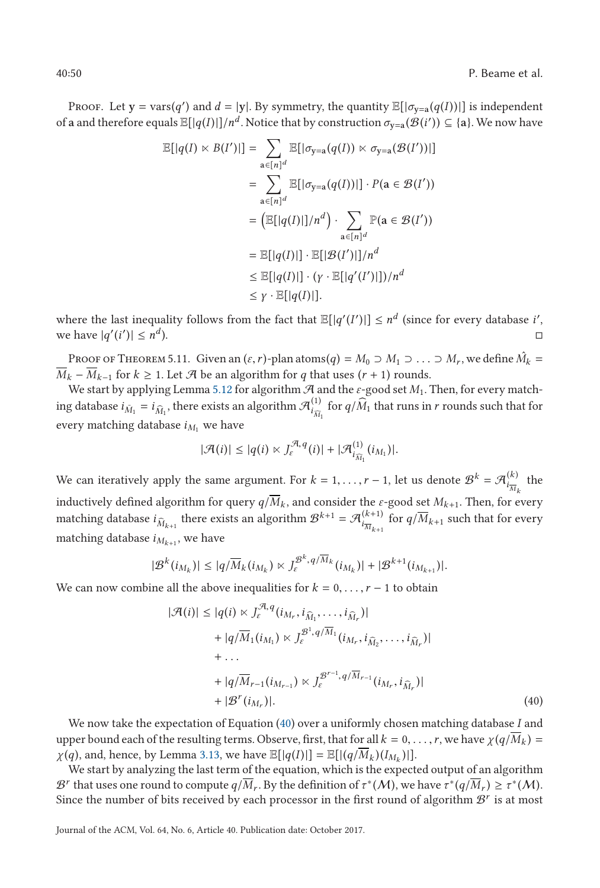Proof. Let  $y = \text{vars}(q')$  and  $d = |y|$ . By symmetry, the quantity  $\mathbb{E}[\lvert \sigma_{y=a}(q(I)) \rvert]$  is independent of **a** and therefore equals  $\mathbb{E}[|q(I)|]/n^d$ . Notice that by construction  $\sigma_{y=a}(\mathcal{B}(i')) \subseteq \{a\}$ . We now have

$$
\mathbb{E}[|q(I) \times B(I')|] = \sum_{\mathbf{a} \in [n]^d} \mathbb{E}[|\sigma_{\mathbf{y}=\mathbf{a}}(q(I)) \times \sigma_{\mathbf{y}=\mathbf{a}}(\mathcal{B}(I'))|]
$$
  
\n
$$
= \sum_{\mathbf{a} \in [n]^d} \mathbb{E}[|\sigma_{\mathbf{y}=\mathbf{a}}(q(I))|] \cdot P(\mathbf{a} \in \mathcal{B}(I'))
$$
  
\n
$$
= \left( \mathbb{E}[|q(I)|]/n^d \right) \cdot \sum_{\mathbf{a} \in [n]^d} \mathbb{P}(\mathbf{a} \in \mathcal{B}(I'))
$$
  
\n
$$
= \mathbb{E}[|q(I)|] \cdot \mathbb{E}[|\mathcal{B}(I')|]/n^d
$$
  
\n
$$
\leq \mathbb{E}[|q(I)|] \cdot (\gamma \cdot \mathbb{E}[|q'(I')|])/n^d
$$
  
\n
$$
\leq \gamma \cdot \mathbb{E}[|q(I)|].
$$

where the last inequality follows from the fact that  $\mathbb{E}[|q'(I')|] \leq n^d$  (since for every database *i'*, we have |*q* (*i*  $|S| \leq n^d$ .

PROOF OF THEOREM 5.11. Given an  $(\varepsilon, r)$ -plan atoms $(q) = M_0 \supset M_1 \supset \ldots \supset M_r$ , we define  $\hat{M}_k = \overline{M}$ , for  $k > 1$ . Let  $\mathcal{A}$  be an algorithm for *a* that uses  $(r + 1)$  rounds.  $\overline{M}_k$  −  $\overline{M}_{k-1}$  for  $k \ge 1$ . Let  $\mathcal{A}$  be an algorithm for *q* that uses (*r* + 1) rounds.

We start by applying Lemma 5.12 for algorithm A and the *ε*-good set *M*1. Then, for every matching database  $i_{\tilde{M}_1} = i_{\tilde{M}_1}$ , there exists an algorithm  $\mathcal{A}_{i_{\tilde{M}_1}}^{(1)}$  for  $q/\tilde{M}_1$  that runs in *r* rounds such that for every matching database  $i_{M_1}$  we have

$$
|\mathcal{A}(i)| \leq |q(i) \times J_{\varepsilon}^{\mathcal{A},q}(i)| + |\mathcal{A}_{i_{\widehat{M}_1}}^{(1)}(i_{M_1})|.
$$

We can iteratively apply the same argument. For  $k = 1, ..., r - 1$ , let us denote  $\mathcal{B}^k = \mathcal{A}_{i_{\overline{M_k}}}^{(k)}$  the inductively defined algorithm for query  $q/M_k$ , and consider the  $\varepsilon$ -good set  $M_{k+1}$ . Then, for every matching database  $i_{\widehat{M}_{k+1}}$  there exists an algorithm  $\mathcal{B}^{k+1} = \mathcal{A}_{i_{\overline{M}_{k+1}}}^{(k+1)}$  for  $q/\overline{M}_{k+1}$  matching database  $i_{M_{k+1}}$ , we have

$$
|\mathcal{B}^{k}(i_{M_{k}})| \leq |q/\overline{M}_{k}(i_{M_{k}}) \ltimes J_{\varepsilon}^{\mathcal{B}^{k}, q/\overline{M}_{k}}(i_{M_{k}})| + |\mathcal{B}^{k+1}(i_{M_{k+1}})|.
$$

We can now combine all the above inequalities for  $k = 0, \ldots, r - 1$  to obtain

$$
|\mathcal{A}(i)| \le |q(i) \times J_{\varepsilon}^{\mathcal{A}, q} (i_{M_r}, i_{\hat{M}_1}, \dots, i_{\hat{M}_r})|
$$
  
+  $|q/\overline{M}_1 (i_{M_1}) \times J_{\varepsilon}^{\mathcal{B}^1, q/\overline{M}_1} (i_{M_r}, i_{\hat{M}_2}, \dots, i_{\hat{M}_r})|$   
+ ...  
+  $|q/\overline{M}_{r-1} (i_{M_{r-1}}) \times J_{\varepsilon}^{\mathcal{B}^{r-1}, q/\overline{M}_{r-1}} (i_{M_r}, i_{\hat{M}_r})|$   
+  $|\mathcal{B}^r (i_{M_r})|$ . (40)

We now take the expectation of Equation (40) over a uniformly chosen matching database *I* and upper bound each of the resulting terms. Observe, first, that for all  $k = 0, \ldots, r$ , we have  $\chi(q/M_k) =$  $\chi(q)$ , and, hence, by Lemma 3.13, we have  $\mathbb{E}[|q(I)|] = \mathbb{E}[|(q/\overline{M}_k)(I_{M_k})|].$ 

We start by analyzing the last term of the equation, which is the expected output of an algorithm B<sup>*r*</sup> that uses one round to compute  $q/M_r$ . By the definition of  $\tau^*(\mathcal{M})$ , we have  $\tau^*(q/M_r) \geq \tau^*(\mathcal{M})$ . Since the number of bits received by each processor in the first round of algorithm  $\mathcal{B}^r$  is at most

<span id="page-49-0"></span>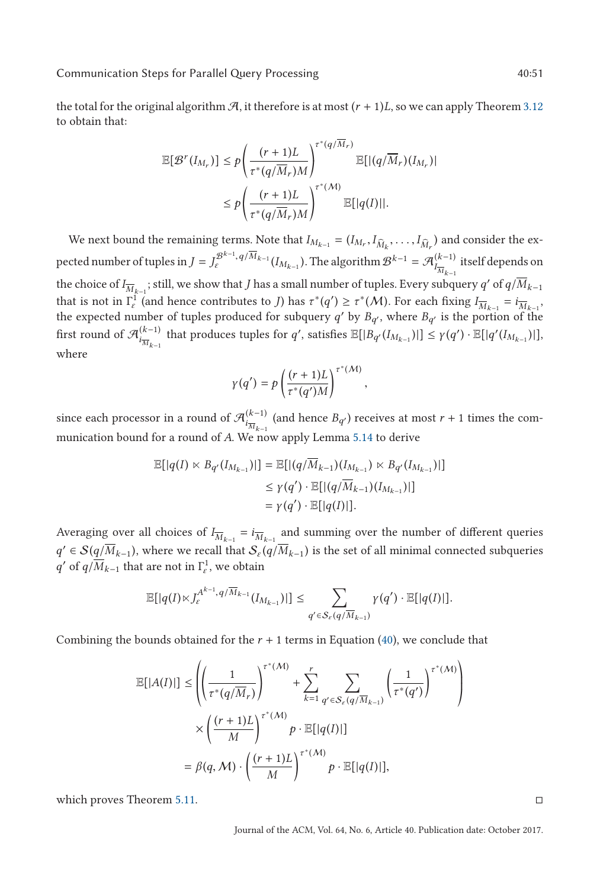the total for the original algorithm  $\mathcal{A}$ , it therefore is at most  $(r + 1)L$ , so we can apply Theorem 3.12 to obtain that:

$$
\mathbb{E}[\mathcal{B}^r(I_{M_r})] \leq p \left( \frac{(r+1)L}{\tau^*(q/\overline{M}_r)M} \right)^{\tau^*(q/\overline{M}_r)} \mathbb{E}[|(q/\overline{M}_r)(I_{M_r})|
$$
  

$$
\leq p \left( \frac{(r+1)L}{\tau^*(q/\overline{M}_r)M} \right)^{\tau^*(M)} \mathbb{E}[|q(I)|].
$$

We next bound the remaining terms. Note that  $I_{M_{k-1}} = (I_{M_r}, I_{\hat{M}_k}, \ldots, I_{\hat{M}_r})$  and consider the ex-<br> $e^{ik-1} \cdot \sqrt{M_r}$ pected number of tuples in  $J = J_{\varepsilon}^{\mathcal{B}^{k-1}, q/\overline{M}_{k-1}}(I_{M_{k-1}})$ . The algorithm  $\mathcal{B}^{k-1} = \mathcal{A}_{I_{\overline{M}_{k-1}}}^{(k-1)}$  itself depends on the choice of  $I_{\overline{M}_{k-1}}$ ; still, we show that *J* has a small number of tuples. Every subquery *q'* of  $q/\overline{M}_{k-1}$ <br>that is not in  $\Gamma^1$  (and have a septimentary *L*) has  $\pi^*(d) \geq \pi^*(M)$ . Every sub fixing *L* that is not in  $\Gamma_{\varepsilon}^1$  (and hence contributes to *J*) has  $\tau^*(q') \geq \tau^*(\mathcal{M})$ . For each fixing  $I_{\overline{M}_{k-1}} = i_{\overline{M}_{k-1}}$ , the expected number of tuples produced for subquery *q'* by  $B_{q'}$ , where  $B_{q'}$  is the portion of the  $\int_0^{\infty} f(x) dx$  first round of  $\mathcal{A}_{i_{\overline{M}_{k-1}}}^{(k-1)}$  that produces tuples for *q'*, satisfies  $\mathbb{E}[|B_{q'}(I_{M_{k-1}})|] \leq \gamma(q') \cdot \mathbb{E}[|q'(I_{M_{k-1}})|],$ where

$$
\gamma(q') = p \left( \frac{(r+1)L}{\tau^*(q')M} \right)^{\tau^*(M)}
$$

,

since each processor in a round of  $\mathcal{A}_{i_{\overline{M}_{k-1}}}^{(k-1)}$  (and hence  $B_{q'}$ ) receives at most *r* + 1 times the communication bound for a round of *A*. We now apply Lemma 5.14 to derive

$$
\mathbb{E}[|q(I) \times B_{q'}(I_{M_{k-1}})|] = \mathbb{E}[|(q/\overline{M}_{k-1})(I_{M_{k-1}}) \times B_{q'}(I_{M_{k-1}})|]
$$
  
\n
$$
\leq \gamma(q') \cdot \mathbb{E}[|(q/\overline{M}_{k-1})(I_{M_{k-1}})|]
$$
  
\n
$$
= \gamma(q') \cdot \mathbb{E}[|q(I)|].
$$

Averaging over all choices of  $I_{\overline{M}_{k-1}} = i_{\overline{M}_{k-1}}$  and summing over the number of different queries *q*′ ∈  $S(q/\overline{M}_{k-1})$ , where we recall that  $S_{\varepsilon}(q/\overline{M}_{k-1})$  is the set of all minimal connected subqueries *q*' of  $q/\overline{M}_{k-1}$  that are not in  $\Gamma_{\varepsilon}^1$ , we obtain

$$
\mathbb{E}[|q(I)\ltimes J_{\varepsilon}^{A^{k-1}, q/\overline{M}_{k-1}}(I_{M_{k-1}})|] \leq \sum_{q' \in \mathcal{S}_{\varepsilon}(q/\overline{M}_{k-1})} \gamma(q') \cdot \mathbb{E}[|q(I)|].
$$

Combining the bounds obtained for the  $r + 1$  terms in Equation [\(40\)](#page-49-0), we conclude that

$$
\mathbb{E}[|A(I)|] \leq \left( \left( \frac{1}{\tau^*(q/\overline{M}_r)} \right)^{\tau^*(M)} + \sum_{k=1}^r \sum_{q' \in \mathcal{S}_{\varepsilon}(q/\overline{M}_{k-1})} \left( \frac{1}{\tau^*(q')}\right)^{\tau^*(M)} \right) \times \left( \frac{(r+1)L}{M} \right)^{\tau^*(M)} p \cdot \mathbb{E}[|q(I)|] \n= \beta(q, M) \cdot \left( \frac{(r+1)L}{M} \right)^{\tau^*(M)} p \cdot \mathbb{E}[|q(I)|],
$$

which proves Theorem 5.11.

 $\Box$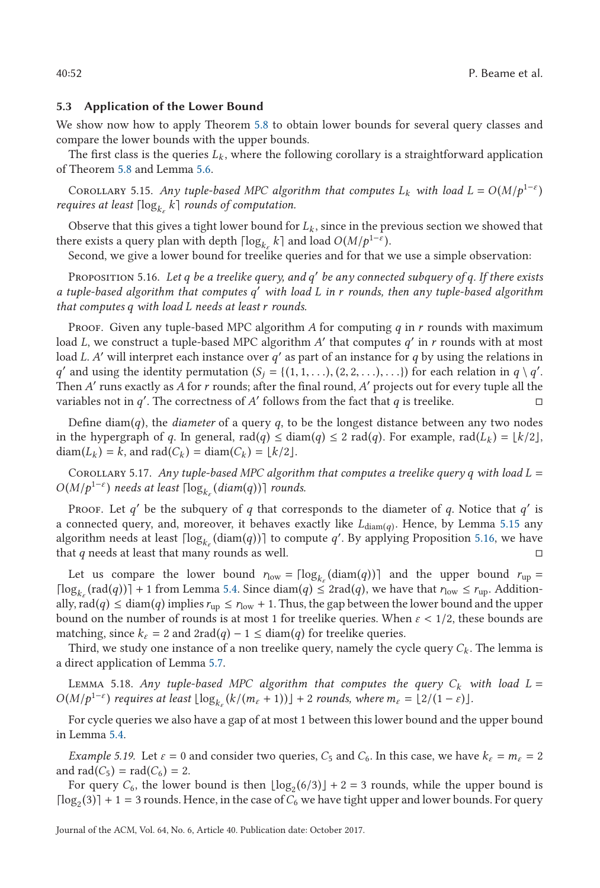## **5.3 Application of the Lower Bound**

We show now how to apply Theorem 5.8 to obtain lower bounds for several query classes and compare the lower bounds with the upper bounds.

The first class is the queries  $L_k$ , where the following corollary is a straightforward application of Theorem 5.8 and Lemma 5.6.

COROLLARY 5.15. *Any tuple-based MPC algorithm that computes*  $L_k$  *with load*  $L = O(M/p^{1-\epsilon})$ *requires at least*  $\lceil \log_k k \rceil$  *rounds of computation.* 

Observe that this gives a tight lower bound for  $L_k$ , since in the previous section we showed that there exists a query plan with depth  $\lceil \log_k k \rceil$  and load  $O(M/p^{1-\epsilon})$ .

Second, we give a lower bound for treelike queries and for that we use a simple observation:

Proposition 5.16. *Let q be a treelike query, and q be any connected subquery of q. If there exists a tuple-based algorithm that computes q with load L in r rounds, then any tuple-based algorithm that computes q with load L needs at least r rounds.*

Proof. Given any tuple-based MPC algorithm *A* for computing *q* in *r* rounds with maximum load *L*, we construct a tuple-based MPC algorithm *A'* that computes *q'* in *r* rounds with at most load *L*. *A'* will interpret each instance over  $q'$  as part of an instance for  $q$  by using the relations in *q*' and using the identity permutation  $(S_j = \{(1, 1, \ldots), (2, 2, \ldots), \ldots)\}\)$  for each relation in *q* \ *q'*. Then *A* runs exactly as *A* for *r* rounds; after the final round, *A* projects out for every tuple all the variables not in *q'*. The correctness of *A'* follows from the fact that *q* is treelike.  $\Box$  $\Box$ 

Define diam(*q*), the *diameter* of a query *q*, to be the longest distance between any two nodes in the hypergraph of q. In general,  $rad(q) \leq diam(q) \leq 2 rad(q)$ . For example,  $rad(L_k) = \lfloor k/2 \rfloor$ ,  $diam(L_k) = k$ , and  $rad(C_k) = diam(C_k) = \lfloor k/2 \rfloor$ .

Corollary 5.17. *Any tuple-based MPC algorithm that computes a treelike query q with load L* =  $O(M/p^{1-\epsilon})$  *needs at least*  $\lceil \log_{k_{\epsilon}}(diam(q)) \rceil$  *rounds.* 

Proof. Let  $q'$  be the subquery of  $q$  that corresponds to the diameter of  $q$ . Notice that  $q'$  is a connected query, and, moreover, it behaves exactly like *L*diam(*q*). Hence, by Lemma 5.15 any algorithm needs at least  $\lceil \log_{k_e}(\text{diam}(q)) \rceil$  to compute *q'*. By applying Proposition 5.16, we have that  $q$  needs at least that many rounds as well.

Let us compare the lower bound  $r_{\text{low}} = \lceil \log_{k_c}(\text{diam}(q)) \rceil$  and the upper bound  $r_{\text{up}} =$  $\lceil \log_{k_c}(\text{rad}(q)) \rceil + 1$  from Lemma 5.4. Since diam(*q*)  $\leq 2\text{rad}(q)$ , we have that  $r_{\text{low}} \leq r_{\text{up}}$ . Additionally, rad(*q*)  $\leq$  diam(*q*) implies  $r_{\text{up}} \leq r_{\text{low}} + 1$ . Thus, the gap between the lower bound and the upper bound on the number of rounds is at most 1 for treelike queries. When  $\varepsilon < 1/2$ , these bounds are matching, since  $k_{\varepsilon} = 2$  and  $2 \text{rad}(q) - 1 \leq \text{diam}(q)$  for treelike queries.

Third, we study one instance of a non treelike query, namely the cycle query  $C_k$ . The lemma is a direct application of Lemma 5.7.

LEMMA 5.18. Any tuple-based MPC algorithm that computes the query  $C_k$  with load  $L =$  $O(M/p^{1-\epsilon})$  *requires at least*  $\lfloor \log_{k_{\epsilon}} (k/(m_{\epsilon}+1)) \rfloor + 2$  *rounds, where*  $m_{\epsilon} = \lfloor 2/(1-\epsilon) \rfloor$ *.* 

For cycle queries we also have a gap of at most 1 between this lower bound and the upper bound in Lemma 5.4.

*Example 5.19.* Let  $\varepsilon = 0$  and consider two queries,  $C_5$  and  $C_6$ . In this case, we have  $k_{\varepsilon} = m_{\varepsilon} = 2$ and  $rad(C_5) = rad(C_6) = 2$ .

For query  $C_6$ , the lower bound is then  $\lfloor \log_2(6/3) \rfloor + 2 = 3$  rounds, while the upper bound is  $\lceil \log_2(3) \rceil + 1 = 3$  rounds. Hence, in the case of  $C_6$  we have tight upper and lower bounds. For query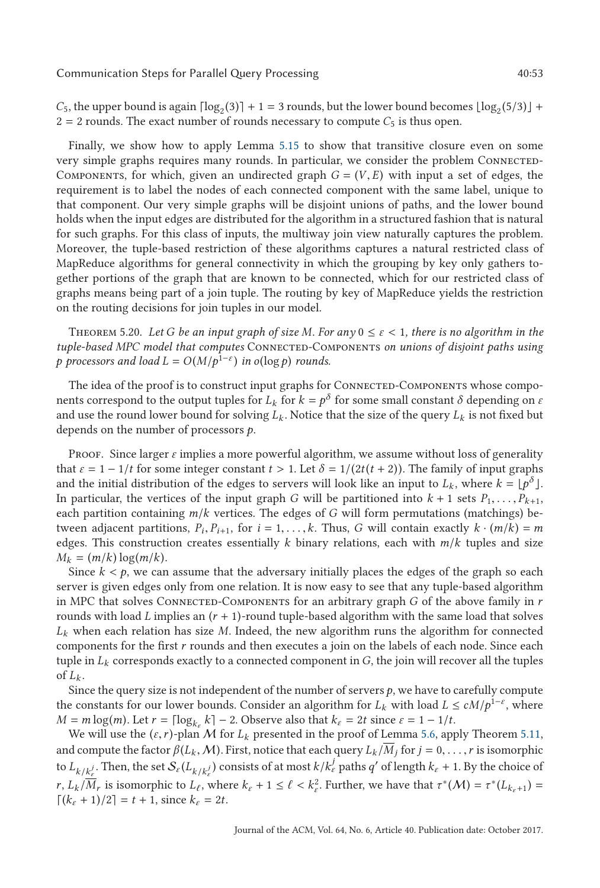$C_5$ , the upper bound is again  $\lceil \log_2(3) \rceil + 1 = 3$  rounds, but the lower bound becomes  $\lfloor \log_2(5/3) \rfloor +$  $2 = 2$  rounds. The exact number of rounds necessary to compute  $C_5$  is thus open.

Finally, we show how to apply Lemma 5.15 to show that transitive closure even on some very simple graphs requires many rounds. In particular, we consider the problem CONNECTED-COMPONENTS, for which, given an undirected graph  $G = (V, E)$  with input a set of edges, the requirement is to label the nodes of each connected component with the same label, unique to that component. Our very simple graphs will be disjoint unions of paths, and the lower bound holds when the input edges are distributed for the algorithm in a structured fashion that is natural for such graphs. For this class of inputs, the multiway join view naturally captures the problem. Moreover, the tuple-based restriction of these algorithms captures a natural restricted class of MapReduce algorithms for general connectivity in which the grouping by key only gathers together portions of the graph that are known to be connected, which for our restricted class of graphs means being part of a join tuple. The routing by key of MapReduce yields the restriction on the routing decisions for join tuples in our model.

THEOREM 5.20. Let G be an input graph of size M. For any  $0 \leq \varepsilon < 1$ , there is no algorithm in the *tuple-based MPC model that computes* Connected-Components *on unions of disjoint paths using p processors and load*  $L = O(M/p^{1-\epsilon})$  *in*  $o(\log p)$  *rounds.* 

The idea of the proof is to construct input graphs for CONNECTED-COMPONENTS whose components correspond to the output tuples for  $L_k$  for  $k = p^{\delta}$  for some small constant  $\delta$  depending on  $\varepsilon$ and use the round lower bound for solving  $L_k$ . Notice that the size of the query  $L_k$  is not fixed but depends on the number of processors *p*.

Proof. Since larger  $\varepsilon$  implies a more powerful algorithm, we assume without loss of generality that  $\varepsilon = 1 - 1/t$  for some integer constant  $t > 1$ . Let  $\delta = 1/(2t(t + 2))$ . The family of input graphs and the initial distribution of the edges to servers will look like an input to  $L_k$ , where  $k = \lfloor p^{\delta} \rfloor$ . In particular, the vertices of the input graph *G* will be partitioned into  $k + 1$  sets  $P_1, \ldots, P_{k+1}$ , each partition containing *<sup>m</sup>*/*<sup>k</sup>* vertices. The edges of *<sup>G</sup>* will form permutations (matchings) between adjacent partitions,  $P_i$ ,  $P_{i+1}$ , for  $i = 1, \ldots, k$ . Thus, *G* will contain exactly  $k \cdot (m/k) = m$ edges. This construction creates essentially  $k$  binary relations, each with  $m/k$  tuples and size  $M_k = (m/k) \log(m/k)$ .

Since  $k < p$ , we can assume that the adversary initially places the edges of the graph so each server is given edges only from one relation. It is now easy to see that any tuple-based algorithm in MPC that solves CONNECTED-COMPONENTS for an arbitrary graph *G* of the above family in *r* rounds with load *L* implies an (*r* + 1)-round tuple-based algorithm with the same load that solves *L<sup>k</sup>* when each relation has size *M*. Indeed, the new algorithm runs the algorithm for connected components for the first *r* rounds and then executes a join on the labels of each node. Since each tuple in  $L_k$  corresponds exactly to a connected component in  $G$ , the join will recover all the tuples of  $L_k$ .

Since the query size is not independent of the number of servers *p*, we have to carefully compute the constants for our lower bounds. Consider an algorithm for  $L_k$  with load  $L \leq cM/p^{1-\epsilon}$ , where  $M = m \log(m)$ . Let  $r = \log_{k_c} k$  – 2. Observe also that  $k_{\varepsilon} = 2t$  since  $\varepsilon = 1 - 1/t$ .

We will use the  $(\varepsilon, r)$ -plan M for  $L_k$  presented in the proof of Lemma 5.6, apply Theorem 5.11, and compute the factor  $\beta(L_k, M)$ . First, notice that each query  $L_k/\overline{M}_i$  for  $j = 0, \ldots, r$  is isomorphic to  $L_{k/k_{\varepsilon}^{j}}$ . Then, the set  $\mathcal{S}_{\varepsilon}(L_{k/k_{\varepsilon}^{j}})$  consists of at most  $k/k_{\varepsilon}^{j}$  paths  $q'$  of length  $k_{\varepsilon} + 1$ . By the choice of *r*,  $L_k/\overline{M}_r$  is isomorphic to  $L_\ell$ , where  $k_\ell + 1 \leq \ell < k_\ell^2$ . Further, we have that  $\tau^*(\mathcal{M}) = \tau^*(L_{k_\ell+1}) =$ <br> $\Gamma(k+1)/2! = t+1$  since  $k = 2t$  $[(k_{\varepsilon} + 1)/2] = t + 1$ , since  $k_{\varepsilon} = 2t$ .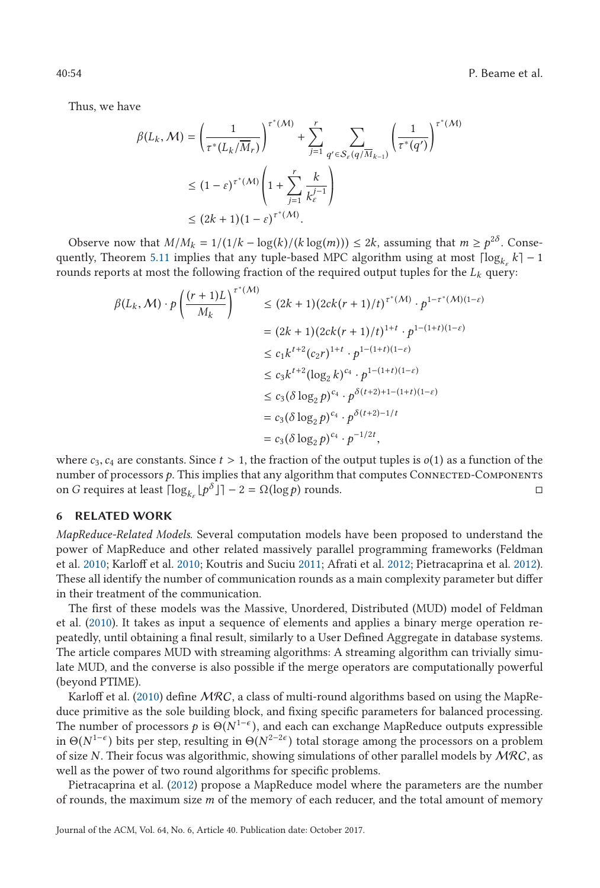<span id="page-53-0"></span>40:54 P. Beame et al.

Thus, we have

$$
\beta(L_k, \mathcal{M}) = \left(\frac{1}{\tau^*(L_k/\overline{M}_r)}\right)^{\tau^*(\mathcal{M})} + \sum_{j=1}^r \sum_{q' \in \mathcal{S}_{\varepsilon}(q/\overline{M}_{k-1})} \left(\frac{1}{\tau^*(q')}\right)^{\tau^*(\mathcal{M})}
$$
  
\n
$$
\leq (1-\varepsilon)^{\tau^*(\mathcal{M})} \left(1 + \sum_{j=1}^r \frac{k}{k_{\varepsilon}^{j-1}}\right)
$$
  
\n
$$
\leq (2k+1)(1-\varepsilon)^{\tau^*(\mathcal{M})}.
$$

Observe now that  $M/M_k = 1/(1/k - \log(k)/(k \log(m))) \leq 2k$ , assuming that  $m \geq p^{2\delta}$ . Consequently, Theorem 5.11 implies that any tuple-based MPC algorithm using at most  $\lceil \log_k k \rceil - 1$ rounds reports at most the following fraction of the required output tuples for the  $L_k$  query:

$$
\beta(L_k, \mathcal{M}) \cdot p \left( \frac{(r+1)L}{M_k} \right)^{\tau^*(\mathcal{M})} \le (2k+1)(2ck(r+1)/t)^{\tau^*(\mathcal{M})} \cdot p^{1-\tau^*(\mathcal{M})(1-\varepsilon)}
$$
\n
$$
= (2k+1)(2ck(r+1)/t)^{1+t} \cdot p^{1-(1+t)(1-\varepsilon)}
$$
\n
$$
\le c_1 k^{t+2} (c_2 r)^{1+t} \cdot p^{1-(1+t)(1-\varepsilon)}
$$
\n
$$
\le c_3 k^{t+2} (\log_2 k)^{c_4} \cdot p^{1-(1+t)(1-\varepsilon)}
$$
\n
$$
\le c_3 (\delta \log_2 p)^{c_4} \cdot p^{\delta(t+2)+1-(1+t)(1-\varepsilon)}
$$
\n
$$
= c_3 (\delta \log_2 p)^{c_4} \cdot p^{\delta(t+2)-1/t}
$$
\n
$$
= c_3 (\delta \log_2 p)^{c_4} \cdot p^{-1/2t},
$$

where  $c_3$ ,  $c_4$  are constants. Since  $t > 1$ , the fraction of the output tuples is  $o(1)$  as a function of the pumber of processors  $\rho$ . This implies that any algorithm that computes Connecten-Components number of processors  $p$ . This implies that any algorithm that computes CONNECTED-COMPONENTS on *G* requires at least  $\lceil \log_{k_e} \lfloor p^{\delta} \rfloor \rceil - 2 = \Omega(\log p)$  rounds.

# **6 RELATED WORK**

*MapReduce-Related Models*. Several computation models have been proposed to understand the power of MapReduce and other related massively parallel programming frameworks (Feldman et al. [2010;](#page-56-0) Karloff et al. [2010;](#page-57-0) Koutris and Suciu [2011;](#page-57-0) Afrati et al. [2012;](#page-56-0) Pietracaprina et al. [2012\)](#page-57-0). These all identify the number of communication rounds as a main complexity parameter but differ in their treatment of the communication.

The first of these models was the Massive, Unordered, Distributed (MUD) model of Feldman et al. [\(2010\)](#page-56-0). It takes as input a sequence of elements and applies a binary merge operation repeatedly, until obtaining a final result, similarly to a User Defined Aggregate in database systems. The article compares MUD with streaming algorithms: A streaming algorithm can trivially simulate MUD, and the converse is also possible if the merge operators are computationally powerful (beyond PTIME).

Karloff et al. [\(2010\)](#page-57-0) define MRC, a class of multi-round algorithms based on using the MapReduce primitive as the sole building block, and fixing specific parameters for balanced processing. The number of processors  $p$  is  $\Theta(N^{1-\epsilon})$ , and each can exchange MapReduce outputs expressible in  $\Theta(N^{1-\epsilon})$  bits per step, resulting in  $\Theta(N^{2-2\epsilon})$  total storage among the processors on a problem of size *N*. Their focus was algorithmic, showing simulations of other parallel models by MRC, as well as the power of two round algorithms for specific problems.

Pietracaprina et al. [\(2012\)](#page-57-0) propose a MapReduce model where the parameters are the number of rounds, the maximum size *m* of the memory of each reducer, and the total amount of memory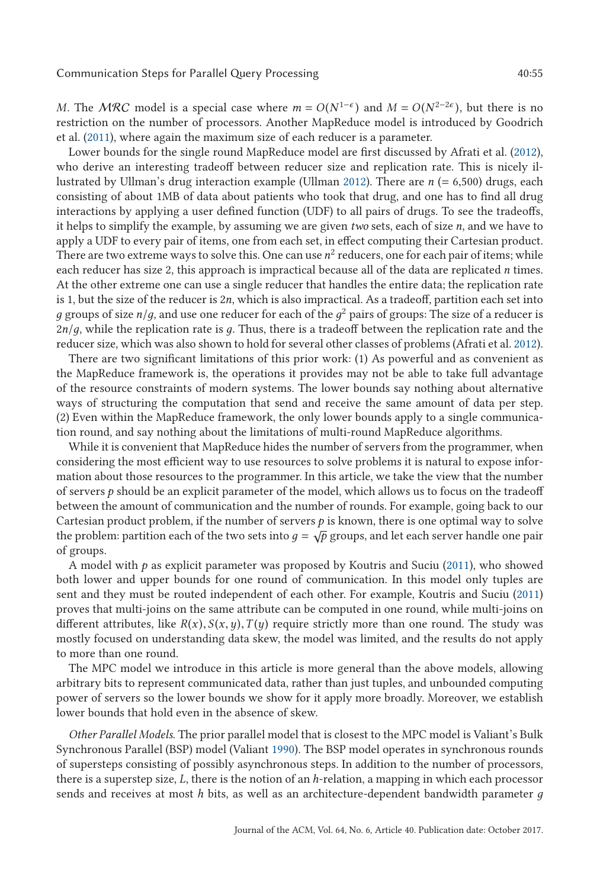*M*. The *MRC* model is a special case where  $m = O(N^{1-\epsilon})$  and  $M = O(N^{2-2\epsilon})$ , but there is no restriction on the number of processors. Another MapReduce model is introduced by Goodrich et al. [\(2011\)](#page-57-0), where again the maximum size of each reducer is a parameter.

Lower bounds for the single round MapReduce model are first discussed by Afrati et al. [\(2012\)](#page-56-0), who derive an interesting tradeoff between reducer size and replication rate. This is nicely illustrated by Ullman's drug interaction example (Ullman [2012\)](#page-57-0). There are *<sup>n</sup>* (<sup>=</sup> <sup>6</sup>,500) drugs, each consisting of about 1MB of data about patients who took that drug, and one has to find all drug interactions by applying a user defined function (UDF) to all pairs of drugs. To see the tradeoffs, it helps to simplify the example, by assuming we are given *two* sets, each of size *n*, and we have to apply a UDF to every pair of items, one from each set, in effect computing their Cartesian product. There are two extreme ways to solve this. One can use  $n^2$  reducers, one for each pair of items; while each reducer has size 2, this approach is impractical because all of the data are replicated *n* times. At the other extreme one can use a single reducer that handles the entire data; the replication rate is 1, but the size of the reducer is 2*n*, which is also impractical. As a tradeoff, partition each set into *<sup>д</sup>* groups of size *<sup>n</sup>*/*д*, and use one reducer for each of the *<sup>д</sup>*<sup>2</sup> pairs of groups: The size of a reducer is <sup>2</sup>*n*/*д*, while the replication rate is *<sup>д</sup>*. Thus, there is a tradeoff between the replication rate and the reducer size, which was also shown to hold for several other classes of problems (Afrati et al. [2012\)](#page-56-0).

There are two significant limitations of this prior work: (1) As powerful and as convenient as the MapReduce framework is, the operations it provides may not be able to take full advantage of the resource constraints of modern systems. The lower bounds say nothing about alternative ways of structuring the computation that send and receive the same amount of data per step. (2) Even within the MapReduce framework, the only lower bounds apply to a single communication round, and say nothing about the limitations of multi-round MapReduce algorithms.

While it is convenient that MapReduce hides the number of servers from the programmer, when considering the most efficient way to use resources to solve problems it is natural to expose information about those resources to the programmer. In this article, we take the view that the number of servers *p* should be an explicit parameter of the model, which allows us to focus on the tradeoff between the amount of communication and the number of rounds. For example, going back to our Cartesian product problem, if the number of servers *p* is known, there is one optimal way to solve the problem: partition each of the two sets into  $q = \sqrt{p}$  groups, and let each server handle one pair of groups.

A model with *p* as explicit parameter was proposed by Koutris and Suciu [\(2011\)](#page-57-0), who showed both lower and upper bounds for one round of communication. In this model only tuples are sent and they must be routed independent of each other. For example, Koutris and Suciu [\(2011\)](#page-57-0) proves that multi-joins on the same attribute can be computed in one round, while multi-joins on different attributes, like  $R(x)$ ,  $S(x, y)$ ,  $T(y)$  require strictly more than one round. The study was mostly focused on understanding data skew, the model was limited, and the results do not apply to more than one round.

The MPC model we introduce in this article is more general than the above models, allowing arbitrary bits to represent communicated data, rather than just tuples, and unbounded computing power of servers so the lower bounds we show for it apply more broadly. Moreover, we establish lower bounds that hold even in the absence of skew.

*Other Parallel Models*. The prior parallel model that is closest to the MPC model is Valiant's Bulk Synchronous Parallel (BSP) model (Valiant [1990\)](#page-57-0). The BSP model operates in synchronous rounds of supersteps consisting of possibly asynchronous steps. In addition to the number of processors, there is a superstep size, *L*, there is the notion of an *h*-relation, a mapping in which each processor sends and receives at most *h* bits, as well as an architecture-dependent bandwidth parameter *д*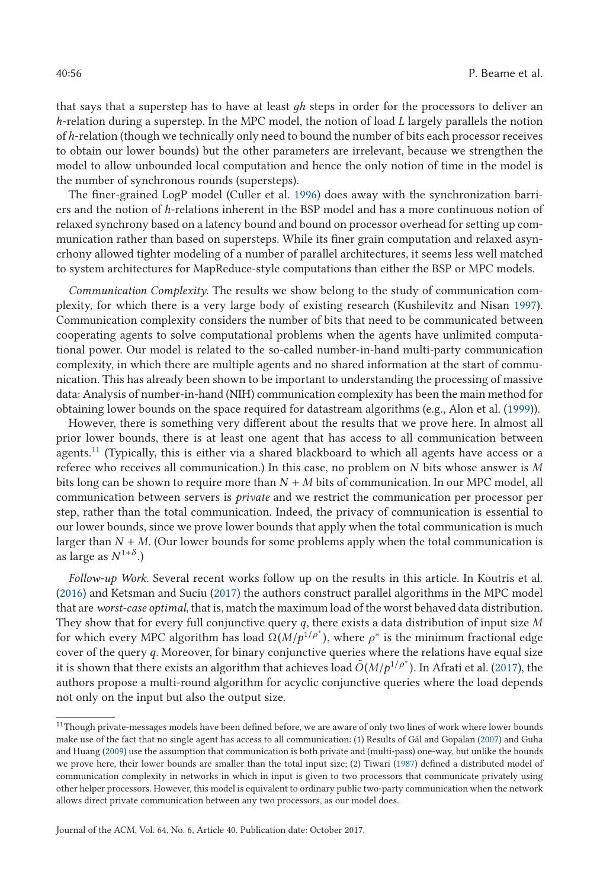that says that a superstep has to have at least *дh* steps in order for the processors to deliver an *h*-relation during a superstep. In the MPC model, the notion of load *L* largely parallels the notion of *h*-relation (though we technically only need to bound the number of bits each processor receives to obtain our lower bounds) but the other parameters are irrelevant, because we strengthen the model to allow unbounded local computation and hence the only notion of time in the model is the number of synchronous rounds (supersteps).

The finer-grained LogP model (Culler et al. [1996\)](#page-56-0) does away with the synchronization barriers and the notion of *h*-relations inherent in the BSP model and has a more continuous notion of relaxed synchrony based on a latency bound and bound on processor overhead for setting up communication rather than based on supersteps. While its finer grain computation and relaxed asyncrhony allowed tighter modeling of a number of parallel architectures, it seems less well matched to system architectures for MapReduce-style computations than either the BSP or MPC models.

*Communication Complexity*. The results we show belong to the study of communication complexity, for which there is a very large body of existing research (Kushilevitz and Nisan [1997\)](#page-57-0). Communication complexity considers the number of bits that need to be communicated between cooperating agents to solve computational problems when the agents have unlimited computational power. Our model is related to the so-called number-in-hand multi-party communication complexity, in which there are multiple agents and no shared information at the start of communication. This has already been shown to be important to understanding the processing of massive data: Analysis of number-in-hand (NIH) communication complexity has been the main method for obtaining lower bounds on the space required for datastream algorithms (e.g., Alon et al. [\(1999\)](#page-56-0)).

However, there is something very different about the results that we prove here. In almost all prior lower bounds, there is at least one agent that has access to all communication between agents.<sup>11</sup> (Typically, this is either via a shared blackboard to which all agents have access or a referee who receives all communication.) In this case, no problem on *N* bits whose answer is *M* bits long can be shown to require more than *N* + *M* bits of communication. In our MPC model, all communication between servers is *private* and we restrict the communication per processor per step, rather than the total communication. Indeed, the privacy of communication is essential to our lower bounds, since we prove lower bounds that apply when the total communication is much larger than  $N + M$ . (Our lower bounds for some problems apply when the total communication is as large as  $N^{1+\delta}$ .)

*Follow-up Work*. Several recent works follow up on the results in this article. In Koutris et al. [\(2016\)](#page-57-0) and Ketsman and Suciu [\(2017\)](#page-57-0) the authors construct parallel algorithms in the MPC model that are*worst-case optimal*, that is, match the maximum load of the worst behaved data distribution. They show that for every full conjunctive query *q*, there exists a data distribution of input size *M* for which every MPC algorithm has load  $\Omega(M/p^{1/\rho^*})$ , where  $\rho^*$  is the minimum fractional edge<br>cover of the query *q*. Moreover, for hinary conjunctive queries where the relations have equal size cover of the query *q*. Moreover, for binary conjunctive queries where the relations have equal size it is shown that there exists an algorithm that achieves load  $\tilde{O}(M/p^{1/p^*})$ . In Afrati et al. [\(2017\)](#page-56-0), the authors propose a multi-round algorithm for acyclic conjunctive queries where the load depends authors propose a multi-round algorithm for acyclic conjunctive queries where the load depends not only on the input but also the output size.

 $^{11}$  Though private-messages models have been defined before, we are aware of only two lines of work where lower bounds make use of the fact that no single agent has access to all communication: (1) Results of Gál and Gopalan [\(2007\)](#page-56-0) and Guha and Huang [\(2009\)](#page-57-0) use the assumption that communication is both private and (multi-pass) one-way, but unlike the bounds we prove here, their lower bounds are smaller than the total input size; (2) Tiwari [\(1987\)](#page-57-0) defined a distributed model of communication complexity in networks in which in input is given to two processors that communicate privately using other helper processors. However, this model is equivalent to ordinary public two-party communication when the network allows direct private communication between any two processors, as our model does.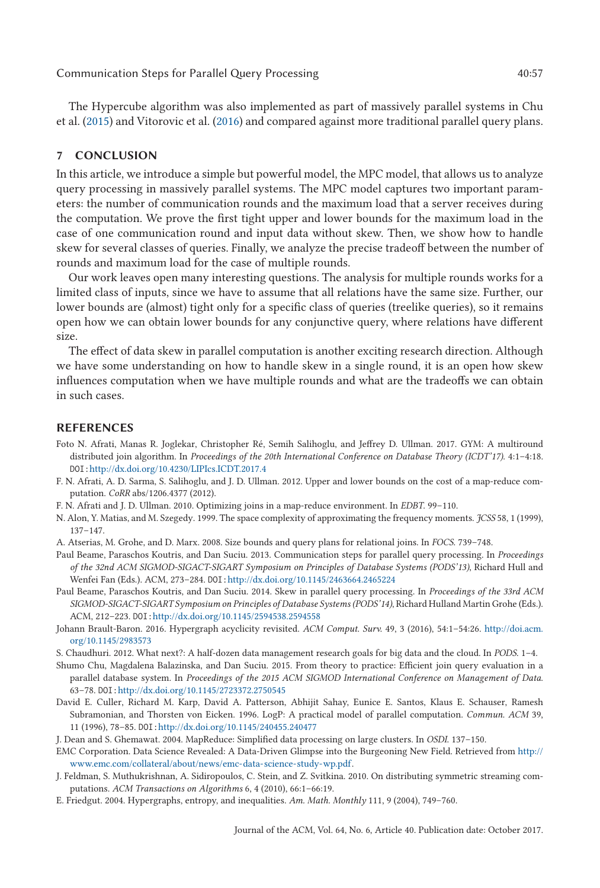<span id="page-56-0"></span>The Hypercube algorithm was also implemented as part of massively parallel systems in Chu et al. (2015) and Vitorovic et al. [\(2016\)](#page-57-0) and compared against more traditional parallel query plans.

# **7 CONCLUSION**

In this article, we introduce a simple but powerful model, the MPC model, that allows us to analyze query processing in massively parallel systems. The MPC model captures two important parameters: the number of communication rounds and the maximum load that a server receives during the computation. We prove the first tight upper and lower bounds for the maximum load in the case of one communication round and input data without skew. Then, we show how to handle skew for several classes of queries. Finally, we analyze the precise tradeoff between the number of rounds and maximum load for the case of multiple rounds.

Our work leaves open many interesting questions. The analysis for multiple rounds works for a limited class of inputs, since we have to assume that all relations have the same size. Further, our lower bounds are (almost) tight only for a specific class of queries (treelike queries), so it remains open how we can obtain lower bounds for any conjunctive query, where relations have different size.

The effect of data skew in parallel computation is another exciting research direction. Although we have some understanding on how to handle skew in a single round, it is an open how skew influences computation when we have multiple rounds and what are the tradeoffs we can obtain in such cases.

## **REFERENCES**

- Foto N. Afrati, Manas R. Joglekar, Christopher Ré, Semih Salihoglu, and Jeffrey D. Ullman. 2017. GYM: A multiround distributed join algorithm. In *Proceedings of the 20th International Conference on Database Theory (ICDT'17)*. 4:1–4:18. DOI:<http://dx.doi.org/10.4230/LIPIcs.ICDT.2017.4>
- F. N. Afrati, A. D. Sarma, S. Salihoglu, and J. D. Ullman. 2012. Upper and lower bounds on the cost of a map-reduce computation. *CoRR* abs/1206.4377 (2012).
- F. N. Afrati and J. D. Ullman. 2010. Optimizing joins in a map-reduce environment. In *EDBT*. 99–110.
- N. Alon, Y. Matias, and M. Szegedy. 1999. The space complexity of approximating the frequency moments. *JCSS* 58, 1 (1999), 137–147.
- A. Atserias, M. Grohe, and D. Marx. 2008. Size bounds and query plans for relational joins. In *FOCS*. 739–748.
- Paul Beame, Paraschos Koutris, and Dan Suciu. 2013. Communication steps for parallel query processing. In *Proceedings of the 32nd ACM SIGMOD-SIGACT-SIGART Symposium on Principles of Database Systems (PODS'13)*, Richard Hull and Wenfei Fan (Eds.). ACM, 273–284. DOI:<http://dx.doi.org/10.1145/2463664.2465224>
- Paul Beame, Paraschos Koutris, and Dan Suciu. 2014. Skew in parallel query processing. In *Proceedings of the 33rd ACM SIGMOD-SIGACT-SIGART Symposium on Principles of Database Systems (PODS'14)*, Richard Hulland Martin Grohe (Eds.). ACM, 212–223. DOI:<http://dx.doi.org/10.1145/2594538.2594558>
- Jo[hann Brault-Baron. 2016. Hypergraph acyclicity revisited.](http://doi.acm.org/10.1145/2983573) *ACM Comput. Surv.* 49, 3 (2016), 54:1–54:26. http://doi.acm. org/10.1145/2983573
- S. Chaudhuri. 2012. What next?: A half-dozen data management research goals for big data and the cloud. In *PODS*. 1–4.
- Shumo Chu, Magdalena Balazinska, and Dan Suciu. 2015. From theory to practice: Efficient join query evaluation in a parallel database system. In *Proceedings of the 2015 ACM SIGMOD International Conference on Management of Data*. 63–78. DOI:<http://dx.doi.org/10.1145/2723372.2750545>
- David E. Culler, Richard M. Karp, David A. Patterson, Abhijit Sahay, Eunice E. Santos, Klaus E. Schauser, Ramesh Subramonian, and Thorsten von Eicken. 1996. LogP: A practical model of parallel computation. *Commun. ACM* 39, 11 (1996), 78–85. DOI:<http://dx.doi.org/10.1145/240455.240477>
- J. Dean and S. Ghemawat. 2004. MapReduce: Simplified data processing on large clusters. In *OSDI*. 137–150.
- E[MC Corporation. Data Science Revealed: A Data-Driven Glimpse into the Burgeoning New Field. Retrieved from](http://penalty -@M www.emc.com/collateral/about/news/emc-data-science-study-wp.pdf) http:// www.emc.com/collateral/about/news/emc-data-science-study-wp.pdf.
- J. Feldman, S. Muthukrishnan, A. Sidiropoulos, C. Stein, and Z. Svitkina. 2010. On distributing symmetric streaming computations. *ACM Transactions on Algorithms* 6, 4 (2010), 66:1–66:19.
- E. Friedgut. 2004. Hypergraphs, entropy, and inequalities. *Am. Math. Monthly* 111, 9 (2004), 749–760.